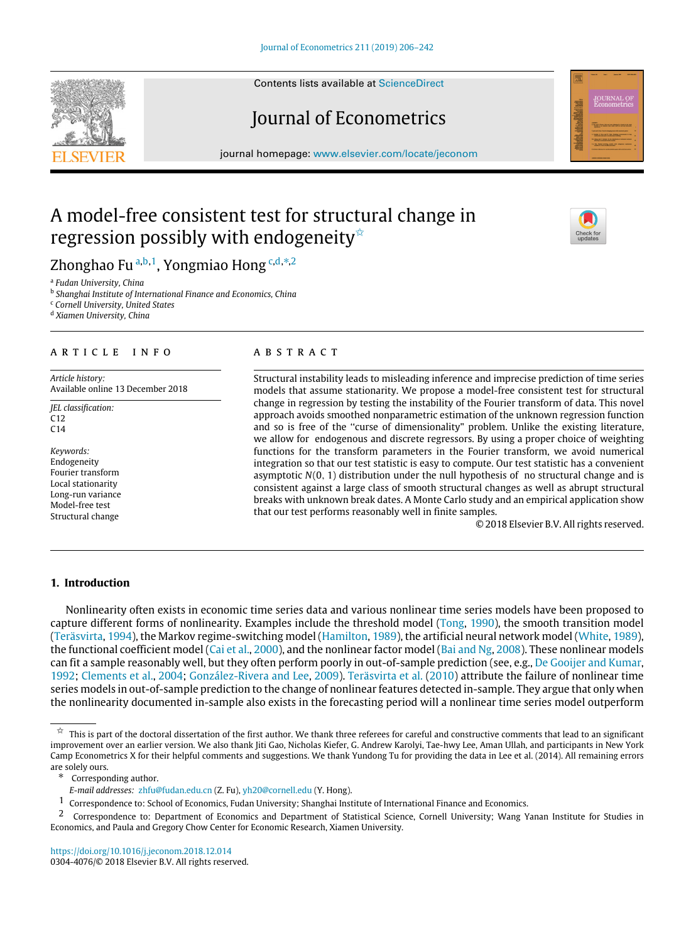Contents lists available at [ScienceDirect](http://www.elsevier.com/locate/jeconom)

# Journal of Econometrics

journal homepage: [www.elsevier.com/locate/jeconom](http://www.elsevier.com/locate/jeconom)

## A model-free consistent test for structural change in regression possibly with endogeneity $\dot{\mathbf{x}}$

Zhongh[a](#page-0-1)o Fu <sup>a,[b](#page-0-2),[1](#page-0-3)</sup>, Yongmiao Hong <sup>[c](#page-0-4),[d](#page-0-5),\*,[2](#page-0-7)</sup>

<span id="page-0-1"></span>a *Fudan University, China*

<span id="page-0-2"></span>b *Shanghai Institute of International Finance and Economics, China*

<span id="page-0-4"></span><sup>c</sup> *Cornell University, United States*

<span id="page-0-5"></span><sup>d</sup> *Xiamen University, China*

## a r t i c l e i n f o

*Article history:* Available online 13 December 2018

- *JEL classification:*  $C12$ C14
- *Keywords:* Endogeneity Fourier transform Local stationarity Long-run variance Model-free test Structural change

## a b s t r a c t

Structural instability leads to misleading inference and imprecise prediction of time series models that assume stationarity. We propose a model-free consistent test for structural change in regression by testing the instability of the Fourier transform of data. This novel approach avoids smoothed nonparametric estimation of the unknown regression function and so is free of the ''curse of dimensionality" problem. Unlike the existing literature, we allow for endogenous and discrete regressors. By using a proper choice of weighting functions for the transform parameters in the Fourier transform, we avoid numerical integration so that our test statistic is easy to compute. Our test statistic has a convenient asymptotic *N*(0, 1) distribution under the null hypothesis of no structural change and is consistent against a large class of smooth structural changes as well as abrupt structural breaks with unknown break dates. A Monte Carlo study and an empirical application show that our test performs reasonably well in finite samples.

© 2018 Elsevier B.V. All rights reserved.

## **1. Introduction**

Nonlinearity often exists in economic time series data and various nonlinear time series models have been proposed to capture different forms of nonlinearity. Examples include the threshold model [\(Tong,](#page-36-0) [1990\)](#page-36-0), the smooth transition model ([Teräsvirta](#page-36-1), [1994\)](#page-36-1), the Markov regime-switching model ([Hamilton,](#page-35-0) [1989\)](#page-35-0), the artificial neural network model ([White,](#page-36-2) [1989](#page-36-2)), the functional coefficient model [\(Cai et al.,](#page-35-1) [2000](#page-35-1)), and the nonlinear factor model ([Bai and Ng,](#page-35-2) [2008\)](#page-35-2). These nonlinear models can fit a sample reasonably well, but they often perform poorly in out-of-sample prediction (see, e.g., [De Gooijer and Kumar](#page-35-3), [1992](#page-35-3); [Clements et al.,](#page-35-4) [2004](#page-35-4); [González-Rivera and Lee,](#page-35-5) [2009](#page-35-5)). [Teräsvirta et al.](#page-36-3) ([2010\)](#page-36-3) attribute the failure of nonlinear time series models in out-of-sample prediction to the change of nonlinear features detected in-sample. They argue that only when the nonlinearity documented in-sample also exists in the forecasting period will a nonlinear time series model outperform

<span id="page-0-6"></span>Corresponding author.

*E-mail addresses:* [zhfu@fudan.edu.cn](mailto:zhfu@fudan.edu.cn) (Z. Fu), [yh20@cornell.edu](mailto:yh20@cornell.edu) (Y. Hong).







<span id="page-0-0"></span> $\overrightarrow{x}$  This is part of the doctoral dissertation of the first author. We thank three referees for careful and constructive comments that lead to an significant improvement over an earlier version. We also thank Jiti Gao, Nicholas Kiefer, G. Andrew Karolyi, Tae-hwy Lee, Aman Ullah, and participants in New York Camp Econometrics X for their helpful comments and suggestions. We thank Yundong Tu for providing the data in Lee et al. (2014). All remaining errors are solely ours.

<span id="page-0-3"></span><sup>1</sup> Correspondence to: School of Economics, Fudan University; Shanghai Institute of International Finance and Economics.<br>2 Correspondence to: Department of Economics and Department of Statistical Science, Corpell University:

<span id="page-0-7"></span><sup>2</sup> Correspondence to: Department of Economics and Department of Statistical Science, Cornell University; Wang Yanan Institute for Studies in Economics, and Paula and Gregory Chow Center for Economic Research, Xiamen University.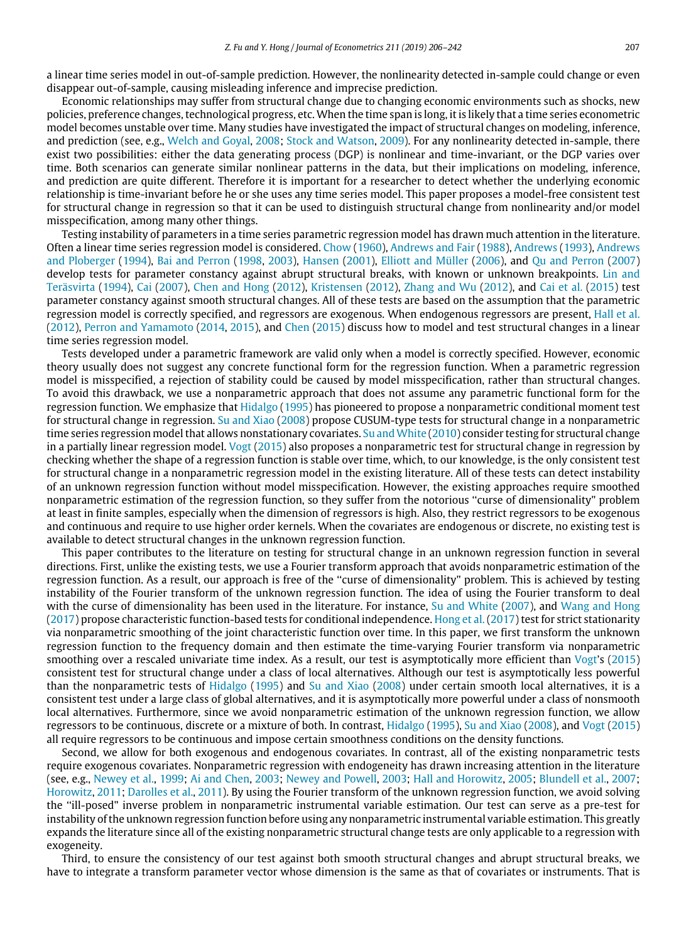a linear time series model in out-of-sample prediction. However, the nonlinearity detected in-sample could change or even disappear out-of-sample, causing misleading inference and imprecise prediction.

Economic relationships may suffer from structural change due to changing economic environments such as shocks, new policies, preference changes, technological progress, etc. When the time span is long, it is likely that a time series econometric model becomes unstable over time. Many studies have investigated the impact of structural changes on modeling, inference, and prediction (see, e.g., [Welch and Goyal](#page-36-4), [2008;](#page-36-4) [Stock and Watson](#page-36-5), [2009\)](#page-36-5). For any nonlinearity detected in-sample, there exist two possibilities: either the data generating process (DGP) is nonlinear and time-invariant, or the DGP varies over time. Both scenarios can generate similar nonlinear patterns in the data, but their implications on modeling, inference, and prediction are quite different. Therefore it is important for a researcher to detect whether the underlying economic relationship is time-invariant before he or she uses any time series model. This paper proposes a model-free consistent test for structural change in regression so that it can be used to distinguish structural change from nonlinearity and/or model misspecification, among many other things.

Testing instability of parameters in a time series parametric regression model has drawn much attention in the literature. Often a linear time series regression model is considered. [Chow](#page-35-6) ([1960\)](#page-35-6), [Andrews and Fair](#page-35-7) [\(1988](#page-35-7)), [Andrews](#page-35-8) [\(1993](#page-35-8)), [Andrews](#page-35-9) [and Ploberger](#page-35-9) ([1994\)](#page-35-9), [Bai and Perron](#page-35-10) [\(1998,](#page-35-10) [2003\)](#page-35-11), [Hansen](#page-35-12) [\(2001](#page-35-12)), [Elliott and Müller](#page-35-13) [\(2006](#page-35-13)), and [Qu and Perron](#page-36-6) [\(2007](#page-36-6)) develop tests for parameter constancy against abrupt structural breaks, with known or unknown breakpoints. [Lin and](#page-35-14) [Teräsvirta](#page-35-14) ([1994](#page-35-14)), [Cai](#page-35-15) ([2007\)](#page-35-15), [Chen and Hong](#page-35-16) [\(2012](#page-35-16)), [Kristensen](#page-35-17) ([2012\)](#page-35-17), [Zhang and Wu](#page-36-7) ([2012\)](#page-36-7), and [Cai et al.](#page-35-18) [\(2015](#page-35-18)) test parameter constancy against smooth structural changes. All of these tests are based on the assumption that the parametric regression model is correctly specified, and regressors are exogenous. When endogenous regressors are present, [Hall et al.](#page-35-19) ([2012](#page-35-19)), [Perron and Yamamoto](#page-36-8) ([2014](#page-36-8), [2015\)](#page-36-9), and [Chen](#page-35-20) [\(2015\)](#page-35-20) discuss how to model and test structural changes in a linear time series regression model.

Tests developed under a parametric framework are valid only when a model is correctly specified. However, economic theory usually does not suggest any concrete functional form for the regression function. When a parametric regression model is misspecified, a rejection of stability could be caused by model misspecification, rather than structural changes. To avoid this drawback, we use a nonparametric approach that does not assume any parametric functional form for the regression function. We emphasize that [Hidalgo](#page-35-21) ([1995](#page-35-21)) has pioneered to propose a nonparametric conditional moment test for structural change in regression. [Su and Xiao](#page-36-10) ([2008\)](#page-36-10) propose CUSUM-type tests for structural change in a nonparametric time series regression model that allows nonstationary covariates. [Su and White](#page-36-11) ([2010\)](#page-36-11) consider testing for structural change in a partially linear regression model. [Vogt](#page-36-12) [\(2015\)](#page-36-12) also proposes a nonparametric test for structural change in regression by checking whether the shape of a regression function is stable over time, which, to our knowledge, is the only consistent test for structural change in a nonparametric regression model in the existing literature. All of these tests can detect instability of an unknown regression function without model misspecification. However, the existing approaches require smoothed nonparametric estimation of the regression function, so they suffer from the notorious ''curse of dimensionality" problem at least in finite samples, especially when the dimension of regressors is high. Also, they restrict regressors to be exogenous and continuous and require to use higher order kernels. When the covariates are endogenous or discrete, no existing test is available to detect structural changes in the unknown regression function.

This paper contributes to the literature on testing for structural change in an unknown regression function in several directions. First, unlike the existing tests, we use a Fourier transform approach that avoids nonparametric estimation of the regression function. As a result, our approach is free of the ''curse of dimensionality" problem. This is achieved by testing instability of the Fourier transform of the unknown regression function. The idea of using the Fourier transform to deal with the curse of dimensionality has been used in the literature. For instance, [Su and White](#page-36-13) [\(2007\)](#page-36-13), and [Wang and Hong](#page-36-14) ([2017](#page-36-14)) propose characteristic function-based tests for conditional independence. [Hong et al.](#page-35-22) ([2017\)](#page-35-22) test for strict stationarity via nonparametric smoothing of the joint characteristic function over time. In this paper, we first transform the unknown regression function to the frequency domain and then estimate the time-varying Fourier transform via nonparametric smoothing over a rescaled univariate time index. As a result, our test is asymptotically more efficient than [Vogt'](#page-36-12)s [\(2015](#page-36-12)) consistent test for structural change under a class of local alternatives. Although our test is asymptotically less powerful than the nonparametric tests of [Hidalgo](#page-35-21) ([1995](#page-35-21)) and [Su and Xiao](#page-36-10) [\(2008](#page-36-10)) under certain smooth local alternatives, it is a consistent test under a large class of global alternatives, and it is asymptotically more powerful under a class of nonsmooth local alternatives. Furthermore, since we avoid nonparametric estimation of the unknown regression function, we allow regressors to be continuous, discrete or a mixture of both. In contrast, [Hidalgo](#page-35-21) ([1995\)](#page-35-21), [Su and Xiao](#page-36-10) [\(2008\)](#page-36-10), and [Vogt](#page-36-12) [\(2015](#page-36-12)) all require regressors to be continuous and impose certain smoothness conditions on the density functions.

Second, we allow for both exogenous and endogenous covariates. In contrast, all of the existing nonparametric tests require exogenous covariates. Nonparametric regression with endogeneity has drawn increasing attention in the literature (see, e.g., [Newey et al.](#page-36-15), [1999;](#page-36-15) [Ai and Chen,](#page-35-23) [2003](#page-35-23); [Newey and Powell](#page-36-16), [2003;](#page-36-16) [Hall and Horowitz](#page-35-24), [2005;](#page-35-24) [Blundell et al.,](#page-35-25) [2007](#page-35-25); [Horowitz,](#page-35-26) [2011;](#page-35-26) [Darolles et al.](#page-35-27), [2011](#page-35-27)). By using the Fourier transform of the unknown regression function, we avoid solving the ''ill-posed" inverse problem in nonparametric instrumental variable estimation. Our test can serve as a pre-test for instability of the unknown regression function before using any nonparametric instrumental variable estimation. This greatly expands the literature since all of the existing nonparametric structural change tests are only applicable to a regression with exogeneity.

Third, to ensure the consistency of our test against both smooth structural changes and abrupt structural breaks, we have to integrate a transform parameter vector whose dimension is the same as that of covariates or instruments. That is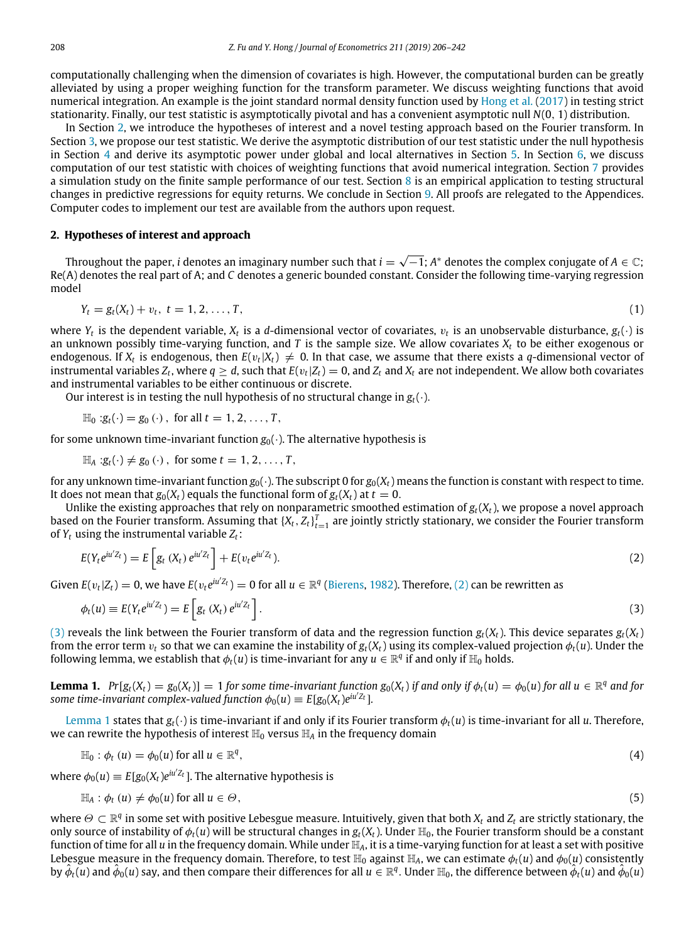computationally challenging when the dimension of covariates is high. However, the computational burden can be greatly alleviated by using a proper weighing function for the transform parameter. We discuss weighting functions that avoid numerical integration. An example is the joint standard normal density function used by [Hong et al.](#page-35-22) [\(2017](#page-35-22)) in testing strict stationarity. Finally, our test statistic is asymptotically pivotal and has a convenient asymptotic null *N*(0, 1) distribution.

In Section [2,](#page-2-0) we introduce the hypotheses of interest and a novel testing approach based on the Fourier transform. In Section [3,](#page-3-0) we propose our test statistic. We derive the asymptotic distribution of our test statistic under the null hypothesis in Section [4](#page-5-0) and derive its asymptotic power under global and local alternatives in Section [5.](#page-6-0) In Section [6,](#page-8-0) we discuss computation of our test statistic with choices of weighting functions that avoid numerical integration. Section [7](#page-9-0) provides a simulation study on the finite sample performance of our test. Section  $\delta$  is an empirical application to testing structural changes in predictive regressions for equity returns. We conclude in Section [9.](#page-17-0) All proofs are relegated to the Appendices. Computer codes to implement our test are available from the authors upon request.

## **2. Hypotheses of interest and approach**

<span id="page-2-0"></span>Throughout the paper, *i* denotes an imaginary number such that  $i=\sqrt{-1};$   $A^*$  denotes the complex conjugate of  $A\in\mathbb{C};$ Re(A) denotes the real part of A; and *C* denotes a generic bounded constant. Consider the following time-varying regression model

$$
Y_t = g_t(X_t) + v_t, \ t = 1, 2, \dots, T,
$$
\n(1)

where  $Y_t$  is the dependent variable,  $X_t$  is a d-dimensional vector of covariates,  $v_t$  is an unobservable disturbance,  $g_t(\cdot)$  is an unknown possibly time-varying function, and *T* is the sample size. We allow covariates  $X_t$  to be either exogenous or endogenous. If  $X_t$  is endogenous, then  $E(v_t|X_t) \neq 0$ . In that case, we assume that there exists a q-dimensional vector of instrumental variables  $Z_t$ , where  $q\geq d$ , such that  $E(v_t|Z_t)=0$ , and  $Z_t$  and  $X_t$  are not independent. We allow both covariates and instrumental variables to be either continuous or discrete.

Our interest is in testing the null hypothesis of no structural change in  $g_t(\cdot)$ .

 $\mathbb{H}_0 : g_t(\cdot) = g_0(\cdot)$ , for all  $t = 1, 2, ..., T$ ,

for some unknown time-invariant function  $g_0(\cdot)$ . The alternative hypothesis is

$$
\mathbb{H}_A : g_t(\cdot) \neq g_0(\cdot), \text{ for some } t = 1, 2, \ldots, T,
$$

for any unknown time-invariant function  $g_0(\cdot)$ . The subscript 0 for  $g_0(X_t)$  means the function is constant with respect to time. It does not mean that  $g_0(X_t)$  equals the functional form of  $g_t(X_t)$  at  $t = 0$ .

Unlike the existing approaches that rely on nonparametric smoothed estimation of  $g_t(X_t)$ , we propose a novel approach based on the Fourier transform. Assuming that  $\{X_t,Z_t\}_{t=1}^T$  are jointly strictly stationary, we consider the Fourier transform of  $Y_t$  using the instrumental variable  $Z_t$ :

$$
E(Y_t e^{iu'Z_t}) = E\left[g_t(X_t) e^{iu'Z_t}\right] + E(v_t e^{iu'Z_t}).
$$
\n(2)

Given  $E(v_t|Z_t)=0$ , we have  $E(v_te^{iu'Z_t})=0$  for all  $u\in\mathbb{R}^q$  ([Bierens,](#page-35-28) [1982](#page-35-28)). Therefore, [\(2](#page-2-1)) can be rewritten as

<span id="page-2-2"></span><span id="page-2-1"></span>
$$
\phi_t(u) \equiv E(Y_t e^{iu^{\prime} Z_t}) = E\left[g_t(X_t) e^{iu^{\prime} Z_t}\right].
$$
\n(3)

([3\)](#page-2-2) reveals the link between the Fourier transform of data and the regression function  $g_t(X_t)$ . This device separates  $g_t(X_t)$ from the error term  $v_t$  so that we can examine the instability of  $g_t(X_t)$  using its complex-valued projection  $\phi_t(u)$ . Under the following lemma, we establish that  $\phi_t(u)$  is time-invariant for any  $u\in\mathbb{R}^q$  if and only if  $\mathbb{H}_0$  holds.

<span id="page-2-3"></span>**Lemma 1.**  $Pr[g_t(X_t) = g_0(X_t)] = 1$  for some time-invariant function  $g_0(X_t)$  if and only if  $\phi_t(u) = \phi_0(u)$  for all  $u \in \mathbb{R}^q$  and for *some time-invariant complex-valued function*  $\phi_0(u) \equiv E[g_0(X_t)e^{iu^2t}]$ .

[Lemma](#page-2-3) [1](#page-2-3) states that  $g_t(\cdot)$  is time-invariant if and only if its Fourier transform  $\phi_t(u)$  is time-invariant for all *u*. Therefore, we can rewrite the hypothesis of interest  $\mathbb{H}_0$  versus  $\mathbb{H}_A$  in the frequency domain

$$
\mathbb{H}_0: \phi_t(u) = \phi_0(u) \text{ for all } u \in \mathbb{R}^q,
$$
\n
$$
(4)
$$

where  $\phi_0(u) \equiv E[g_0(X_t) e^{iu' Z_t}]$ . The alternative hypothesis is

$$
\mathbb{H}_A: \phi_t(u) \neq \phi_0(u) \text{ for all } u \in \Theta,
$$
\n
$$
(5)
$$

where  $\Theta\subset\mathbb{R}^q$  in some set with positive Lebesgue measure. Intuitively, given that both  $X_t$  and  $Z_t$  are strictly stationary, the only source of instability of  $\phi_t(u)$  will be structural changes in  $g_t(X_t)$ . Under  $\mathbb{H}_0$ , the Fourier transform should be a constant function of time for all *u* in the frequency domain. While under H*A*, it is a time-varying function for at least a set with positive Lebesgue measure in the frequency domain. Therefore, to test  $\mathbb{H}_0$  against  $\mathbb{H}_A$ , we can estimate  $\phi_t(u)$  and  $\phi_0(u)$  consistently by  $\hat{\phi}_t(u)$  and  $\hat{\phi}_0(u)$  say, and then compare their differences for all  $u\in\mathbb{R}^q$ . Under  $\mathbb{H}_0$ , the difference between  $\hat{\phi}_t(u)$  and  $\hat{\phi}_0(u)$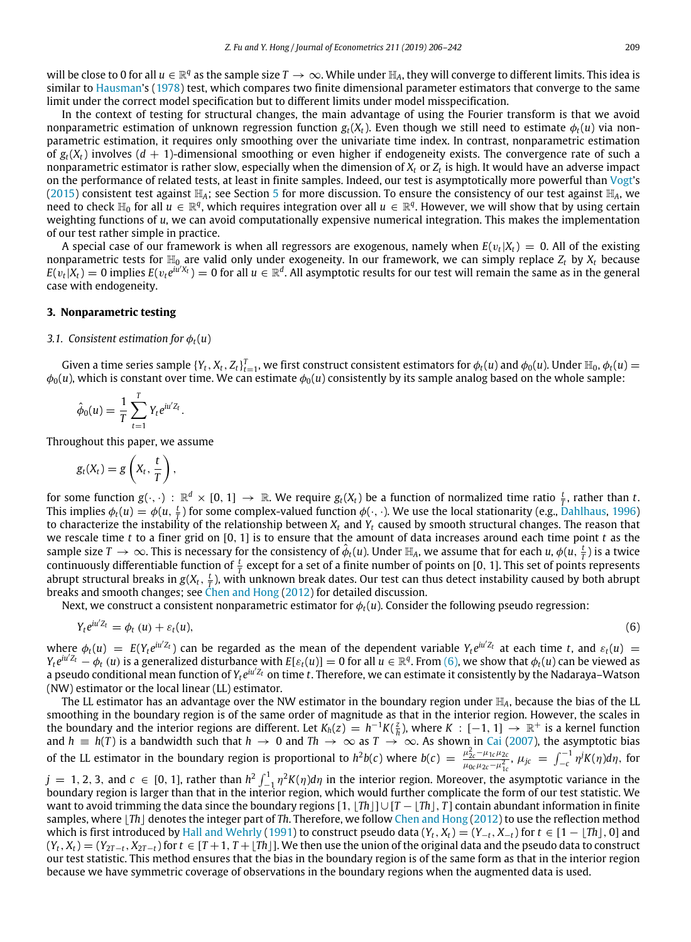will be close to 0 for all  $u\in\R^q$  as the sample size  $T\to\infty$ . While under  $\mathbb{H}_A$ , they will converge to different limits. This idea is similar to [Hausman'](#page-35-29)s ([1978\)](#page-35-29) test, which compares two finite dimensional parameter estimators that converge to the same limit under the correct model specification but to different limits under model misspecification.

In the context of testing for structural changes, the main advantage of using the Fourier transform is that we avoid nonparametric estimation of unknown regression function  $g_t(X_t)$ . Even though we still need to estimate  $\phi_t(u)$  via nonparametric estimation, it requires only smoothing over the univariate time index. In contrast, nonparametric estimation of  $g_t(X_t)$  involves  $(d + 1)$ -dimensional smoothing or even higher if endogeneity exists. The convergence rate of such a nonparametric estimator is rather slow, especially when the dimension of *X<sup>t</sup>* or *Z<sup>t</sup>* is high. It would have an adverse impact on the performance of related tests, at least in finite samples. Indeed, our test is asymptotically more powerful than [Vogt'](#page-36-12)s ([2015](#page-36-12)) consistent test against  $\mathbb{H}_4$ ; see Section [5](#page-6-0) for more discussion. To ensure the consistency of our test against  $\mathbb{H}_4$ , we need to check  $\mathbb{H}_0$  for all  $u \in \mathbb{R}^q$ , which requires integration over all  $u \in \mathbb{R}^q$ . However, we will show that by using certain weighting functions of *u*, we can avoid computationally expensive numerical integration. This makes the implementation of our test rather simple in practice.

A special case of our framework is when all regressors are exogenous, namely when  $E(v_t|X_t) = 0$ . All of the existing nonparametric tests for  $\mathbb{H}_0$  are valid only under exogeneity. In our framework, we can simply replace  $Z_t$  by  $X_t$  because  $E(v_t|X_t) = 0$  implies  $E(v_t e^{iu'X_t}) = 0$  for all  $u \in \mathbb{R}^d$ . All asymptotic results for our test will remain the same as in the general case with endogeneity.

#### **3. Nonparametric testing**

#### <span id="page-3-0"></span>*3.1.* Consistent estimation for  $\phi_t(u)$

Given a time series sample  $\{Y_t, X_t, Z_t\}_{t=1}^T$ , we first construct consistent estimators for  $\phi_t(u)$  and  $\phi_0(u)$ . Under  $\mathbb{H}_0$ ,  $\phi_t(u)$  $\phi_0(u)$ , which is constant over time. We can estimate  $\phi_0(u)$  consistently by its sample analog based on the whole sample:

$$
\hat{\phi}_0(u) = \frac{1}{T} \sum_{t=1}^T Y_t e^{iu'Z_t}.
$$

Throughout this paper, we assume

$$
g_t(X_t) = g\left(X_t, \frac{t}{T}\right),\,
$$

for some function  $g(\cdot,\cdot): \mathbb{R}^d \times [0,1] \to \mathbb{R}$ . We require  $g_t(X_t)$  be a function of normalized time ratio  $\frac{t}{T}$ , rather than *t*. This implies  $\phi_t(u) = \phi(u, \frac{t}{T})$  for some complex-valued function  $\phi(\cdot, \cdot)$ . We use the local stationarity (e.g., [Dahlhaus,](#page-35-30) [1996](#page-35-30)) to characterize the instability of the relationship between  $X_t$  and  $Y_t$  caused by smooth structural changes. The reason that we rescale time *t* to a finer grid on [0, 1] is to ensure that the amount of data increases around each time point *t* as the sample size  $T\to\infty$ . This is necessary for the consistency of  $\hat{\phi}_t(u)$ . Under  $\mathbb{H}_A$ , we assume that for each  $u,\phi(u,\frac{t}{T})$  is a twice continuously differentiable function of  $\frac{t}{T}$  except for a set of a finite number of points on [0, 1]. This set of points represents abrupt structural breaks in  $g(X_t, \frac{t}{T})$ , with unknown break dates. Our test can thus detect instability caused by both abrupt breaks and smooth changes; see [Chen and Hong](#page-35-16) [\(2012](#page-35-16)) for detailed discussion.

Next, we construct a consistent nonparametric estimator for φ*t*(*u*). Consider the following pseudo regression:

<span id="page-3-1"></span>
$$
Y_t e^{iu^{\prime} Z_t} = \phi_t(u) + \varepsilon_t(u), \tag{6}
$$

where  $\phi_t(u) = E(Y_t e^{iu^{\prime} Z_t})$  can be regarded as the mean of the dependent variable  $Y_t e^{iu^{\prime} Z_t}$  at each time t, and  $\varepsilon_t(u)$  =  $Y_t e^{iuZ_t} - \phi_t(u)$  is a generalized disturbance with  $E[\varepsilon_t(u)] = 0$  for all  $u \in \mathbb{R}^q$ . From ([6\)](#page-3-1), we show that  $\phi_t(u)$  can be viewed as a pseudo conditional mean function of *Yte iu*′ *<sup>Z</sup><sup>t</sup>* on time *t*. Therefore, we can estimate it consistently by the Nadaraya–Watson (NW) estimator or the local linear (LL) estimator.

The LL estimator has an advantage over the NW estimator in the boundary region under H*A*, because the bias of the LL smoothing in the boundary region is of the same order of magnitude as that in the interior region. However, the scales in the boundary and the interior regions are different. Let  $K_h(z) = h^{-1}K(\frac{z}{h})$ , where  $K : [-1, 1] \rightarrow \mathbb{R}^+$  is a kernel function and *h* ≡ *h*(*T* ) is a bandwidth such that *h* → 0 and *Th* → ∞ as *T* → ∞. As shown in [Cai](#page-35-15) [\(2007\)](#page-35-15), the asymptotic bias of the LL estimator in the boundary region is proportional to  $h^2b(c)$  where  $b(c) = \frac{\mu_{2c}^2 - \mu_{1c}\mu_{2c}}{2}$  $\frac{\mu_{2c}^2 - \mu_{1c}\mu_{2c}}{\mu_{0c}\mu_{2c} - \mu_{1c}^2}$ ,  $\mu_{jc} = \int_{-c}^{-1} \eta^j K(\eta) d\eta$ , for

 $j = 1, 2, 3$ , and  $c \in [0, 1]$ , rather than  $h^2 \int_{-1}^{1} \eta^2 K(\eta) d\eta$  in the interior region. Moreover, the asymptotic variance in the boundary region is larger than that in the interior region, which would further complicate the form of our test statistic. We want to avoid trimming the data since the boundary regions  $[1, |Th|] \cup [T - |Th|, T]$  contain abundant information in finite samples, where  $|Th|$  denotes the integer part of *Th*. Therefore, we follow [Chen and Hong](#page-35-16) ([2012\)](#page-35-16) to use the reflection method which is first introduced by [Hall and Wehrly](#page-35-31) ([1991\)](#page-35-31) to construct pseudo data  $(Y_t, X_t) = (Y_{-t}, X_{-t})$  for  $t \in [1 - [Th], 0]$  and  $(Y_t, X_t) = (Y_{2T-t}, X_{2T-t})$  for  $t \in [T+1, T+ [Th]$ . We then use the union of the original data and the pseudo data to construct our test statistic. This method ensures that the bias in the boundary region is of the same form as that in the interior region because we have symmetric coverage of observations in the boundary regions when the augmented data is used.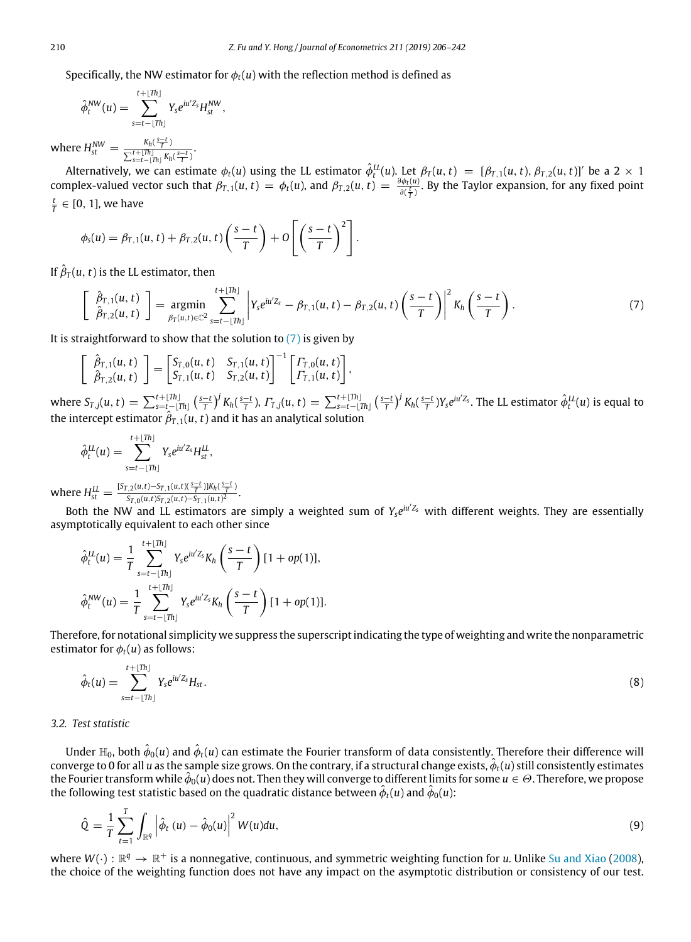Specifically, the NW estimator for  $\phi_t(u)$  with the reflection method is defined as

$$
\hat{\phi}_t^{NW}(u) = \sum_{s=t-\lfloor Th \rfloor}^{t+\lfloor Th \rfloor} Y_s e^{iu^{\prime} Z_s} H_{st}^{NW},
$$

 $\text{where } H_{st}^{NW} = \frac{K_h(\frac{s-t}{T})}{\sum_{s=t-[Th]}^{t+[Th]} K_h(\frac{s-t}{T})}.$ 

Alternatively, we can estimate  $\phi_t(u)$  using the LL estimator  $\hat{\phi}_t^L(u)$ . Let  $\beta_T(u,t) = [\beta_{T,1}(u,t), \beta_{T,2}(u,t)]'$  be a 2  $\times$  1 complex-valued vector such that  $\beta_{T,1}(u,t) = \phi_t(u)$ , and  $\beta_{T,2}(u,t) = \frac{\partial \phi_t(u)}{\partial (u,t)}$  $\frac{\partial \psi_t(u)}{\partial(\frac{t}{T})}$ . By the Taylor expansion, for any fixed point  $\frac{t}{T} \in [0, 1]$ , we have

$$
\phi_{s}(u) = \beta_{T,1}(u,t) + \beta_{T,2}(u,t)\left(\frac{s-t}{T}\right) + O\left[\left(\frac{s-t}{T}\right)^{2}\right].
$$

If  $\hat{\beta}_T(u,t)$  is the LL estimator, then

$$
\begin{bmatrix}\n\hat{\beta}_{T,1}(u,t) \\
\hat{\beta}_{T,2}(u,t)\n\end{bmatrix} = \underset{\beta_T(u,t)\in\mathbb{C}^2}{\text{argmin}} \sum_{s=t-\lfloor Th \rfloor}^{t+\lfloor Th \rfloor} \left|Y_s e^{iu^{\prime}Z_s} - \beta_{T,1}(u,t) - \beta_{T,2}(u,t)\left(\frac{s-t}{T}\right)\right|^2 K_h\left(\frac{s-t}{T}\right). \tag{7}
$$

It is straightforward to show that the solution to  $(7)$  $(7)$  is given by

$$
\begin{bmatrix}\n\hat{\beta}_{T,1}(u,t) \\
\hat{\beta}_{T,2}(u,t)\n\end{bmatrix} = \begin{bmatrix}\nS_{T,0}(u,t) & S_{T,1}(u,t) \\
S_{T,1}(u,t) & S_{T,2}(u,t)\n\end{bmatrix}^{-1} \begin{bmatrix}\n\Gamma_{T,0}(u,t) \\
\Gamma_{T,1}(u,t)\n\end{bmatrix}
$$

where  $S_{T,j}(u,t)=\sum_{s=t-[Th]}^{t+[Th]} \left(\frac{s-t}{T}\right)^j K_h(\frac{s-t}{T})$ ,  $\varGamma_{T,j}(u,t)=\sum_{s=t-[Th]}^{t+[Th]} \left(\frac{s-t}{T}\right)^j K_h(\frac{s-t}{T})Y_s e^{iu'Z_s}$ . The LL estimator  $\hat{\phi}^{\text{LL}}_t(u)$  is equal to the intercept estimator  $\hat{\beta}_{T,\,1}(u,\,t)$  and it has an analytical solution

<span id="page-4-1"></span><span id="page-4-0"></span>,

$$
\hat{\phi}_t^{LL}(u) = \sum_{s=t-\lfloor Th \rfloor}^{t+\lfloor Th \rfloor} Y_s e^{iu'Z_s} H_{st}^{LL},
$$

 $\text{where } H_{\text{st}}^{LL} = \frac{[S_{T,2}(u,t) - S_{T,1}(u,t)](\frac{s-t}{T})]}{S_{T,0}(u,t)S_{T,2}(u,t) - S_{T,1}(u,t)^2}}$  $S_{T,0}(u,t)S_{T,2}(u,t)-S_{T,1}(u,t)^2$ .

Both the NW and LL estimators are simply a weighted sum of  $Y_s e^{i\mu^2 z_s}$  with different weights. They are essentially asymptotically equivalent to each other since

$$
\hat{\phi}_t^{LL}(u) = \frac{1}{T} \sum_{s=t-\lfloor Th \rfloor}^{t+\lfloor Th \rfloor} Y_s e^{iu'Z_s} K_h \left( \frac{s-t}{T} \right) [1+op(1)],
$$
  

$$
\hat{\phi}_t^{NW}(u) = \frac{1}{T} \sum_{s=t-\lfloor Th \rfloor}^{t+\lfloor Th \rfloor} Y_s e^{iu'Z_s} K_h \left( \frac{s-t}{T} \right) [1+op(1)].
$$

Therefore, for notational simplicity we suppress the superscript indicating the type of weighting and write the nonparametric estimator for  $\phi_t(u)$  as follows:

$$
\hat{\phi}_t(u) = \sum_{s=t-\lfloor Th \rfloor}^{t+\lfloor Th \rfloor} Y_s e^{iu' Z_s} H_{st}.
$$
\n(8)

## *3.2. Test statistic*

Under  $\mathbb{H}_0$ , both  $\hat{\phi}_0(u)$  and  $\hat{\phi}_t(u)$  can estimate the Fourier transform of data consistently. Therefore their difference will  $\cos$  converge to  $0$  for all  $u$  as the sample size grows. On the contrary, if a structural change exists,  $\hat{\phi}_t(u)$  still consistently estimates the Fourier transform while  $\hat{\phi}_0(u)$  does not. Then they will converge to different limits for some  $u\in\Theta$  . Therefore, we propose the following test statistic based on the quadratic distance between  $\hat{\phi}_{t}(u)$  and  $\hat{\phi}_{0}(u)$ :

$$
\hat{Q} = \frac{1}{T} \sum_{t=1}^{T} \int_{\mathbb{R}^q} \left| \hat{\phi}_t \left( u \right) - \hat{\phi}_0(u) \right|^2 W(u) du, \tag{9}
$$

where *W*(⋅) :  $\mathbb{R}^q$  →  $\mathbb{R}^+$  is a nonnegative, continuous, and symmetric weighting function for *u*. Unlike [Su and Xiao](#page-36-10) [\(2008](#page-36-10)), the choice of the weighting function does not have any impact on the asymptotic distribution or consistency of our test.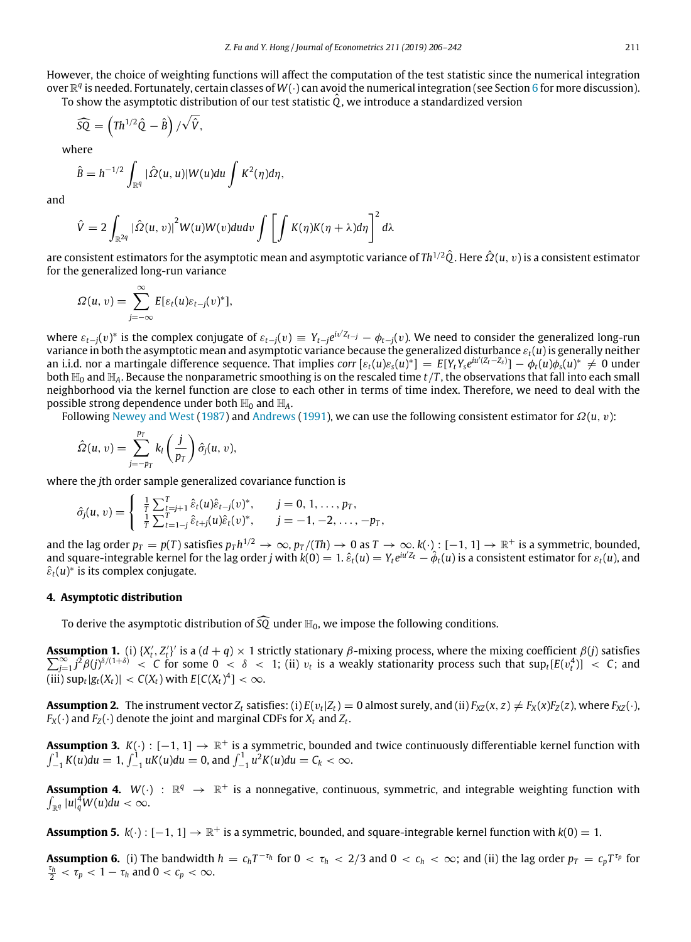$$
\widehat{SQ} = \left(Th^{1/2}\hat{Q} - \hat{B}\right)/\sqrt{\hat{V}},
$$

where

$$
\hat{B}=h^{-1/2}\int_{\mathbb{R}^q}|\hat{\Omega}(u,u)|W(u)du\int K^2(\eta)d\eta,
$$

and

$$
\hat{V} = 2 \int_{\mathbb{R}^{2q}} \left| \hat{\Omega}(u, v) \right|^2 W(u) W(v) du dv \int \left[ \int K(\eta) K(\eta + \lambda) d\eta \right]^2 d\lambda
$$

are consistent estimators for the asymptotic mean and asymptotic variance of *Th*<sup>1</sup>/<sup>2</sup>*Q*ˆ . Here Ωˆ (*u*, v) is a consistent estimator for the generalized long-run variance

$$
\Omega(u,v)=\sum_{j=-\infty}^{\infty}E[\varepsilon_t(u)\varepsilon_{t-j}(v)^*],
$$

where  $\varepsilon_{t-j}(v)^*$  is the complex conjugate of  $\varepsilon_{t-j}(v) \equiv Y_{t-j}e^{iv'Z_{t-j}} - \phi_{t-j}(v)$ . We need to consider the generalized long-run variance in both the asymptotic mean and asymptotic variance because the generalized disturbance  $\varepsilon_t(u)$  is generally neither an i.i.d. nor a martingale difference sequence. That implies *corr*  $[\varepsilon_t(u)\varepsilon_s(u)^*] = E[Y_tY_s e^{iu'(Z_t-Z_s)}] - \phi_t(u)\phi_s(u)^* \neq 0$  under both  $H_0$  and  $H_A$ . Because the nonparametric smoothing is on the rescaled time  $t/T$ , the observations that fall into each small neighborhood via the kernel function are close to each other in terms of time index. Therefore, we need to deal with the possible strong dependence under both  $\mathbb{H}_0$  and  $\mathbb{H}_A$ .

Following [Newey and West](#page-36-17) [\(1987\)](#page-36-17) and [Andrews](#page-35-32) [\(1991](#page-35-32)), we can use the following consistent estimator for Ω(*u*, v):

$$
\hat{\Omega}(u,v)=\sum_{j=-p_T}^{p_T}k_l\left(\frac{j}{p_T}\right)\hat{\sigma}_j(u,v),
$$

where the *j*th order sample generalized covariance function is

$$
\hat{\sigma}_j(u, v) = \begin{cases} \frac{1}{T} \sum_{t=j+1}^T \hat{\varepsilon}_t(u) \hat{\varepsilon}_{t-j}(v)^*, & j = 0, 1, \dots, p_T, \\ \frac{1}{T} \sum_{t=1-j}^T \hat{\varepsilon}_{t+j}(u) \hat{\varepsilon}_t(v)^*, & j = -1, -2, \dots, -p_T, \end{cases}
$$

and the lag order  $p_T=p(T)$  satisfies  $p_Th^{1/2}\to\infty$ ,  $p_T/(Th)\to 0$  as  $T\to\infty$ .  $k(\cdot)$  :  $[-1,1]\to\mathbb R^+$  is a symmetric, bounded, and square-integrable kernel for the lag order j with  $k(0) = 1$ .  $\hat{\varepsilon}_t(u) = Y_t e^{iu^2 z_t} - \hat{\phi}_t(u)$  is a consistent estimator for  $\varepsilon_t(u)$ , and  $\hat{\varepsilon}_t(u)^*$  is its complex conjugate.

## **4. Asymptotic distribution**

<span id="page-5-1"></span><span id="page-5-0"></span>To derive the asymptotic distribution of  $\widehat{SQ}$  under  $\mathbb{H}_0$ , we impose the following conditions.

**Assumption 1.** (i)  $\{X'_t, Z'_t\}'$  is a  $(d + q) \times 1$  strictly stationary  $\beta$ -mixing process, where the mixing coefficient  $\beta(j)$  satisfies  $\sum_{j=1}^{\infty} j^2 \beta(j)^{\delta/(1+\delta)} < C$  for some  $0 < \delta < 1$ ; (ii)  $v_t$  is a weakly stationarity process such that  $\sup_t [E(v_t^4)] < C$ ; and  $\mathcal{L}(\text{iii}) \operatorname{sup}_t |g_t(X_t)| < C(X_t) \text{ with } E[C(X_t)^4] < \infty.$ 

<span id="page-5-2"></span>**Assumption 2.** The instrument vector Z<sub>t</sub> satisfies: (i)  $E(v_t|Z_t)=0$  almost surely, and (ii)  $F_{XZ}(x, z) \neq F_X(x)F_Z(z)$ , where  $F_{XZ}(\cdot)$ ,  $F_X(\cdot)$  and  $F_Z(\cdot)$  denote the joint and marginal CDFs for  $X_t$  and  $Z_t$ .

<span id="page-5-3"></span>**Assumption 3.** *K*(·) : [−1, 1] → R <sup>+</sup> is a symmetric, bounded and twice continuously differentiable kernel function with  $\int_{-1}^{1} K(u) du = 1$ ,  $\int_{-1}^{1} uK(u) du = 0$ , and  $\int_{-1}^{1} u^2K(u) du = C_k < \infty$ .

<span id="page-5-4"></span>**Assumption 4.**  $W(\cdot)$  :  $\mathbb{R}^q$   $\to$   $\mathbb{R}^+$  is a nonnegative, continuous, symmetric, and integrable weighting function with  $\int_{\mathbb{R}^q}|u|_q^4W(u)du<\infty.$ 

<span id="page-5-5"></span>**Assumption 5.**  $k(·): [-1, 1] \rightarrow \mathbb{R}^+$  is a symmetric, bounded, and square-integrable kernel function with  $k(0) = 1$ .

<span id="page-5-6"></span>**Assumption 6.** (i) The bandwidth  $h = c_h T^{-\tau_h}$  for  $0 < \tau_h < 2/3$  and  $0 < c_h < \infty$ ; and (ii) the lag order  $p_T = c_p T^{\tau_p}$  for  $\frac{\tau_h}{2} < \tau_p < 1 - \tau_h$  and  $0 < c_p < \infty$ .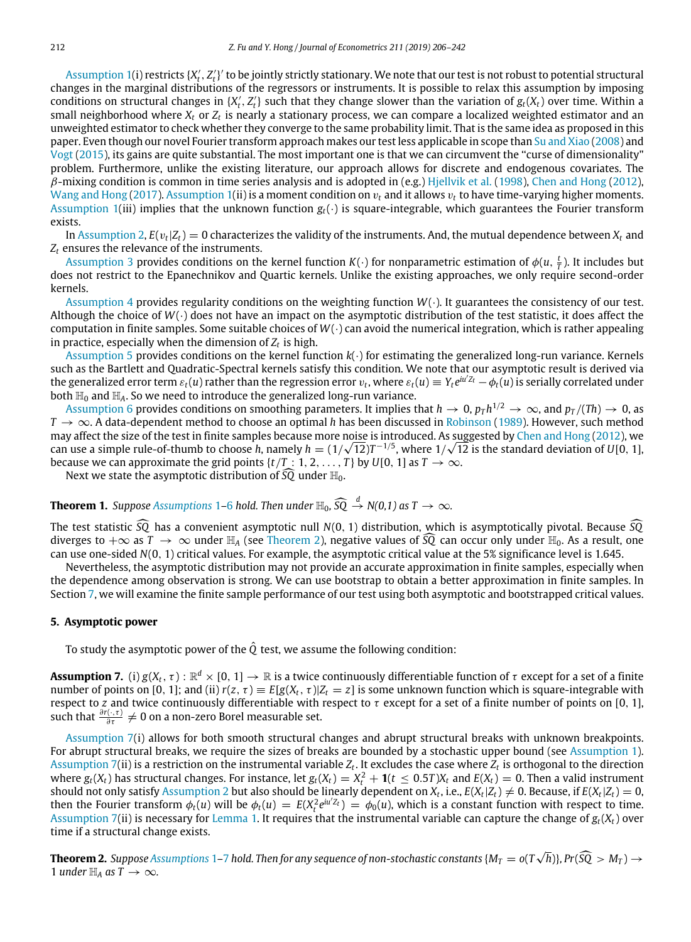[Assumption](#page-5-1)  $1$ (i) restricts  $\{X'_t, Z'_t\}'$  to be jointly strictly stationary. We note that our test is not robust to potential structural changes in the marginal distributions of the regressors or instruments. It is possible to relax this assumption by imposing conditions on structural changes in  $\{X'_t, Z'_t\}$  such that they change slower than the variation of  $g_t(X_t)$  over time. Within a small neighborhood where  $X_t$  or  $Z_t$  is nearly a stationary process, we can compare a localized weighted estimator and an unweighted estimator to check whether they converge to the same probability limit. That is the same idea as proposed in this paper. Even though our novel Fourier transform approach makes our test less applicable in scope than [Su and Xiao](#page-36-10) [\(2008\)](#page-36-10) and [Vogt](#page-36-12) ([2015\)](#page-36-12), its gains are quite substantial. The most important one is that we can circumvent the ''curse of dimensionality" problem. Furthermore, unlike the existing literature, our approach allows for discrete and endogenous covariates. The  $β$ -mixing condition is common in time series analysis and is adopted in (e.g.) [Hjellvik et al.](#page-35-33) ([1998](#page-35-33)), [Chen and Hong](#page-35-16) [\(2012](#page-35-16)), [Wang and Hong](#page-36-14) [\(2017](#page-36-14)). [Assumption](#page-5-1) [1](#page-5-1)(ii) is a moment condition on  $v_t$  and it allows  $v_t$  to have time-varying higher moments. [Assumption](#page-5-1) [1\(](#page-5-1)iii) implies that the unknown function  $g_t(\cdot)$  is square-integrable, which guarantees the Fourier transform exists.

In [Assumption](#page-5-2) [2,](#page-5-2)  $E(v_t|Z_t)=0$  characterizes the validity of the instruments. And, the mutual dependence between  $X_t$  and *Z<sup>t</sup>* ensures the relevance of the instruments.

[Assumption](#page-5-3) [3](#page-5-3) provides conditions on the kernel function  $K(\cdot)$  for nonparametric estimation of  $\phi(u, \frac{t}{T})$ . It includes but does not restrict to the Epanechnikov and Quartic kernels. Unlike the existing approaches, we only require second-order kernels.

[Assumption](#page-5-4) [4](#page-5-4) provides regularity conditions on the weighting function *W*(·). It guarantees the consistency of our test. Although the choice of  $W(\cdot)$  does not have an impact on the asymptotic distribution of the test statistic, it does affect the computation in finite samples. Some suitable choices of *W*(·) can avoid the numerical integration, which is rather appealing in practice, especially when the dimension of  $Z_t$  is high.

[Assumption](#page-5-5) [5](#page-5-5) provides conditions on the kernel function *k*(·) for estimating the generalized long-run variance. Kernels such as the Bartlett and Quadratic-Spectral kernels satisfy this condition. We note that our asymptotic result is derived via the generalized error term  $\varepsilon_t(u)$  rather than the regression error  $v_t$ , where  $\varepsilon_t(u) \equiv Y_t e^{iu^{\prime}Z_t} - \phi_t(u)$  is serially correlated under both  $\mathbb{H}_0$  and  $\mathbb{H}_A$ . So we need to introduce the generalized long-run variance.

[Assumption](#page-5-6) [6](#page-5-6) provides conditions on smoothing parameters. It implies that  $h\to 0$ ,  $p_Th^{1/2}\to\infty$ , and  $p_T/(Th)\to 0$ , as *T* → ∞. A data-dependent method to choose an optimal *h* has been discussed in [Robinson](#page-36-18) ([1989\)](#page-36-18). However, such method may affect the size of the test in finite samples because more noise is introduced. As suggested by [Chen and Hong](#page-35-16) ([2012](#page-35-16)), we √ √ can use a simple rule-of-thumb to choose *h*, namely  $h=(1/\sqrt{12})T^{-1/5}$ , where  $1/\sqrt{12}$  is the standard deviation of  $U[0, 1]$ , because we can approximate the grid points  $\{t/T : 1, 2, ..., T\}$  by  $U[0, 1]$  as  $T \to \infty$ .

<span id="page-6-3"></span>Next we state the asymptotic distribution of  $\widehat{SQ}$  under  $\mathbb{H}_0$ .

**Theorem [1](#page-5-1).** *Suppose [Assumptions](#page-5-1)* 1–[6](#page-5-6) *hold. Then under*  $\mathbb{H}_0$ ,  $\widehat{SQ} \stackrel{d}{\rightarrow} N(0,1)$  as  $T \rightarrow \infty$ *.* 

The test statistic *SQ*<sup>ˆ</sup> has a convenient asymptotic null *<sup>N</sup>*(0, 1) distribution, which is asymptotically pivotal. Because *SQ*<sup>ˆ</sup> diverges to  $+\infty$  as  $T \to \infty$  under  $\mathbb{H}_A$  (see [Theorem](#page-6-1) [2](#page-6-1)), negative values of  $\overline{SQ}$  can occur only under  $\mathbb{H}_0$ . As a result, one can use one-sided *N*(0, 1) critical values. For example, the asymptotic critical value at the 5% significance level is 1.645.

Nevertheless, the asymptotic distribution may not provide an accurate approximation in finite samples, especially when the dependence among observation is strong. We can use bootstrap to obtain a better approximation in finite samples. In Section [7](#page-9-0), we will examine the finite sample performance of our test using both asymptotic and bootstrapped critical values.

#### **5. Asymptotic power**

<span id="page-6-2"></span><span id="page-6-0"></span>To study the asymptotic power of the  $\hat{Q}$  test, we assume the following condition:

**Assumption 7.** (i)  $g(X_t, \tau):\R^d\times[0,1]\to \R$  is a twice continuously differentiable function of  $\tau$  except for a set of a finite number of points on [0, 1]; and (ii)  $r(z, \tau) \equiv E[g(X_t, \tau)|Z_t = z]$  is some unknown function which is square-integrable with respect to *z* and twice continuously differentiable with respect to  $\tau$  except for a set of a finite number of points on [0, 1], such that  $\frac{\partial r(\cdot,\tau)}{\partial \tau}\neq 0$  on a non-zero Borel measurable set.

[Assumption](#page-6-2) [7](#page-6-2)(i) allows for both smooth structural changes and abrupt structural breaks with unknown breakpoints. For abrupt structural breaks, we require the sizes of breaks are bounded by a stochastic upper bound (see [Assumption](#page-5-1) [1](#page-5-1)). [Assumption](#page-6-2) [7\(](#page-6-2)ii) is a restriction on the instrumental variable *Z<sup>t</sup>* . It excludes the case where *Z<sup>t</sup>* is orthogonal to the direction where  $g_t(X_t)$  has structural changes. For instance, let  $g_t(X_t) = X_t^2 + \mathbf{1}(t \le 0.5T)X_t$  and  $E(X_t) = 0$ . Then a valid instrument should not only satisfy [Assumption](#page-5-2) [2](#page-5-2) but also should be linearly dependent on  $X_t$ , i.e.,  $E(X_t|Z_t) \neq 0$ . Because, if  $E(X_t|Z_t) = 0$ , then the Fourier transform  $\phi_t(u)$  will be  $\phi_t(u) = E(X_t^2 e^{iu^2 z_t}) = \phi_0(u)$ , which is a constant function with respect to time. [Assumption](#page-6-2) [7\(](#page-6-2)ii) is necessary for [Lemma](#page-2-3) [1.](#page-2-3) It requires that the instrumental variable can capture the change of  $g_t(X_t)$  over time if a structural change exists.

<span id="page-6-1"></span>**Theorem 2.** Suppose [Assumptions](#page-5-1) [1](#page-5-1)–[7](#page-6-2) hold. Then for any sequence of non-stochastic constants {M<sub>T</sub> = o(T $\sqrt{h}$ )}, Pr(SQ > M<sub>T</sub>)  $\rightarrow$ 1 *under*  $\mathbb{H}_A$  *as*  $T \to \infty$ *.*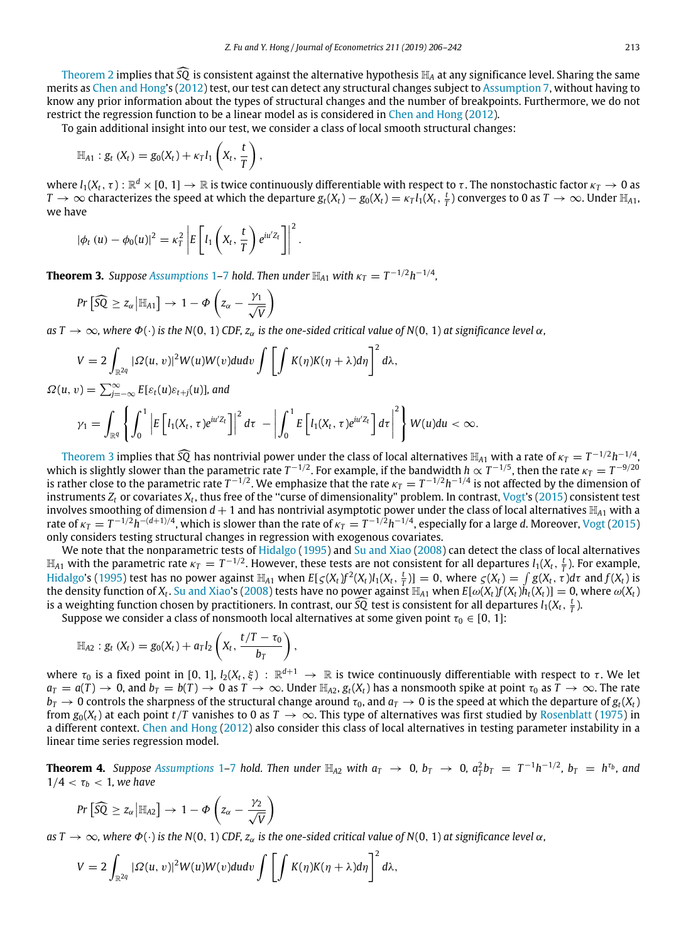To gain additional insight into our test, we consider a class of local smooth structural changes:

$$
\mathbb{H}_{A1}: g_t(X_t) = g_0(X_t) + \kappa_T l_1\left(X_t, \frac{t}{T}\right),
$$

where  $l_1(X_t,\,\tau):\R^d\times[0,\,1]\to\R$  is twice continuously differentiable with respect to  $\tau.$  The nonstochastic factor  $\kappa_T\to0$  as  $T\to\infty$  characterizes the speed at which the departure  $g_t(X_t)-g_0(X_t)=\kappa_Tl_1(X_t,\frac{t}{T})$  converges to 0 as  $T\to\infty$ . Under  $\mathbb{H}_{A1},$ we have

$$
|\phi_t(u) - \phi_0(u)|^2 = \kappa_T^2 \left| E\left[l_1\left(X_t, \frac{t}{T}\right) e^{iu^2 Z_t}\right]\right|^2.
$$

<span id="page-7-0"></span>**Theorem 3.** Suppose [Assumptions](#page-5-1) [1](#page-5-1)–[7](#page-6-2) hold. Then under  $\mathbb{H}_{A1}$  with  $\kappa_T = T^{-1/2}h^{-1/4}$ ,

$$
Pr\left[\widehat{SQ}\geq z_{\alpha}\big|\mathbb{H}_{A1}\right]\rightarrow 1-\Phi\left(z_{\alpha}-\frac{\gamma_{1}}{\sqrt{V}}\right)
$$

 $aS T \to \infty$ *, where*  $\Phi(\cdot)$  *is the* N(0, 1) *CDF, z<sub>α</sub> is the one-sided critical value of* N(0, 1) *at significance level*  $\alpha$ *,* 

$$
V = 2 \int_{\mathbb{R}^{2q}} |\Omega(u, v)|^2 W(u) W(v) du dv \int \left[ \int K(\eta) K(\eta + \lambda) d\eta \right]^2 d\lambda,
$$

 $\Omega(u, v) = \sum_{j=-\infty}^{\infty} E[\varepsilon_t(u)\varepsilon_{t+j}(u)]$ , and

$$
\gamma_1=\int_{\mathbb{R}^q}\left\{\int_0^1\left|E\left[l_1(X_t,\tau)e^{iu^{\prime}Z_t}\right]\right|^2d\tau\right\vert=\left|\int_0^1E\left[l_1(X_t,\tau)e^{iu^{\prime}Z_t}\right]d\tau\right|^2\right\}W(u)du<\infty.
$$

[Theorem](#page-7-0) [3](#page-7-0) implies that  $\widehat{SQ}$  has nontrivial power under the class of local alternatives  $\mathbb{H}_{A1}$  with a rate of  $\kappa_T = T^{-1/2}h^{-1/4}$ , is a clightly clouse than the parametric rate  $T^{-1/2}$ . For example, if the bandwi which is slightly slower than the parametric rate  $T^{-1/2}$ . For example, if the bandwidth  $h\propto T^{-1/5}$ , then the rate  $\kappa_T=T^{-9/20}$ is rather close to the parametric rate  $T^{-1/2}.$  We emphasize that the rate  $\kappa_T=T^{-1/2}h^{-1/4}$  is not affected by the dimension of instruments *Z<sup>t</sup>* or covariates *X<sup>t</sup>* , thus free of the ''curse of dimensionality" problem. In contrast, [Vogt](#page-36-12)'s ([2015](#page-36-12)) consistent test involves smoothing of dimension  $d+1$  and has nontrivial asymptotic power under the class of local alternatives  $\mathbb{H}_{A1}$  with a rate of  $\kappa_T=T^{-1/2}\hbar^{-(d+1)/4}$ , which is slower than the rate of  $\kappa_T=T^{-1/2}h^{-1/4}$ , especially for a large *d*. Moreover, [Vogt](#page-36-12) [\(2015](#page-36-12)) only considers testing structural changes in regression with exogenous covariates.

We note that the nonparametric tests of [Hidalgo](#page-35-21) ([1995\)](#page-35-21) and [Su and Xiao](#page-36-10) [\(2008](#page-36-10)) can detect the class of local alternatives  $\mathbb{H}_{A1}$  with the parametric rate  $\kappa_T=T^{-1/2}$ . However, these tests are not consistent for all departures  $l_1(X_t,\,\frac{t}{T})$ . For example,  $\text{Hidalgo's (1995)}$  $\text{Hidalgo's (1995)}$  $\text{Hidalgo's (1995)}$  $\text{Hidalgo's (1995)}$  $\text{Hidalgo's (1995)}$  test has no power against  $\mathbb{H}_{A1}$  when  $E\left[\zeta(X_t)f^2(X_t)I_1(X_t, \frac{1}{T})\right] = 0$ , where  $\zeta(X_t) = \int g(X_t, \tau) d\tau$  and  $f(X_t)$  is the density function of Xt. [Su and Xiao'](#page-36-10)s [\(2008\)](#page-36-10) tests have no power against  $\mathbb{H}_{A1}$  when  $E[\omega(X_t)f(X_t)\dot{h}_t(X_t)]=0,$  where  $\omega(X_t)$ is a weighting function chosen by practitioners. In contrast, our  $\widehat{SQ}$  test is consistent for all departures  $l_1(X_t, \frac{t}{T})$ .

Suppose we consider a class of nonsmooth local alternatives at some given point  $\tau_0 \in [0, 1]$ :

$$
\mathbb{H}_{A2}: g_t(X_t)=g_0(X_t)+a_Tl_2\left(X_t,\frac{t/T-\tau_0}{b_T}\right),
$$

where  $\tau_0$  is a fixed point in [0, 1],  $l_2(X_t,\xi)$  :  $\R^{d+1}\to\R$  is twice continuously differentiable with respect to  $\tau.$  We let  $a_T = a(T) \rightarrow 0$ , and  $b_T = b(T) \rightarrow 0$  as  $T \rightarrow \infty$ . Under  $\mathbb{H}_{A_2}$ ,  $g_t(X_t)$  has a nonsmooth spike at point  $\tau_0$  as  $T \rightarrow \infty$ . The rate  $b_T \to 0$  controls the sharpness of the structural change around  $\tau_0$ , and  $a_T \to 0$  is the speed at which the departure of  $g_t(X_t)$ from  $g_0(X_t)$  at each point  $t/T$  vanishes to 0 as  $T \to \infty$ . This type of alternatives was first studied by [Rosenblatt](#page-36-19) [\(1975](#page-36-19)) in a different context. [Chen and Hong](#page-35-16) ([2012\)](#page-35-16) also consider this class of local alternatives in testing parameter instability in a linear time series regression model.

**Theorem 4.** Suppose [Assumptions](#page-5-1) [1](#page-5-1)–[7](#page-6-2) hold. Then under  $\mathbb{H}_{A2}$  with  $a_T \to 0$ ,  $b_T \to 0$ ,  $a_T^2 b_T = T^{-1}h^{-1/2}$ ,  $b_T = h^{\tau_b}$ , and  $1/4 < \tau_b < 1$ , we have

<span id="page-7-1"></span>
$$
Pr\left[\widehat{SQ}\geq z_{\alpha}\big|\mathbb{H}_{A2}\right]\rightarrow 1-\Phi\left(z_{\alpha}-\frac{\gamma_{2}}{\sqrt{V}}\right)
$$

 $aS T \rightarrow \infty$ *, where*  $\Phi(\cdot)$  *is the* N(0, 1) *CDF,*  $z_\alpha$  *is the one-sided critical value of* N(0, 1) *at significance level*  $\alpha$ *,* 

$$
V = 2 \int_{\mathbb{R}^{2q}} |\Omega(u,v)|^2 W(u) W(v) du dv \int \left[ \int K(\eta) K(\eta + \lambda) d\eta \right]^2 d\lambda,
$$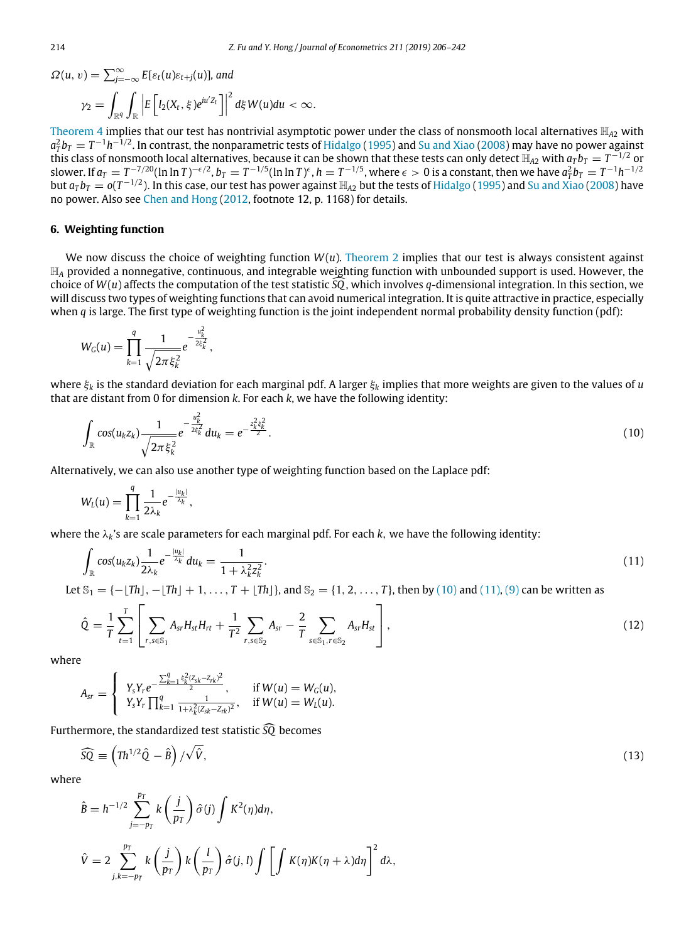$\Omega(u, v) = \sum_{j=-\infty}^{\infty} E[\varepsilon_t(u)\varepsilon_{t+j}(u)]$ , and  $y_2 =$ R*q* ∫ R  $\left| E\left[l_2(X_t,\xi)e^{iu^2Z_t}\right]\right|$ 2 *d*ξ*W*(*u*)*du* < ∞.

[Theorem](#page-7-1) [4](#page-7-1) implies that our test has nontrivial asymptotic power under the class of nonsmooth local alternatives H*A*<sup>2</sup> with  $a_T^2b_T=T^{-1}h^{-1/2}$ . In contrast, the nonparametric tests of [Hidalgo](#page-35-21) ([1995\)](#page-35-21) and [Su and Xiao](#page-36-10) [\(2008](#page-36-10)) may have no power against this class of nonsmooth local alternatives, because it can be shown that these tests can only detect  $\mathbb{H}_{A2}$  with  $a_Tb_T=T^{-1/2}$  or slower. If  $a_T = T^{-7/20}(\ln \ln T)^{-\epsilon/2}$ ,  $b_T = T^{-1/5}(\ln \ln T)^{\epsilon}$ ,  $h = T^{-1/5}$ , where  $\epsilon > 0$  is a constant, then we have  $a_T^2 b_T = T^{-1}h^{-1/2}$ but  $a_Tb_T=$   $o(T^{-1/2})$ . In this case, our test has power against  $\mathbb{H}_{A2}$  but the tests of [Hidalgo](#page-35-21) ([1995\)](#page-35-21) and [Su and Xiao](#page-36-10) [\(2008](#page-36-10)) have no power. Also see [Chen and Hong](#page-35-16) [\(2012,](#page-35-16) footnote 12, p. 1168) for details.

## **6. Weighting function**

<span id="page-8-0"></span>We now discuss the choice of weighting function *W*(*u*). [Theorem](#page-6-1) [2](#page-6-1) implies that our test is always consistent against H*<sup>A</sup>* provided a nonnegative, continuous, and integrable weighting function with unbounded support is used. However, the choice of  $W(u)$  affects the computation of the test statistic  $\widehat{SQ}$ , which involves *q*-dimensional integration. In this section, we will discuss two types of weighting functions that can avoid numerical integration. It is quite attractive in practice, especially when *q* is large. The first type of weighting function is the joint independent normal probability density function (pdf):

$$
W_G(u) = \prod_{k=1}^q \frac{1}{\sqrt{2\pi \xi_k^2}} e^{-\frac{u_k^2}{2\xi_k^2}},
$$

where ξ*<sup>k</sup>* is the standard deviation for each marginal pdf. A larger ξ*<sup>k</sup>* implies that more weights are given to the values of *u* that are distant from 0 for dimension *k*. For each *k*, we have the following identity:

<span id="page-8-1"></span>
$$
\int_{\mathbb{R}} \cos(u_k z_k) \frac{1}{\sqrt{2\pi \xi_k^2}} e^{-\frac{u_k^2}{2\xi_k^2}} du_k = e^{-\frac{z_k^2 \xi_k^2}{2}}.
$$
\n(10)

Alternatively, we can also use another type of weighting function based on the Laplace pdf:

$$
W_L(u)=\prod_{k=1}^q\frac{1}{2\lambda_k}e^{-\frac{|u_k|}{\lambda_k}},
$$

where the λ*k*'s are scale parameters for each marginal pdf. For each *k*, we have the following identity:

<span id="page-8-2"></span>
$$
\int_{\mathbb{R}} \cos(u_k z_k) \frac{1}{2\lambda_k} e^{-\frac{|u_k|}{\lambda_k}} du_k = \frac{1}{1 + \lambda_k^2 z_k^2}.
$$
\n(11)

Let  $\mathbb{S}_1 = \{-\lfloor Th \rfloor, -\lfloor Th \rfloor + 1, \ldots, T + \lfloor Th \rfloor\}$ , and  $\mathbb{S}_2 = \{1, 2, \ldots, T\}$ , then by [\(10\)](#page-8-1) and [\(11](#page-8-2)), [\(9](#page-4-1)) can be written as

$$
\hat{Q} = \frac{1}{T} \sum_{t=1}^{T} \left[ \sum_{r,s \in \mathbb{S}_1} A_{sr} H_{st} H_{rt} + \frac{1}{T^2} \sum_{r,s \in \mathbb{S}_2} A_{sr} - \frac{2}{T} \sum_{s \in \mathbb{S}_1, r \in \mathbb{S}_2} A_{sr} H_{st} \right],
$$
\n(12)

where

$$
A_{sr} = \begin{cases} Y_s Y_r e^{-\frac{\sum_{k=1}^q \xi_k^2 (Z_{sk} - Z_{rk})^2}{2}}, & \text{if } W(u) = W_G(u), \\ Y_s Y_r \prod_{k=1}^q \frac{1}{1 + \lambda_k^2 (Z_{sk} - Z_{rk})^2}, & \text{if } W(u) = W_L(u). \end{cases}
$$

Furthermore, the standardized test statistic *SQ*ˆ becomes

$$
\widehat{SQ} \equiv \left(Th^{1/2}\hat{Q} - \hat{B}\right) / \sqrt{\hat{V}},\tag{13}
$$

where

$$
\hat{B} = h^{-1/2} \sum_{j=-p_T}^{p_T} k\left(\frac{j}{p_T}\right) \hat{\sigma}(j) \int K^2(\eta) d\eta,
$$
  

$$
\hat{V} = 2 \sum_{j,k=-p_T}^{p_T} k\left(\frac{j}{p_T}\right) k\left(\frac{l}{p_T}\right) \hat{\sigma}(j,l) \int \left[\int K(\eta)K(\eta+\lambda)d\eta\right]^2 d\lambda,
$$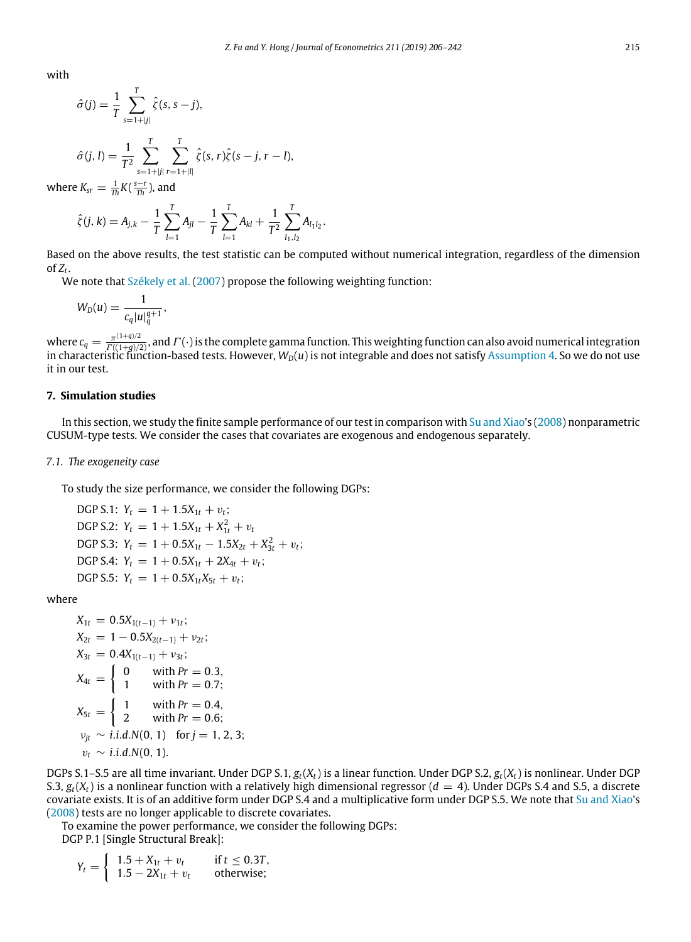with

$$
\hat{\sigma}(j) = \frac{1}{T} \sum_{s=1+|j|}^{T} \hat{\zeta}(s, s - j),
$$
  

$$
\hat{\sigma}(j, l) = \frac{1}{T^2} \sum_{s=1+|j|}^{T} \sum_{r=1+|l|}^{T} \hat{\zeta}(s, r) \hat{\zeta}(s - j, r - l),
$$

where  $K_{sr} = \frac{1}{Th} K(\frac{s-r}{Th})$ , and

$$
\hat{\zeta}(j,k) = A_{j,k} - \frac{1}{T} \sum_{l=1}^{T} A_{jl} - \frac{1}{T} \sum_{l=1}^{T} A_{kl} + \frac{1}{T^2} \sum_{l_1,l_2}^{T} A_{l_1l_2}.
$$

Based on the above results, the test statistic can be computed without numerical integration, regardless of the dimension of  $Z_t$ .

We note that [Székely et al.](#page-36-20) [\(2007](#page-36-20)) propose the following weighting function:

$$
W_D(u)=\frac{1}{c_q|u|_q^{q+1}},
$$

where  $c_q=\frac{\pi^{(1+q)/2}}{\Gamma((1+q)/2)}$ , and  $\Gamma(\cdot)$  is the complete gamma function. This weighting function can also avoid numerical integration in characteristic function-based tests. However, *WD*(*u*) is not integrable and does not satisfy [Assumption](#page-5-4) [4](#page-5-4). So we do not use it in our test.

## **7. Simulation studies**

<span id="page-9-0"></span>In this section, we study the finite sample performance of our test in comparison with  $Su$  and Xiao's ([2008](#page-36-10)) nonparametric CUSUM-type tests. We consider the cases that covariates are exogenous and endogenous separately.

## *7.1. The exogeneity case*

To study the size performance, we consider the following DGPs:

DGP S.1:  $Y_t = 1 + 1.5X_{1t} + v_t;$ DGP S.2:  $Y_t = 1 + 1.5X_{1t} + X_{1t}^2 + v_t$ DGP S.3:  $Y_t = 1 + 0.5X_{1t} - 1.5X_{2t} + X_{3t}^2 + v_t;$ DGP S.4:  $Y_t = 1 + 0.5X_{1t} + 2X_{4t} + v_t;$ DGP S.5:  $Y_t = 1 + 0.5X_{1t}X_{5t} + v_t;$ 

where

$$
X_{1t} = 0.5X_{1(t-1)} + v_{1t};
$$
  
\n
$$
X_{2t} = 1 - 0.5X_{2(t-1)} + v_{2t};
$$
  
\n
$$
X_{3t} = 0.4X_{1(t-1)} + v_{3t};
$$
  
\n
$$
X_{4t} = \begin{cases} 0 & \text{with } Pr = 0.3, \\ 1 & \text{with } Pr = 0.7; \end{cases}
$$
  
\n
$$
X_{5t} = \begin{cases} 1 & \text{with } Pr = 0.4, \\ 2 & \text{with } Pr = 0.6; \\ v_{jt} \sim i.i.d.N(0, 1) & \text{for } j = 1, 2, 3; \end{cases}
$$
  
\n
$$
v_t \sim i.i.d.N(0, 1).
$$

DGPs S.1–S.5 are all time invariant. Under DGP S.1, *gt*(*Xt*) is a linear function. Under DGP S.2, *gt*(*Xt*) is nonlinear. Under DGP S.3,  $g_t(X_t)$  is a nonlinear function with a relatively high dimensional regressor ( $d = 4$ ). Under DGPs S.4 and S.5, a discrete covariate exists. It is of an additive form under DGP S.4 and a multiplicative form under DGP S.5. We note that [Su and Xiao'](#page-36-10)s ([2008](#page-36-10)) tests are no longer applicable to discrete covariates.

To examine the power performance, we consider the following DGPs:

DGP P.1 [Single Structural Break]:

$$
Y_t = \begin{cases} 1.5 + X_{1t} + v_t & \text{if } t \le 0.3T, \\ 1.5 - 2X_{1t} + v_t & \text{otherwise;} \end{cases}
$$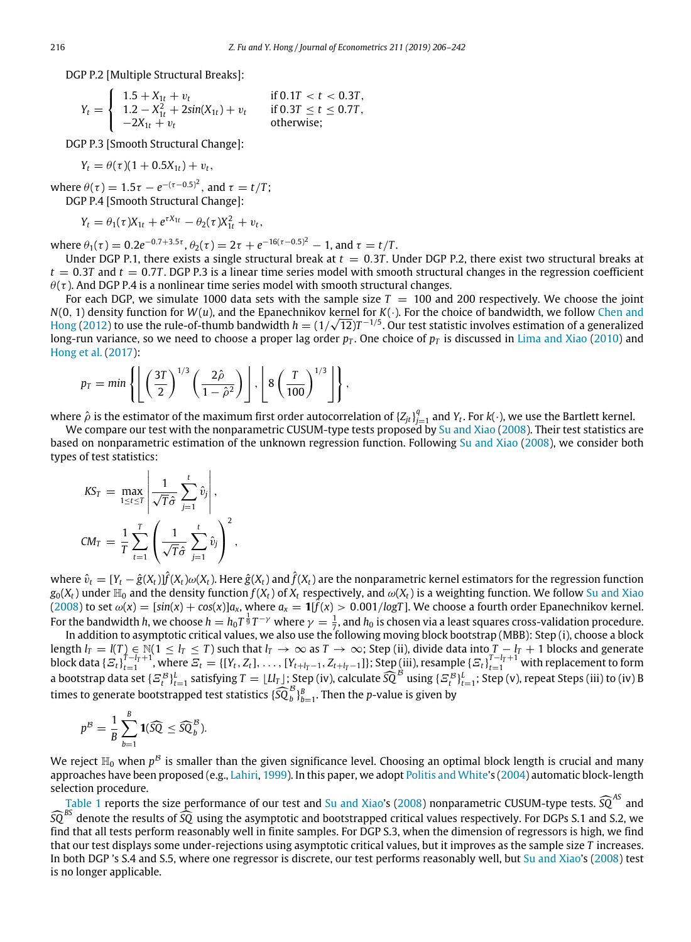DGP P.2 [Multiple Structural Breaks]:

$$
Y_t = \begin{cases} 1.5 + X_{1t} + v_t & \text{if } 0.1T < t < 0.3T, \\ 1.2 - X_{1t}^2 + 2\sin(X_{1t}) + v_t & \text{if } 0.3T \le t \le 0.7T, \\ -2X_{1t} + v_t & \text{otherwise;} \end{cases}
$$

DGP P.3 [Smooth Structural Change]:

$$
Y_t = \theta(\tau)(1 + 0.5X_{1t}) + v_t,
$$

where  $\theta(\tau) = 1.5\tau - e^{-(\tau - 0.5)^2}$ , and  $\tau = t/T$ ;

DGP P.4 [Smooth Structural Change]:

$$
Y_t = \theta_1(\tau)X_{1t} + e^{\tau X_{1t}} - \theta_2(\tau)X_{1t}^2 + v_t,
$$

where  $\theta_1(\tau) = 0.2e^{-0.7 + 3.5\tau}$ ,  $\theta_2(\tau) = 2\tau + e^{-16(\tau - 0.5)^2} - 1$ , and  $\tau = t/T$ .

Under DGP P.1, there exists a single structural break at  $t = 0.3T$ . Under DGP P.2, there exist two structural breaks at  $t = 0.3T$  and  $t = 0.7T$ . DGP P.3 is a linear time series model with smooth structural changes in the regression coefficient  $\theta(\tau)$ . And DGP P.4 is a nonlinear time series model with smooth structural changes.

For each DGP, we simulate 1000 data sets with the sample size  $T = 100$  and 200 respectively. We choose the joint *N*(0, 1) density function for *W*(*u*), and the Epanechnikov kernel for *K*(⋅). For the choice of bandwidth, we follow [Chen and](#page-35-16) [Hong](#page-35-16) [\(2012\)](#page-35-16) to use the rule-of-thumb bandwidth  $h=(1/\sqrt{12})T^{-1/5}$ . Our test statistic involves estimation of a generalized long-run variance, so we need to choose a proper lag order  $p<sub>T</sub>$ . One choice of  $p<sub>T</sub>$  is discussed in [Lima and Xiao](#page-35-34) [\(2010\)](#page-35-34) and [Hong et al.](#page-35-22) ([2017\)](#page-35-22):

$$
p_T = \min \left\{ \left\lfloor \left( \frac{3T}{2} \right)^{1/3} \left( \frac{2\hat{\rho}}{1 - \hat{\rho}^2} \right) \right\rfloor, \left\lfloor 8 \left( \frac{T}{100} \right)^{1/3} \right\rfloor \right\}
$$

where  $\hat{\rho}$  is the estimator of the maximum first order autocorrelation of  $\{Z_j_t\}_{j=1}^q$  and  $Y_t$ . For  $k(\cdot)$ , we use the Bartlett kernel.

,

We compare our test with the nonparametric CUSUM-type tests proposed by [Su and Xiao](#page-36-10) ([2008\)](#page-36-10). Their test statistics are based on nonparametric estimation of the unknown regression function. Following [Su and Xiao](#page-36-10) ([2008](#page-36-10)), we consider both types of test statistics:

$$
KS_T = \max_{1 \leq t \leq T} \left| \frac{1}{\sqrt{T}\hat{\sigma}} \sum_{j=1}^t \hat{v}_j \right|,
$$
  

$$
CM_T = \frac{1}{T} \sum_{t=1}^T \left( \frac{1}{\sqrt{T}\hat{\sigma}} \sum_{j=1}^t \hat{v}_j \right)^2,
$$

where  $\hat{v}_t=[Y_t-\hat{g}(X_t)]\hat{f}(X_t)\omega(X_t).$  Here  $\hat{g}(X_t)$  and  $\hat{f}(X_t)$  are the nonparametric kernel estimators for the regression function  $g_0(X_t)$  under  $\mathbb{H}_0$  and the density function  $f(X_t)$  of  $X_t$  respectively, and  $\omega(X_t)$  is a weighting function. We follow [Su and Xiao](#page-36-10)  $(2008)$  $(2008)$  $(2008)$  to set  $\omega(x) = [\sin(x) + \cos(x)]a_x$ , where  $a_x = 1[\hat{f}(x) > 0.001/\log T]$ . We choose a fourth order Epanechnikov kernel. For the bandwidth *h*, we choose  $h = h_0 T^{\frac{1}{9}} T^{-\gamma}$  where  $\gamma = \frac{1}{7}$ , and  $h_0$  is chosen via a least squares cross-validation procedure.

In addition to asymptotic critical values, we also use the following moving block bootstrap (MBB): Step (i), choose a block length  $l_T = l(T) \in \mathbb{N}(1 \le l_T \le T)$  such that  $l_T \to \infty$  as  $T \to \infty$ ; Step (ii), divide data into  $T - l_T + 1$  blocks and generate block data  $\{E_t\}_{t=1}^{f-l_T+1}$ , where  $\overline{E}_t=\{[Y_t,Z_t],\ldots,[Y_{t+l_T-1},Z_{t+l_T-1}]\}$ ; Step (iii), resample  $\{E_t\}_{t=1}^{T-l_T+1}$  with replacement to form a bootstrap data set  $\{ \mathcal{Z}_t^{\mathcal{B}} \}_{t=1}^L$  satisfying  $T = \lfloor L \rfloor$ ; Step (iv), calculate  $\widehat{\mathfrak{Q}}^{\mathcal{B}}$  using  $\{ \mathcal{Z}_t^{\mathcal{B}} \}_{t=1}^L$ ; Step (v), repeat Steps (iii) to (iv) B times to generate bootstrapped test statistics  $\{\widehat{SQ}_{b}^{B}\}_{b=1}^{B}$ . Then the *p*-value is given by

$$
p^{\mathcal{B}} = \frac{1}{B} \sum_{b=1}^{B} \mathbf{1}(\widehat{SQ} \leq \widehat{SQ}_{b}^{\mathcal{B}}).
$$

We reject  $\mathbb{H}_0$  when  $p^\mathcal{B}$  is smaller than the given significance level. Choosing an optimal block length is crucial and many approaches have been proposed (e.g., [Lahiri](#page-35-35), [1999](#page-35-35)). In this paper, we adopt [Politis and White'](#page-36-21)s ([2004](#page-36-21)) automatic block-length selection procedure.

[Table](#page-11-0) [1](#page-11-0) reports the size performance of our test and [Su and Xiao](#page-36-10)'s ([2008\)](#page-36-10) nonparametric CUSUM-type tests.  $\widehat{SQ}^{AS}$  and  $\widehat{SQ}^{BS}$  denote the results of  $\widehat{SQ}$  using the asymptotic and bootstrapped critical values respectively. For DGPs S.1 and S.2, we find that all tests perform reasonably well in finite samples. For DGP S.3, when the dimension of regressors is high, we find that our test displays some under-rejections using asymptotic critical values, but it improves as the sample size *T* increases. In both DGP 's S.4 and S.5, where one regressor is discrete, our test performs reasonably well, but [Su and Xiao'](#page-36-10)s ([2008\)](#page-36-10) test is no longer applicable.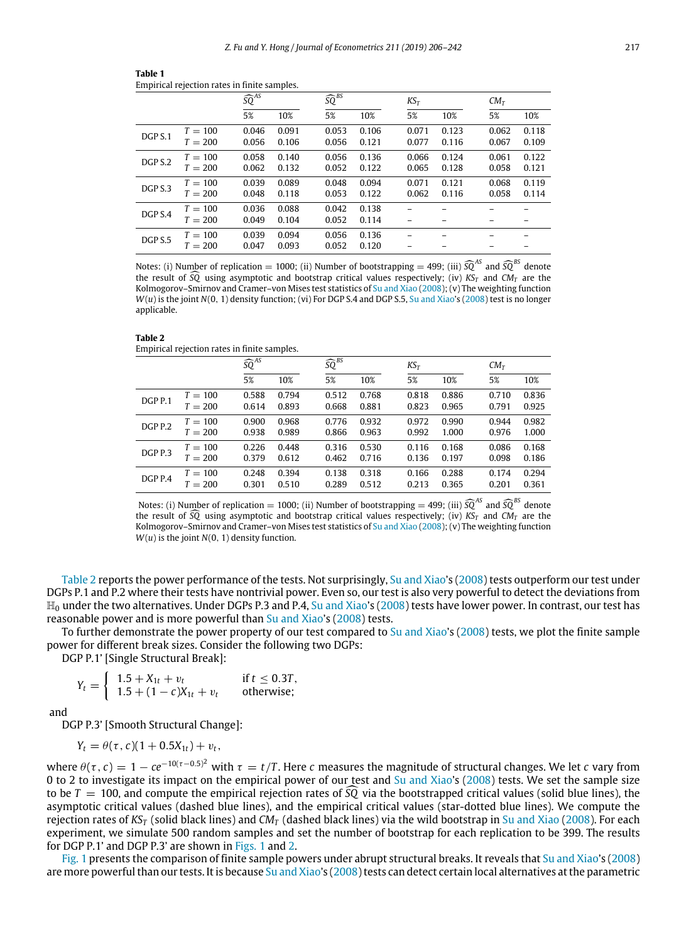<span id="page-11-0"></span>

| Table 1                                      |
|----------------------------------------------|
| Empirical rejection rates in finite samples. |

|                     |                        | $\widehat{SQ}^{AS}$ |                | $\widehat{SQ}^{BS}$ |                | $KS_T$         |                | $CM_T$         |                |
|---------------------|------------------------|---------------------|----------------|---------------------|----------------|----------------|----------------|----------------|----------------|
|                     |                        | 5%                  | 10%            | 5%                  | 10%            | 5%             | 10%            | 5%             | 10%            |
| DGP <sub>S.1</sub>  | $T = 100$<br>$T = 200$ | 0.046<br>0.056      | 0.091<br>0.106 | 0.053<br>0.056      | 0.106<br>0.121 | 0.071<br>0.077 | 0.123<br>0.116 | 0.062<br>0.067 | 0.118<br>0.109 |
| DGP <sub>S.2</sub>  | $T = 100$<br>$T = 200$ | 0.058<br>0.062      | 0.140<br>0.132 | 0.056<br>0.052      | 0.136<br>0.122 | 0.066<br>0.065 | 0.124<br>0.128 | 0.061<br>0.058 | 0.122<br>0.121 |
| DGP <sub>S</sub> 3  | $T = 100$<br>$T = 200$ | 0.039<br>0.048      | 0.089<br>0.118 | 0.048<br>0.053      | 0.094<br>0.122 | 0.071<br>0.062 | 0.121<br>0.116 | 0.068<br>0.058 | 0.119<br>0.114 |
| DGP <sub>S.4</sub>  | $T = 100$<br>$T = 200$ | 0.036<br>0.049      | 0.088<br>0.104 | 0.042<br>0.052      | 0.138<br>0.114 |                |                |                |                |
| DGP <sub>S</sub> .5 | $T = 100$<br>$T = 200$ | 0.039<br>0.047      | 0.094<br>0.093 | 0.056<br>0.052      | 0.136<br>0.120 |                |                |                |                |

Notes: (i) Number of replication = 1000; (ii) Number of bootstrapping = 499; (iii)  $\widehat{SO}^{AS}$  and  $\widehat{SO}^{BS}$  denote the result of *SQ*ˆ using asymptotic and bootstrap critical values respectively; (iv) *KS<sup>T</sup>* and *CM<sup>T</sup>* are the Kolmogorov–Smirnov and Cramer–von Mises test statistics of [Su and Xiao](#page-36-10) ([2008](#page-36-10)); (v) The weighting function *W*(*u*) is the joint *N*(0, 1) density function; (vi) For DGP S.4 and DGP S.5, [Su and Xiao](#page-36-10)'s ([2008](#page-36-10)) test is no longer applicable.

<span id="page-11-1"></span>

| Table 2 |                                              |  |  |
|---------|----------------------------------------------|--|--|
|         | Empirical rejection rates in finite samples. |  |  |

|         |           | $\widehat{SQ}^{AS}$ |       | $\widehat{SQ}^{BS}$ |       | $KS_T$ |       | $CM_{T}$ |       |
|---------|-----------|---------------------|-------|---------------------|-------|--------|-------|----------|-------|
|         |           | 5%                  | 10%   | 5%                  | 10%   | 5%     | 10%   | 5%       | 10%   |
| DGP P.1 | $T = 100$ | 0.588               | 0.794 | 0.512               | 0.768 | 0.818  | 0.886 | 0.710    | 0.836 |
|         | $T = 200$ | 0.614               | 0.893 | 0.668               | 0.881 | 0.823  | 0.965 | 0.791    | 0.925 |
| DGP P.2 | $T = 100$ | 0.900               | 0.968 | 0.776               | 0.932 | 0.972  | 0.990 | 0.944    | 0.982 |
|         | $T = 200$ | 0.938               | 0.989 | 0.866               | 0.963 | 0.992  | 1.000 | 0.976    | 1.000 |
| DGP P.3 | $T = 100$ | 0.226               | 0.448 | 0.316               | 0.530 | 0.116  | 0.168 | 0.086    | 0.168 |
|         | $T = 200$ | 0.379               | 0.612 | 0.462               | 0.716 | 0.136  | 0.197 | 0.098    | 0.186 |
| DGP P.4 | $T = 100$ | 0.248               | 0.394 | 0.138               | 0.318 | 0.166  | 0.288 | 0.174    | 0.294 |
|         | $T = 200$ | 0.301               | 0.510 | 0.289               | 0.512 | 0.213  | 0.365 | 0.201    | 0.361 |

Notes: (i) Number of replication = 1000; (ii) Number of bootstrapping = 499; (iii)  $\widehat{SQ}^{AS}$  and  $\widehat{SQ}^{BS}$  denote the result of *SQ*ˆ using asymptotic and bootstrap critical values respectively; (iv) *KS<sup>T</sup>* and *CM<sup>T</sup>* are the Kolmogorov–Smirnov and Cramer–von Mises test statistics of [Su and Xiao](#page-36-10) ([2008](#page-36-10)); (v) The weighting function *W*(*u*) is the joint *N*(0, 1) density function.

[Table](#page-11-1) [2](#page-11-1) reports the power performance of the tests. Not surprisingly, [Su and Xiao](#page-36-10)'s ([2008\)](#page-36-10) tests outperform our test under DGPs P.1 and P.2 where their tests have nontrivial power. Even so, our test is also very powerful to detect the deviations from  $\mathbb{H}_0$  under the two alternatives. Under DGPs P.3 and P.4, [Su and Xiao'](#page-36-10)s [\(2008](#page-36-10)) tests have lower power. In contrast, our test has reasonable power and is more powerful than [Su and Xiao'](#page-36-10)s ([2008\)](#page-36-10) tests.

To further demonstrate the power property of our test compared to [Su and Xiao](#page-36-10)'s [\(2008](#page-36-10)) tests, we plot the finite sample power for different break sizes. Consider the following two DGPs:

DGP P.1' [Single Structural Break]:

$$
Y_t = \begin{cases} 1.5 + X_{1t} + v_t & \text{if } t \le 0.3T, \\ 1.5 + (1 - c)X_{1t} + v_t & \text{otherwise}; \end{cases}
$$

and

DGP P.3' [Smooth Structural Change]:

$$
Y_t = \theta(\tau, c)(1 + 0.5X_{1t}) + v_t,
$$

where  $\theta(\tau,c)=1-ce^{-10(\tau-0.5)^2}$  with  $\tau=t/T$ . Here  $c$  measures the magnitude of structural changes. We let  $c$  vary from 0 to 2 to investigate its impact on the empirical power of our test and [Su and Xiao'](#page-36-10)s ([2008](#page-36-10)) tests. We set the sample size to be  $T = 100$ , and compute the empirical rejection rates of  $\overline{SQ}$  via the bootstrapped critical values (solid blue lines), the asymptotic critical values (dashed blue lines), and the empirical critical values (star-dotted blue lines). We compute the rejection rates of *KS<sup>T</sup>* (solid black lines) and *CM<sup>T</sup>* (dashed black lines) via the wild bootstrap in [Su and Xiao](#page-36-10) [\(2008](#page-36-10)). For each experiment, we simulate 500 random samples and set the number of bootstrap for each replication to be 399. The results for DGP P.1' and DGP P.3' are shown in [Figs.](#page-12-0) [1](#page-12-0) and [2](#page-12-1).

[Fig.](#page-12-0) [1](#page-12-0) presents the comparison of finite sample powers under abrupt structural breaks. It reveals that [Su and Xiao'](#page-36-10)s [\(2008](#page-36-10)) are more powerful than our tests. It is because [Su and Xiao'](#page-36-10)s ([2008](#page-36-10)) tests can detect certain local alternatives at the parametric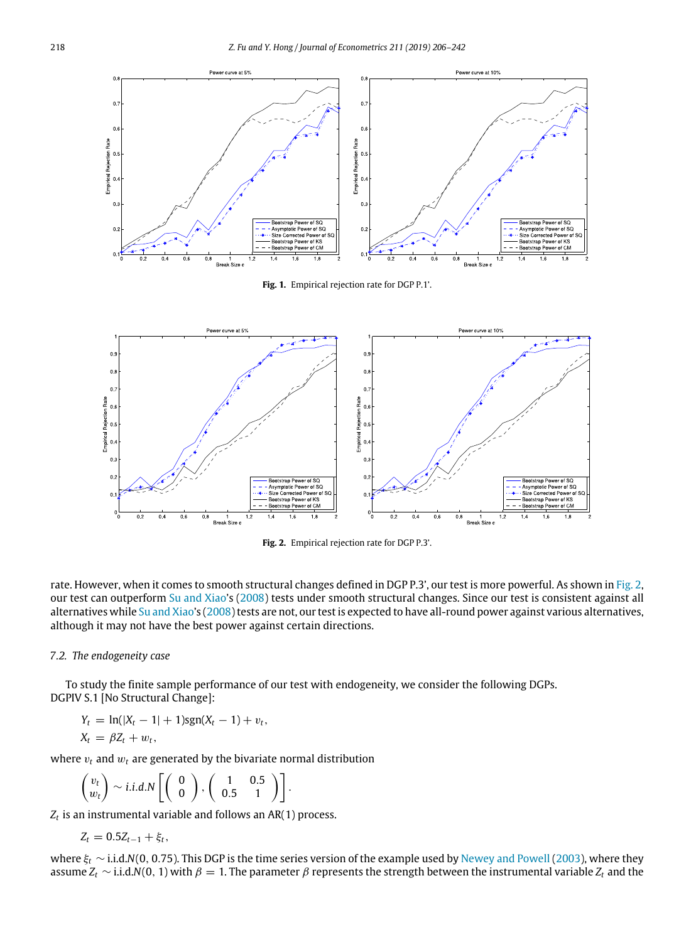

**Fig. 1.** Empirical rejection rate for DGP P.1'.

<span id="page-12-0"></span>

**Fig. 2.** Empirical rejection rate for DGP P.3'.

<span id="page-12-1"></span>rate. However, when it comes to smooth structural changes defined in DGP P.3', our test is more powerful. As shown in [Fig.](#page-12-1) [2](#page-12-1), our test can outperform [Su and Xiao](#page-36-10)'s [\(2008\)](#page-36-10) tests under smooth structural changes. Since our test is consistent against all alternatives while [Su and Xiao'](#page-36-10)s [\(2008](#page-36-10)) tests are not, our test is expected to have all-round power against various alternatives, although it may not have the best power against certain directions.

## *7.2. The endogeneity case*

To study the finite sample performance of our test with endogeneity, we consider the following DGPs. DGPIV S.1 [No Structural Change]:

 $Y_t = \ln(|X_t - 1| + 1)$ sgn( $X_t - 1$ ) +  $v_t$ ,  $X_t = \beta Z_t + w_t$ ,

where  $v_t$  and  $w_t$  are generated by the bivariate normal distribution

$$
\begin{pmatrix} v_t \\ w_t \end{pmatrix} \sim i.i.d.N \left[ \begin{pmatrix} 0 \\ 0 \end{pmatrix}, \begin{pmatrix} 1 & 0.5 \\ 0.5 & 1 \end{pmatrix} \right].
$$

*Zt* is an instrumental variable and follows an AR(1) process.

$$
Z_t=0.5Z_{t-1}+\xi_t,
$$

where ξ*<sup>t</sup>* ∼ i.i.d.*N*(0, 0.75). This DGP is the time series version of the example used by [Newey and Powell](#page-36-16) [\(2003\)](#page-36-16), where they assume  $Z_t \sim i.i.d.N(0, 1)$  with  $\beta = 1$ . The parameter  $\beta$  represents the strength between the instrumental variable  $Z_t$  and the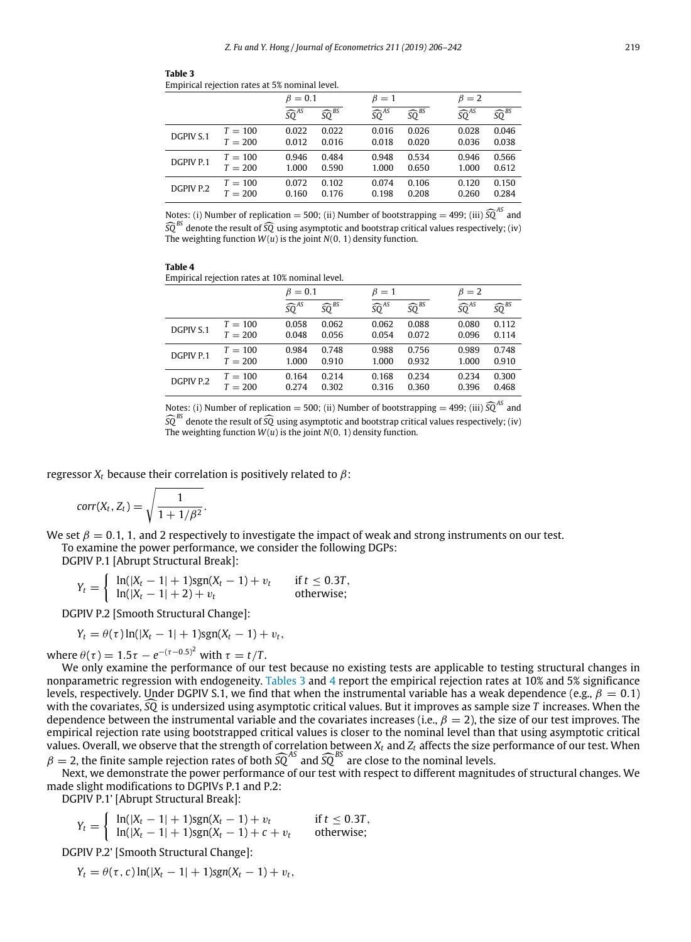<span id="page-13-0"></span>

| Table 3                                        |
|------------------------------------------------|
| Empirical rejection rates at 5% nominal level. |

|           |           | $\beta = 0.1$       |                     | $\beta=1$           |                     | $\beta = 2$         |                     |
|-----------|-----------|---------------------|---------------------|---------------------|---------------------|---------------------|---------------------|
|           |           | $\widehat{SQ}^{AS}$ | $\widehat{SQ}^{BS}$ | $\widehat{SQ}^{AS}$ | $\widehat{SQ}^{BS}$ | $\widehat{SQ}^{AS}$ | $\widehat{SQ}^{BS}$ |
| DGPIV S.1 | $T = 100$ | 0.022               | 0.022               | 0.016               | 0.026               | 0.028               | 0.046               |
|           | $T = 200$ | 0.012               | 0.016               | 0.018               | 0.020               | 0.036               | 0.038               |
| DGPIV P.1 | $T = 100$ | 0.946               | 0.484               | 0.948               | 0.534               | 0.946               | 0.566               |
|           | $T = 200$ | 1.000               | 0.590               | 1.000               | 0.650               | 1.000               | 0.612               |
| DGPIV P.2 | $T = 100$ | 0.072               | 0.102               | 0.074               | 0.106               | 0.120               | 0.150               |
|           | $T = 200$ | 0.160               | 0.176               | 0.198               | 0.208               | 0.260               | 0.284               |

Notes: (i) Number of replication = 500; (ii) Number of bootstrapping = 499; (iii)  $\widehat{SO}^{AS}$  and  $\widehat{SQ}^{BS}$  denote the result of  $\widehat{SQ}$  using asymptotic and bootstrap critical values respectively; (iv) The weighting function  $W(u)$  is the joint  $N(0, 1)$  density function.

#### <span id="page-13-1"></span>**Table 4**

Empirical rejection rates at 10% nominal level.

|           |           | $\beta=0.1$         |                     | $\beta=1$           |                     | $\beta = 2$         |                     |
|-----------|-----------|---------------------|---------------------|---------------------|---------------------|---------------------|---------------------|
|           |           | $\widehat{SQ}^{AS}$ | $\widehat{SQ}^{BS}$ | $\widehat{SQ}^{AS}$ | $\widehat{SO}^{BS}$ | $\widehat{SO}^{AS}$ | $\widehat{SQ}^{BS}$ |
| DGPIV S.1 | $T = 100$ | 0.058               | 0.062               | 0.062               | 0.088               | 0.080               | 0.112               |
|           | $T = 200$ | 0.048               | 0.056               | 0.054               | 0.072               | 0.096               | 0.114               |
| DGPIV P.1 | $T = 100$ | 0.984               | 0.748               | 0.988               | 0.756               | 0.989               | 0.748               |
|           | $T = 200$ | 1.000               | 0.910               | 1.000               | 0.932               | 1.000               | 0.910               |
| DGPIV P.2 | $T = 100$ | 0.164               | 0.214               | 0.168               | 0.234               | 0.234               | 0.300               |
|           | $T = 200$ | 0.274               | 0.302               | 0.316               | 0.360               | 0.396               | 0.468               |

Notes: (i) Number of replication = 500; (ii) Number of bootstrapping = 499; (iii)  $\widehat{SQ}^{AS}$  and  $\widehat{SQ}^{BS}$  denote the result of  $\widehat{SQ}$  using asymptotic and bootstrap critical values respectively; (iv) The weighting function  $W(u)$  is the joint  $N(0, 1)$  density function.

regressor  $X_t$  because their correlation is positively related to  $\beta$ :

$$
corr(X_t, Z_t) = \sqrt{\frac{1}{1 + 1/\beta^2}}.
$$

We set  $\beta = 0.1, 1$ , and 2 respectively to investigate the impact of weak and strong instruments on our test. To examine the power performance, we consider the following DGPs:

DGPIV P.1 [Abrupt Structural Break]:

$$
Y_t = \begin{cases} \ln(|X_t - 1| + 1)\text{sgn}(X_t - 1) + v_t & \text{if } t \le 0.3T, \\ \ln(|X_t - 1| + 2) + v_t & \text{otherwise}; \end{cases}
$$

DGPIV P.2 [Smooth Structural Change]:

$$
Y_t = \theta(\tau) \ln(|X_t - 1| + 1) \operatorname{sgn}(X_t - 1) + v_t,
$$

where  $\theta(\tau) = 1.5\tau - e^{-(\tau - 0.5)^2}$  with  $\tau = t/T$ .

We only examine the performance of our test because no existing tests are applicable to testing structural changes in nonparametric regression with endogeneity. [Tables](#page-13-0) [3](#page-13-0) and [4](#page-13-1) report the empirical rejection rates at 10% and 5% significance levels, respectively. Under DGPIV S.1, we find that when the instrumental variable has a weak dependence (e.g.,  $\beta = 0.1$ ) with the covariates,  $\overline{SQ}$  is undersized using asymptotic critical values. But it improves as sample size *T* increases. When the dependence between the instrumental variable and the covariates increases (i.e.,  $\beta = 2$ ), the size of our test improves. The empirical rejection rate using bootstrapped critical values is closer to the nominal level than that using asymptotic critical values. Overall, we observe that the strength of correlation between *X<sup>t</sup>* and *Z<sup>t</sup>* affects the size performance of our test. When  $\beta = 2$ , the finite sample rejection rates of both  $\widehat{SQ}^{AS}$  and  $\widehat{SQ}^{BS}$  are close to the nominal levels.

Next, we demonstrate the power performance of our test with respect to different magnitudes of structural changes. We made slight modifications to DGPIVs P.1 and P.2:

DGPIV P.1' [Abrupt Structural Break]:

$$
Y_t = \begin{cases} \ln(|X_t - 1| + 1)\text{sgn}(X_t - 1) + v_t & \text{if } t \le 0.3T, \\ \ln(|X_t - 1| + 1)\text{sgn}(X_t - 1) + c + v_t & \text{otherwise}; \end{cases}
$$

DGPIV P.2' [Smooth Structural Change]:

 $Y_t = \theta(\tau, c) \ln(|X_t - 1| + 1)$ *sgn*(*X<sub>t</sub>* − 1) + v<sub>t</sub>,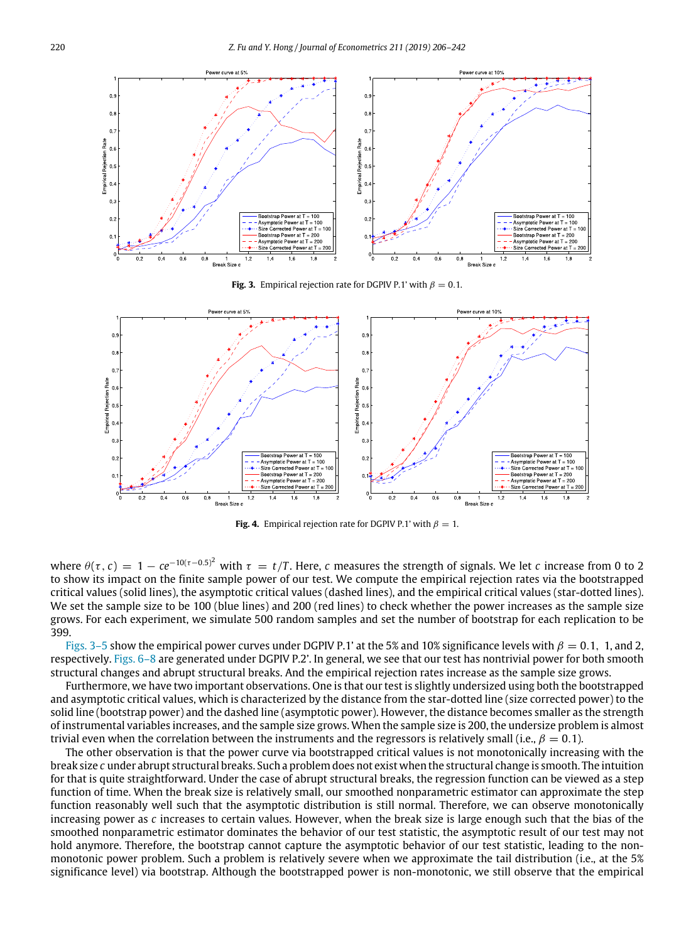

**Fig. 3.** Empirical rejection rate for DGPIV P.1' with  $\beta = 0.1$ .

<span id="page-14-0"></span>

**Fig. 4.** Empirical rejection rate for DGPIV P.1' with  $\beta = 1$ .

where  $\theta(\tau,c)=1-ce^{-10(\tau-0.5)^2}$  with  $\tau\,=t/T$ . Here,  $c$  measures the strength of signals. We let  $c$  increase from 0 to 2 to show its impact on the finite sample power of our test. We compute the empirical rejection rates via the bootstrapped critical values (solid lines), the asymptotic critical values (dashed lines), and the empirical critical values (star-dotted lines). We set the sample size to be 100 (blue lines) and 200 (red lines) to check whether the power increases as the sample size grows. For each experiment, we simulate 500 random samples and set the number of bootstrap for each replication to be 399.

[Figs.](#page-14-0) [3](#page-14-0)[–5](#page-15-0) show the empirical power curves under DGPIV P.1' at the 5% and 10% significance levels with  $\beta = 0.1$ , 1, and 2, respectively. [Figs.](#page-15-1) [6](#page-15-1)[–8](#page-16-1) are generated under DGPIV P.2'. In general, we see that our test has nontrivial power for both smooth structural changes and abrupt structural breaks. And the empirical rejection rates increase as the sample size grows.

Furthermore, we have two important observations. One is that our test is slightly undersized using both the bootstrapped and asymptotic critical values, which is characterized by the distance from the star-dotted line (size corrected power) to the solid line (bootstrap power) and the dashed line (asymptotic power). However, the distance becomes smaller as the strength of instrumental variables increases, and the sample size grows. When the sample size is 200, the undersize problem is almost trivial even when the correlation between the instruments and the regressors is relatively small (i.e.,  $\beta = 0.1$ ).

The other observation is that the power curve via bootstrapped critical values is not monotonically increasing with the break size *c* under abrupt structural breaks. Such a problem does not exist when the structural change is smooth. The intuition for that is quite straightforward. Under the case of abrupt structural breaks, the regression function can be viewed as a step function of time. When the break size is relatively small, our smoothed nonparametric estimator can approximate the step function reasonably well such that the asymptotic distribution is still normal. Therefore, we can observe monotonically increasing power as *c* increases to certain values. However, when the break size is large enough such that the bias of the smoothed nonparametric estimator dominates the behavior of our test statistic, the asymptotic result of our test may not hold anymore. Therefore, the bootstrap cannot capture the asymptotic behavior of our test statistic, leading to the nonmonotonic power problem. Such a problem is relatively severe when we approximate the tail distribution (i.e., at the 5% significance level) via bootstrap. Although the bootstrapped power is non-monotonic, we still observe that the empirical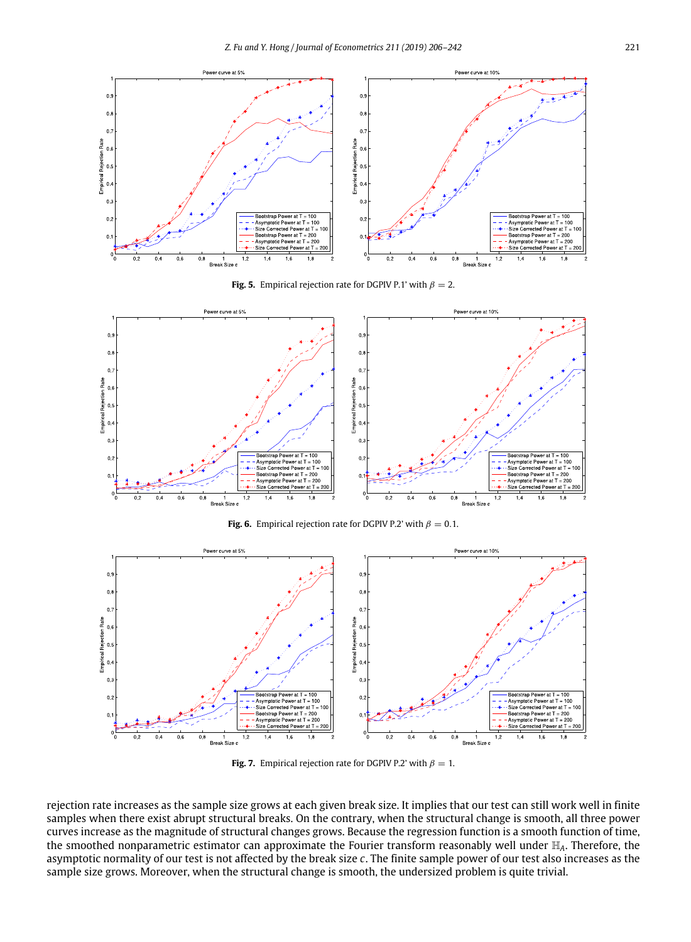

**Fig. 5.** Empirical rejection rate for DGPIV P.1' with  $\beta = 2$ .

<span id="page-15-0"></span>

**Fig. 6.** Empirical rejection rate for DGPIV P.2' with  $\beta = 0.1$ .

<span id="page-15-1"></span>

**Fig. 7.** Empirical rejection rate for DGPIV P.2' with  $\beta = 1$ .

rejection rate increases as the sample size grows at each given break size. It implies that our test can still work well in finite samples when there exist abrupt structural breaks. On the contrary, when the structural change is smooth, all three power curves increase as the magnitude of structural changes grows. Because the regression function is a smooth function of time, the smoothed nonparametric estimator can approximate the Fourier transform reasonably well under H*A*. Therefore, the asymptotic normality of our test is not affected by the break size *c*. The finite sample power of our test also increases as the sample size grows. Moreover, when the structural change is smooth, the undersized problem is quite trivial.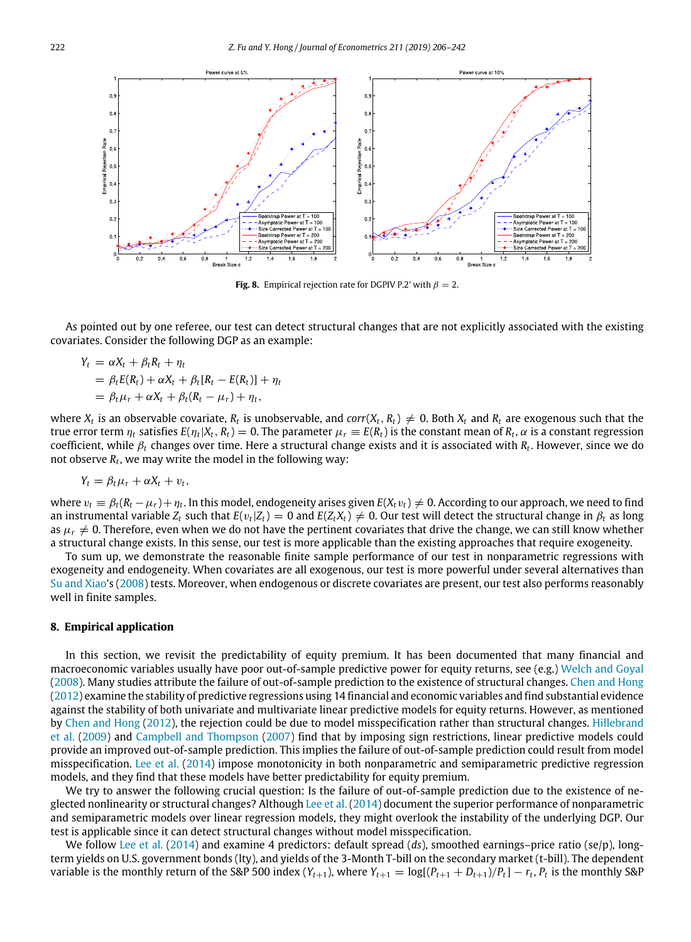

**Fig. 8.** Empirical rejection rate for DGPIV P.2' with  $\beta = 2$ .

<span id="page-16-1"></span>As pointed out by one referee, our test can detect structural changes that are not explicitly associated with the existing covariates. Consider the following DGP as an example:

$$
Y_t = \alpha X_t + \beta_t R_t + \eta_t
$$
  
=  $\beta_t E(R_t) + \alpha X_t + \beta_t [R_t - E(R_t)] + \eta_t$   
=  $\beta_t \mu_r + \alpha X_t + \beta_t (R_t - \mu_r) + \eta_t$ ,

where  $X_t$  is an observable covariate,  $R_t$  is unobservable, and  $corr(X_t,R_t)\neq 0$ . Both  $X_t$  and  $R_t$  are exogenous such that the true error term  $\eta_t$  satisfies  $E(\eta_t|X_t, R_t) = 0$ . The parameter  $\mu_r \equiv E(R_t)$  is the constant mean of  $R_t$ ,  $\alpha$  is a constant regression coefficient, while β*<sup>t</sup>* changes over time. Here a structural change exists and it is associated with *R<sup>t</sup>* . However, since we do not observe *R<sup>t</sup>* , we may write the model in the following way:

$$
Y_t = \beta_t \mu_r + \alpha X_t + v_t,
$$

where  $v_t \equiv \beta_t (R_t - \mu_r) + \eta_t$ . In this model, endogeneity arises given  $E(X_t v_t) \neq 0$ . According to our approach, we need to find an instrumental variable  $Z_t$  such that  $E(v_t|Z_t)=0$  and  $E(Z_tX_t)\neq 0$ . Our test will detect the structural change in  $\beta_t$  as long as  $\mu_r\neq 0$ . Therefore, even when we do not have the pertinent covariates that drive the change, we can still know whether a structural change exists. In this sense, our test is more applicable than the existing approaches that require exogeneity.

To sum up, we demonstrate the reasonable finite sample performance of our test in nonparametric regressions with exogeneity and endogeneity. When covariates are all exogenous, our test is more powerful under several alternatives than [Su and Xiao'](#page-36-10)s [\(2008\)](#page-36-10) tests. Moreover, when endogenous or discrete covariates are present, our test also performs reasonably well in finite samples.

#### **8. Empirical application**

<span id="page-16-0"></span>In this section, we revisit the predictability of equity premium. It has been documented that many financial and macroeconomic variables usually have poor out-of-sample predictive power for equity returns, see (e.g.) [Welch and Goyal](#page-36-4) ([2008](#page-36-4)). Many studies attribute the failure of out-of-sample prediction to the existence of structural changes. [Chen and Hong](#page-35-16) ([2012](#page-35-16)) examine the stability of predictive regressions using 14 financial and economic variables and find substantial evidence against the stability of both univariate and multivariate linear predictive models for equity returns. However, as mentioned by [Chen and Hong](#page-35-16) ([2012\)](#page-35-16), the rejection could be due to model misspecification rather than structural changes. [Hillebrand](#page-35-36) [et al.](#page-35-36) ([2009](#page-35-36)) and [Campbell and Thompson](#page-35-37) ([2007](#page-35-37)) find that by imposing sign restrictions, linear predictive models could provide an improved out-of-sample prediction. This implies the failure of out-of-sample prediction could result from model misspecification. [Lee et al.](#page-35-38) ([2014](#page-35-38)) impose monotonicity in both nonparametric and semiparametric predictive regression models, and they find that these models have better predictability for equity premium.

We try to answer the following crucial question: Is the failure of out-of-sample prediction due to the existence of neglected nonlinearity or structural changes? Although [Lee et al.](#page-35-38) [\(2014\)](#page-35-38) document the superior performance of nonparametric and semiparametric models over linear regression models, they might overlook the instability of the underlying DGP. Our test is applicable since it can detect structural changes without model misspecification.

We follow [Lee et al.](#page-35-38) [\(2014](#page-35-38)) and examine 4 predictors: default spread (ds), smoothed earnings-price ratio (se/p), longterm yields on U.S. government bonds (lty), and yields of the 3-Month T-bill on the secondary market (t-bill). The dependent variable is the monthly return of the S&P 500 index ( $Y_{t+1}$ ), where  $Y_{t+1} = \log[(P_{t+1} + D_{t+1})/P_t] - r_t$ ,  $P_t$  is the monthly S&P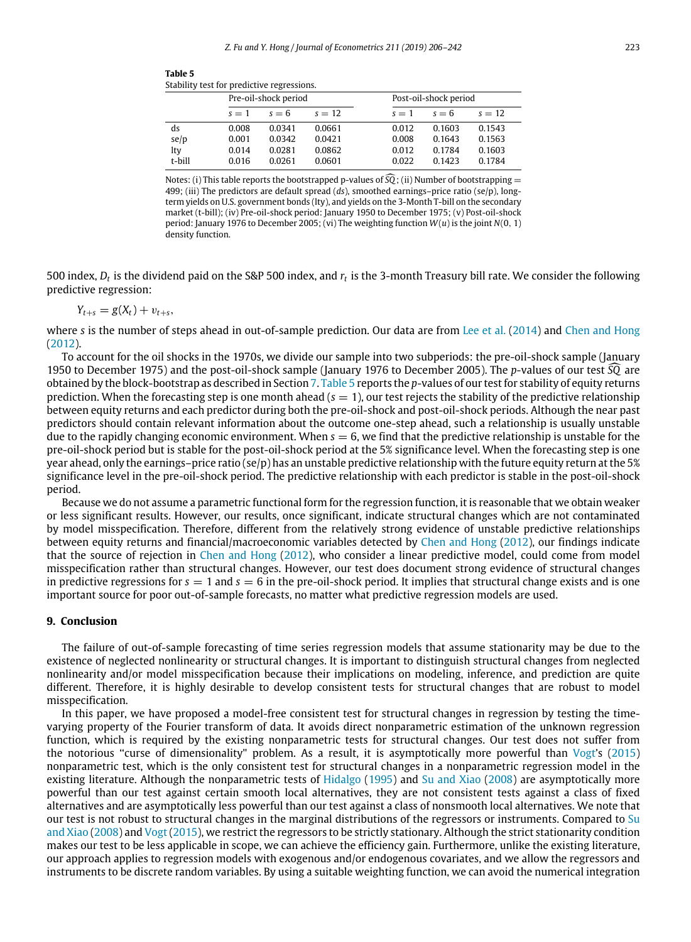<span id="page-17-1"></span>**Table 5** Stability test for predictive regressions.

|                |                  |                  | Post-oil-shock period |                  |                  |  |  |  |  |
|----------------|------------------|------------------|-----------------------|------------------|------------------|--|--|--|--|
| $s=1$          | $s = 6$          | $s = 12$         | $s = 1$               | $s=6$            | $s = 12$         |  |  |  |  |
| 0.008          | 0.0341           | 0.0661           | 0.012                 | 0.1603           | 0.1543           |  |  |  |  |
| 0.001          | 0.0342           | 0.0421           | 0.008                 | 0.1643           | 0.1563           |  |  |  |  |
| 0.014<br>0.016 | 0.0281<br>0.0261 | 0.0862<br>0.0601 | 0.012<br>0.022        | 0.1784<br>0.1423 | 0.1603<br>0.1784 |  |  |  |  |
|                |                  |                  | Pre-oil-shock period  |                  |                  |  |  |  |  |

Notes: (i) This table reports the bootstrapped p-values of  $\widehat{SQ}$ ; (ii) Number of bootstrapping = 499; (iii) The predictors are default spread (*ds*), smoothed earnings–price ratio (se/p), longterm yields on U.S. government bonds (lty), and yields on the 3-Month T-bill on the secondary market (t-bill); (iv) Pre-oil-shock period: January 1950 to December 1975; (v) Post-oil-shock period: January 1976 to December 2005; (vi) The weighting function *W*(*u*) is the joint *N*(0, 1) density function.

500 index,  $D_t$  is the dividend paid on the S&P 500 index, and  $r_t$  is the 3-month Treasury bill rate. We consider the following predictive regression:

$$
Y_{t+s}=g(X_t)+v_{t+s},
$$

where *s* is the number of steps ahead in out-of-sample prediction. Our data are from [Lee et al.](#page-35-38) [\(2014](#page-35-38)) and [Chen and Hong](#page-35-16)  $(2012)$  $(2012)$  $(2012)$ 

To account for the oil shocks in the 1970s, we divide our sample into two subperiods: the pre-oil-shock sample (January 1950 to December 1975) and the post-oil-shock sample (January 1976 to December 2005). The *<sup>p</sup>*-values of our test *SQ*ˆ are obtained by the block-bootstrap as described in Section [7.](#page-9-0) [Table](#page-17-1) [5](#page-17-1) reports the *p*-values of our test for stability of equity returns prediction. When the forecasting step is one month ahead  $(s = 1)$ , our test rejects the stability of the predictive relationship between equity returns and each predictor during both the pre-oil-shock and post-oil-shock periods. Although the near past predictors should contain relevant information about the outcome one-step ahead, such a relationship is usually unstable due to the rapidly changing economic environment. When  $s = 6$ , we find that the predictive relationship is unstable for the pre-oil-shock period but is stable for the post-oil-shock period at the 5% significance level. When the forecasting step is one year ahead, only the earnings–price ratio (se/p) has an unstable predictive relationship with the future equity return at the 5% significance level in the pre-oil-shock period. The predictive relationship with each predictor is stable in the post-oil-shock period.

Because we do not assume a parametric functional form for the regression function, it is reasonable that we obtain weaker or less significant results. However, our results, once significant, indicate structural changes which are not contaminated by model misspecification. Therefore, different from the relatively strong evidence of unstable predictive relationships between equity returns and financial/macroeconomic variables detected by [Chen and Hong](#page-35-16) [\(2012\)](#page-35-16), our findings indicate that the source of rejection in [Chen and Hong](#page-35-16) [\(2012](#page-35-16)), who consider a linear predictive model, could come from model misspecification rather than structural changes. However, our test does document strong evidence of structural changes in predictive regressions for  $s = 1$  and  $s = 6$  in the pre-oil-shock period. It implies that structural change exists and is one important source for poor out-of-sample forecasts, no matter what predictive regression models are used.

#### **9. Conclusion**

<span id="page-17-0"></span>The failure of out-of-sample forecasting of time series regression models that assume stationarity may be due to the existence of neglected nonlinearity or structural changes. It is important to distinguish structural changes from neglected nonlinearity and/or model misspecification because their implications on modeling, inference, and prediction are quite different. Therefore, it is highly desirable to develop consistent tests for structural changes that are robust to model misspecification.

In this paper, we have proposed a model-free consistent test for structural changes in regression by testing the timevarying property of the Fourier transform of data. It avoids direct nonparametric estimation of the unknown regression function, which is required by the existing nonparametric tests for structural changes. Our test does not suffer from the notorious "curse of dimensionality" problem. As a result, it is asymptotically more powerful than [Vogt](#page-36-12)'s [\(2015](#page-36-12)) nonparametric test, which is the only consistent test for structural changes in a nonparametric regression model in the existing literature. Although the nonparametric tests of [Hidalgo](#page-35-21) [\(1995\)](#page-35-21) and [Su and Xiao](#page-36-10) [\(2008](#page-36-10)) are asymptotically more powerful than our test against certain smooth local alternatives, they are not consistent tests against a class of fixed alternatives and are asymptotically less powerful than our test against a class of nonsmooth local alternatives. We note that our test is not robust to structural changes in the marginal distributions of the regressors or instruments. Compared to [Su](#page-36-10) [and Xiao](#page-36-10) [\(2008\)](#page-36-10) and [Vogt](#page-36-12) ([2015\)](#page-36-12), we restrict the regressors to be strictly stationary. Although the strict stationarity condition makes our test to be less applicable in scope, we can achieve the efficiency gain. Furthermore, unlike the existing literature, our approach applies to regression models with exogenous and/or endogenous covariates, and we allow the regressors and instruments to be discrete random variables. By using a suitable weighting function, we can avoid the numerical integration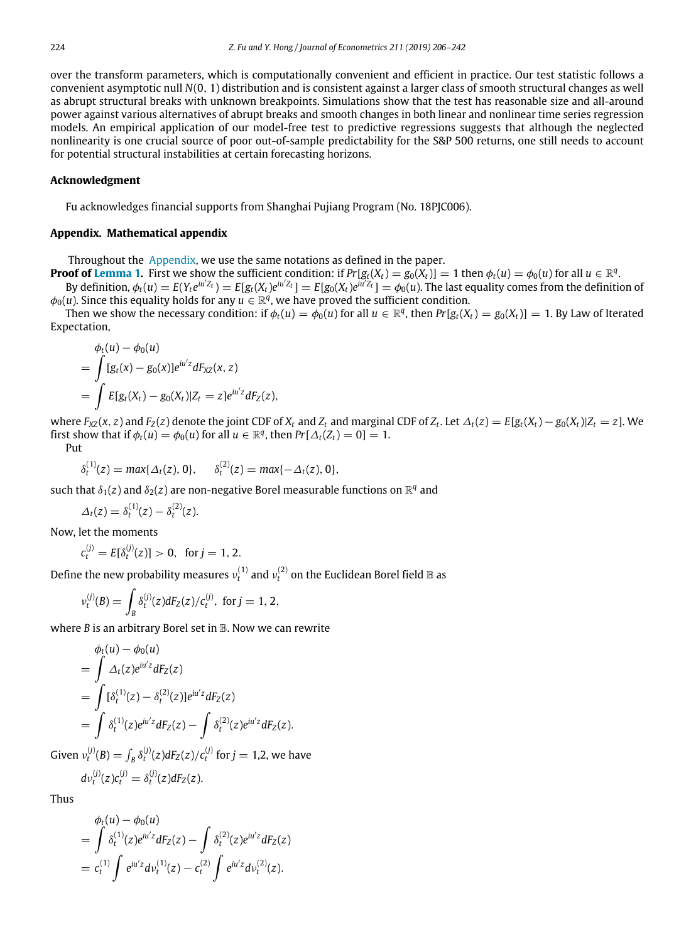over the transform parameters, which is computationally convenient and efficient in practice. Our test statistic follows a convenient asymptotic null *N*(0, 1) distribution and is consistent against a larger class of smooth structural changes as well as abrupt structural breaks with unknown breakpoints. Simulations show that the test has reasonable size and all-around power against various alternatives of abrupt breaks and smooth changes in both linear and nonlinear time series regression models. An empirical application of our model-free test to predictive regressions suggests that although the neglected nonlinearity is one crucial source of poor out-of-sample predictability for the S&P 500 returns, one still needs to account for potential structural instabilities at certain forecasting horizons.

## **Acknowledgment**

Fu acknowledges financial supports from Shanghai Pujiang Program (No. 18PJC006).

### **Appendix. Mathematical appendix**

<span id="page-18-0"></span>Throughout the [Appendix](#page-18-0), we use the same notations as defined in the paper.

**Proof of [Lemma](#page-2-3) [1.](#page-2-3)** First we show the sufficient condition: if  $Pr[g_t(X_t) = g_0(X_t)] = 1$  then  $\phi_t(u) = \phi_0(u)$  for all  $u \in \mathbb{R}^q$ . By definition,  $\phi_t(u) = E(Y_t e^{iu^{\prime} Z_t}) = E[g_t(X_t)e^{iu^{\prime} Z_t}] = E[g_0(X_t)e^{iu^{\prime} Z_t}] = \phi_0(u)$ . The last equality comes from the definition of  $\phi_0(u)$ . Since this equality holds for any  $u\in\mathbb{R}^q,$  we have proved the sufficient condition.

Then we show the necessary condition: if  $\phi_t(u) = \phi_0(u)$  for all  $u \in \mathbb{R}^q$ , then  $Pr[g_t(X_t) = g_0(X_t)] = 1$ . By Law of Iterated Expectation,

$$
\begin{aligned} & \phi_t(u) - \phi_0(u) \\ & = \int [g_t(x) - g_0(x)] e^{iu/z} dF_{XZ}(x, z) \\ & = \int E[g_t(X_t) - g_0(X_t)|Z_t = z] e^{iu/z} dF_Z(z), \end{aligned}
$$

where  $F_{XZ}(x, z)$  and  $F_Z(z)$  denote the joint CDF of  $X_t$  and  $Z_t$  and marginal CDF of  $Z_t$ . Let  $\Delta_t(z) = E[g_t(X_t) - g_0(X_t)|Z_t = z]$ . We first show that if  $\phi_t(u) = \phi_0(u)$  for all  $u \in \mathbb{R}^q$ , then  $Pr[\Delta_t(Z_t) = 0] = 1$ .

Put

$$
\delta_t^{(1)}(z) = \max\{\Delta_t(z), 0\}, \quad \delta_t^{(2)}(z) = \max\{-\Delta_t(z), 0\},
$$

such that  $\delta_1(z)$  and  $\delta_2(z)$  are non-negative Borel measurable functions on  $\mathbb{R}^q$  and

$$
\Delta_t(z) = \delta_t^{(1)}(z) - \delta_t^{(2)}(z).
$$

Now, let the moments

$$
c_t^{(j)} = E[\delta_t^{(j)}(z)] > 0, \text{ for } j = 1, 2.
$$

Define the new probability measures  $v_t^{(1)}$  and  $v_t^{(2)}$  on the Euclidean Borel field  ${\mathbb B}$  as

$$
v_t^{(j)}(B) = \int_B \delta_t^{(j)}(z) dF_Z(z) / c_t^{(j)}, \text{ for } j = 1, 2,
$$

where *B* is an arbitrary Borel set in **B**. Now we can rewrite

$$
\begin{split} & \phi_t(u) - \phi_0(u) \\ & = \int \Delta_t(z) e^{iu/z} dF_z(z) \\ & = \int [\delta_t^{(1)}(z) - \delta_t^{(2)}(z)] e^{iu'z} dF_z(z) \\ & = \int \delta_t^{(1)}(z) e^{iu'z} dF_z(z) - \int \delta_t^{(2)}(z) e^{iu'z} dF_z(z). \end{split}
$$

Given  $v_t^{(j)}(B) = \int_B \delta_t^{(j)}(z) dF_Z(z) / c_t^{(j)}$  for  $j = 1, 2$ , we have

$$
d\nu_t^{(j)}(z)c_t^{(j)}=\delta_t^{(j)}(z)dF_Z(z).
$$

Thus

$$
\begin{aligned}\n&\phi_t(u) - \phi_0(u) \\
&= \int \delta_t^{(1)}(z)e^{iu'z} dF_z(z) - \int \delta_t^{(2)}(z)e^{iu'z} dF_z(z) \\
&= c_t^{(1)} \int e^{iu'z} d\nu_t^{(1)}(z) - c_t^{(2)} \int e^{iu'z} d\nu_t^{(2)}(z).\n\end{aligned}
$$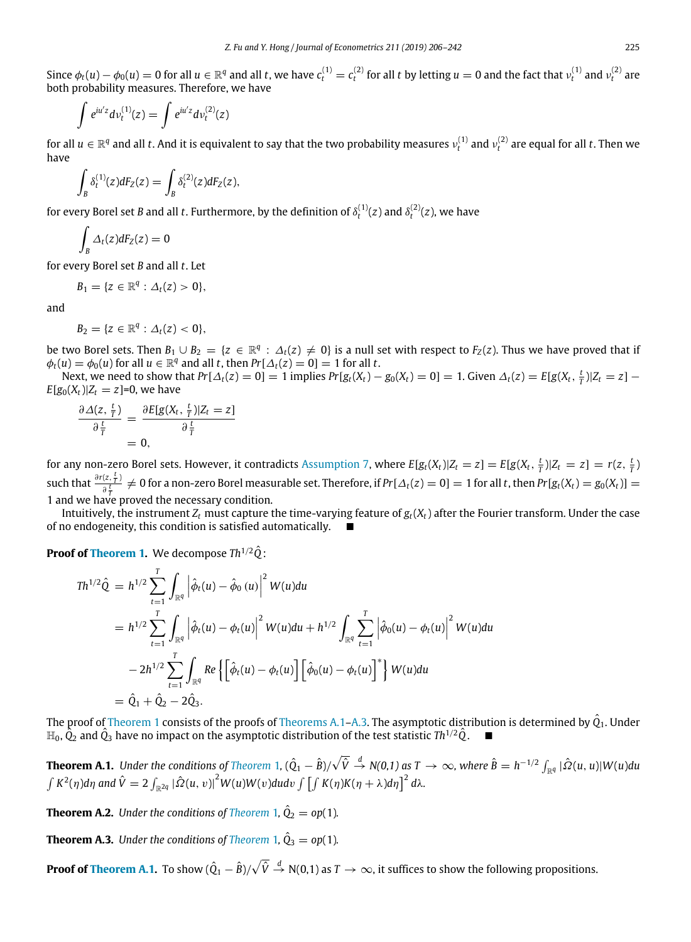Since  $\phi_t(u)-\phi_0(u)=0$  for all  $u\in\mathbb{R}^q$  and all t, we have  $c_t^{(1)}=c_t^{(2)}$  for all t by letting  $u=0$  and the fact that  $v_t^{(1)}$  and  $v_t^{(2)}$  are both probability measures. Therefore, we have

$$
\int e^{iu'z} dv_t^{(1)}(z) = \int e^{iu'z} dv_t^{(2)}(z)
$$

for all  $u \in \mathbb{R}^q$  and all *t*. And it is equivalent to say that the two probability measures  $v_t^{(1)}$  and  $v_t^{(2)}$  are equal for all *t*. Then we have

$$
\int_B \delta_t^{(1)}(z)dF_Z(z) = \int_B \delta_t^{(2)}(z)dF_Z(z),
$$

for every Borel set *B* and all *t*. Furthermore, by the definition of  $\delta_t^{(1)}(z)$  and  $\delta_t^{(2)}(z)$ , we have

$$
\int_B \Delta_t(z)dF_Z(z)=0
$$

for every Borel set *B* and all *t*. Let

$$
B_1=\{z\in\mathbb{R}^q:\Delta_t(z)>0\},\
$$

and

$$
B_2=\{z\in\mathbb{R}^q:\Delta_t(z)<0\},\
$$

be two Borel sets. Then  $B_1\cup B_2=\{z\in\mathbb{R}^q:\Delta_t(z)\neq 0\}$  is a null set with respect to  $F_Z(z)$ . Thus we have proved that if  $\phi_t(u) = \phi_0(u)$  for all  $u \in \mathbb{R}^q$  and all *t*, then  $Pr[\Delta_t(z) = 0] = 1$  for all *t*.

Next, we need to show that  $Pr[\Delta_t(z) = 0] = 1$  implies  $Pr[g_t(X_t) - g_0(X_t) = 0] = 1$ . Given  $\Delta_t(z) = E[g(X_t, \frac{t}{T}) | Z_t = z]$  $E[g_0(X_t)|Z_t = z] = 0$ , we have

$$
\frac{\partial \Delta(z, \frac{t}{T})}{\partial \frac{t}{T}} = \frac{\partial E[g(X_t, \frac{t}{T})|Z_t = z]}{\partial \frac{t}{T}}
$$
  
= 0,

for any non-zero Borel sets. However, it contradicts [Assumption](#page-6-2) [7,](#page-6-2) where  $E[g_t(X_t)|Z_t=z]=E[g(X_t,\frac{t}{T})|Z_t=z]=r(z,\frac{t}{T})$ such that  $\frac{\partial r(z, \frac{t}{T})}{\partial t}$  $\frac{dZ_i-\tau_j}{d\frac{1}{T}}\neq 0$  for a non-zero Borel measurable set. Therefore, if  $Pr[\Delta_t(z)=0]=1$  for all  $t$ , then  $Pr[g_t(X_t)=g_0(X_t)]=0$ 1 and we have proved the necessary condition.

Intuitively, the instrument  $Z_t$  must capture the time-varying feature of  $g_t(X_t)$  after the Fourier transform. Under the case of no endogeneity, this condition is satisfied automatically. ■

**Proof of [Theorem](#page-6-3) [1](#page-6-3).** We decompose  $Th^{1/2}\hat{Q}$ :

$$
Th^{1/2} \hat{Q} = h^{1/2} \sum_{t=1}^{T} \int_{\mathbb{R}^{q}} \left| \hat{\phi}_{t}(u) - \hat{\phi}_{0}(u) \right|^{2} W(u) du
$$
  
\n
$$
= h^{1/2} \sum_{t=1}^{T} \int_{\mathbb{R}^{q}} \left| \hat{\phi}_{t}(u) - \phi_{t}(u) \right|^{2} W(u) du + h^{1/2} \int_{\mathbb{R}^{q}} \sum_{t=1}^{T} \left| \hat{\phi}_{0}(u) - \phi_{t}(u) \right|^{2} W(u) du
$$
  
\n
$$
- 2h^{1/2} \sum_{t=1}^{T} \int_{\mathbb{R}^{q}} Re \left\{ \left[ \hat{\phi}_{t}(u) - \phi_{t}(u) \right] \left[ \hat{\phi}_{0}(u) - \phi_{t}(u) \right]^{*} \right\} W(u) du
$$
  
\n
$$
= \hat{Q}_{1} + \hat{Q}_{2} - 2\hat{Q}_{3}.
$$

The proof of [Theorem](#page-6-3) [1](#page-6-3) consists of the proofs of [Theorems](#page-19-0) [A.1](#page-19-0)[–A.3](#page-19-1). The asymptotic distribution is determined by  $\hat{Q}_1$ . Under  $\mathbb{H}_0$ ,  $\hat{Q}_2$  and  $\hat{Q}_3$  have no impact on the asymptotic distribution of the test statistic Th<sup>1/2</sup> $\hat{Q}$ .  $\quad \blacksquare$ 

<span id="page-19-0"></span>**[Theorem](#page-6-3) A.[1](#page-6-3).** Under the conditions of Theorem 1,  $(\hat{Q}_1-\hat{B})/\sqrt{\hat{V}}\overset{d}{\to}N(0,1)$  as  $T\to\infty$ , where  $\hat{B}=h^{-1/2}\int_{\mathbb{R}^q}|\hat{\Omega}(u,u)|W(u)du$  $\int K^2(\eta) d\eta$  and  $\hat{V} = 2 \int_{\mathbb{R}^{2q}} |\hat{\Omega}(u,v)|^2 W(u) W(v) du dv \int \left[ \int K(\eta) K(\eta+\lambda) d\eta \right]^2 d\lambda$ *.* 

<span id="page-19-3"></span>**[Theorem](#page-6-3) A.2.** Under the conditions of Theorem [1](#page-6-3),  $\hat{Q}_2 = op(1)$ .

<span id="page-19-1"></span>**[Theorem](#page-6-3) A.3.** Under the conditions of Theorem [1](#page-6-3),  $\hat{Q}_3 = op(1)$ .

<span id="page-19-2"></span>**Proof of [Theorem](#page-19-0) [A.1.](#page-19-0)** To show  $(\hat{Q}_1-\hat{B})/\sqrt{\hat{V}}\overset{d}{\to}\text{N}(0,1)$  as  $T\to\infty$ , it suffices to show the following propositions.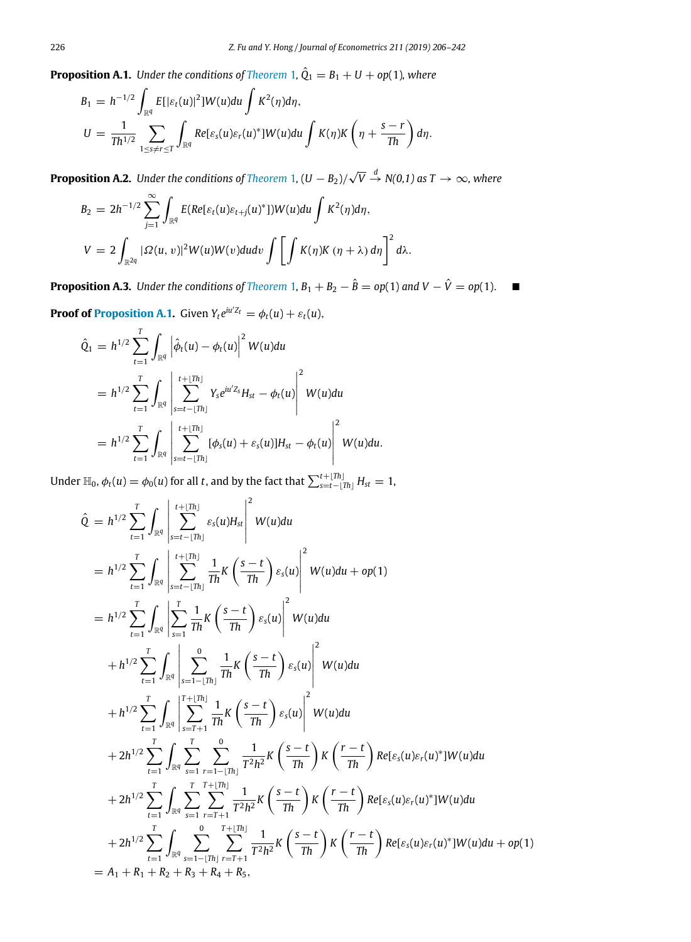**Proposition A.[1](#page-6-3).** Under the conditions of [Theorem](#page-6-3) 1,  $\hat{Q}_1 = B_1 + U + op(1)$ , where

$$
B_1 = h^{-1/2} \int_{\mathbb{R}^q} E[|\varepsilon_t(u)|^2] W(u) du \int K^2(\eta) d\eta,
$$
  
\n
$$
U = \frac{1}{Th^{1/2}} \sum_{1 \le s \neq r \le T} \int_{\mathbb{R}^q} Re[\varepsilon_s(u)\varepsilon_r(u)^*] W(u) du \int K(\eta) K\left(\eta + \frac{s-r}{Th}\right) d\eta.
$$

<span id="page-20-0"></span>**Proposition A.2.** Under the conditions of [Theorem](#page-6-3) [1](#page-6-3),  $(U - B_2)/\sqrt{2}$  $\overline{V} \overset{d}{\rightarrow}$  *N(0,1) as T*  $\rightarrow \infty$ *, where* 

$$
B_2 = 2h^{-1/2} \sum_{j=1}^{\infty} \int_{\mathbb{R}^q} E(Re[\varepsilon_t(u)\varepsilon_{t+j}(u)^*]) W(u) du \int K^2(\eta) d\eta,
$$
  

$$
V = 2 \int_{\mathbb{R}^{2q}} |\Omega(u, v)|^2 W(u) W(v) dudv \int \left[ \int K(\eta)K(\eta + \lambda) d\eta \right]^2 d\lambda.
$$

<span id="page-20-1"></span>**Proposition A.3.** *Under the conditions of [Theorem](#page-6-3)* [1](#page-6-3),  $B_1 + B_2 - \hat{B} = op(1)$  *and*  $V - \hat{V} = op(1)$ . ■

**Proof of [Proposition](#page-19-2) [A.1.](#page-19-2)** Given  $Y_t e^{iu^{\prime} Z_t} = \phi_t(u) + \varepsilon_t(u)$ ,

$$
\hat{Q}_1 = h^{1/2} \sum_{t=1}^T \int_{\mathbb{R}^q} \left| \hat{\phi}_t(u) - \phi_t(u) \right|^2 W(u) du
$$
\n
$$
= h^{1/2} \sum_{t=1}^T \int_{\mathbb{R}^q} \left| \sum_{s=t-\lfloor Th \rfloor}^{t+\lfloor Th \rfloor} Y_s e^{iu' Z_s} H_{st} - \phi_t(u) \right|^2 W(u) du
$$
\n
$$
= h^{1/2} \sum_{t=1}^T \int_{\mathbb{R}^q} \left| \sum_{s=t-\lfloor Th \rfloor}^{t+\lfloor Th \rfloor} [\phi_s(u) + \varepsilon_s(u)] H_{st} - \phi_t(u) \right|^2 W(u) du.
$$

Under  $\mathbb{H}_0$ ,  $\phi_t(u) = \phi_0(u)$  for all  $t$ , and by the fact that  $\sum_{s=t-\lfloor T h \rfloor}^{t+\lfloor T h \rfloor} H_{\text{sf}} = 1$ ,

$$
\hat{Q} = h^{1/2} \sum_{t=1}^{T} \int_{\mathbb{R}^{q}} \left| \sum_{s=t-\lfloor Th \rfloor}^{t+\lfloor Th \rfloor} \varepsilon_{s}(u) H_{st} \right|^{2} W(u) du \n= h^{1/2} \sum_{t=1}^{T} \int_{\mathbb{R}^{q}} \left| \sum_{s=t-\lfloor Th \rfloor}^{t+\lfloor Th \rfloor} \frac{1}{Th} K\left(\frac{s-t}{Th}\right) \varepsilon_{s}(u) \right|^{2} W(u) du + op(1) \n= h^{1/2} \sum_{t=1}^{T} \int_{\mathbb{R}^{q}} \left| \sum_{s=1}^{T} \frac{1}{Th} K\left(\frac{s-t}{Th}\right) \varepsilon_{s}(u) \right|^{2} W(u) du \n+ h^{1/2} \sum_{t=1}^{T} \int_{\mathbb{R}^{q}} \left| \sum_{s=1-\lfloor Th \rfloor}^{0} \frac{1}{Th} K\left(\frac{s-t}{Th}\right) \varepsilon_{s}(u) \right|^{2} W(u) du \n+ h^{1/2} \sum_{t=1}^{T} \int_{\mathbb{R}^{q}} \left| \sum_{s=t-1}^{0} \frac{1}{Th} K\left(\frac{s-t}{Th}\right) \varepsilon_{s}(u) \right|^{2} W(u) du \n+ 2h^{1/2} \sum_{t=1}^{T} \int_{\mathbb{R}^{q}} \sum_{s=1}^{T} \sum_{r=1-\lfloor Th \rfloor}^{0} \frac{1}{T^{2}h^{2}} K\left(\frac{s-t}{Th}\right) K\left(\frac{r-t}{Th}\right) Re[e_{s}(u)\varepsilon_{r}(u)^{*}] W(u) du \n+ 2h^{1/2} \sum_{t=1}^{T} \int_{\mathbb{R}^{q}} \sum_{s=1}^{T} \sum_{r=1+\lfloor Th \rfloor}^{T+1} \frac{1}{T^{2}h^{2}} K\left(\frac{s-t}{Th}\right) K\left(\frac{r-t}{Th}\right) Re[e_{s}(u)\varepsilon_{r}(u)^{*}] W(u) du \n+ 2h^{1/2} \sum_{t=1}^{T} \int_{\mathbb{R}^{q}} \sum_{s=1-\lfloor Th \rfloor}^{0} \sum_{r=1+\lfloor Th \rfloor}^{T+1}
$$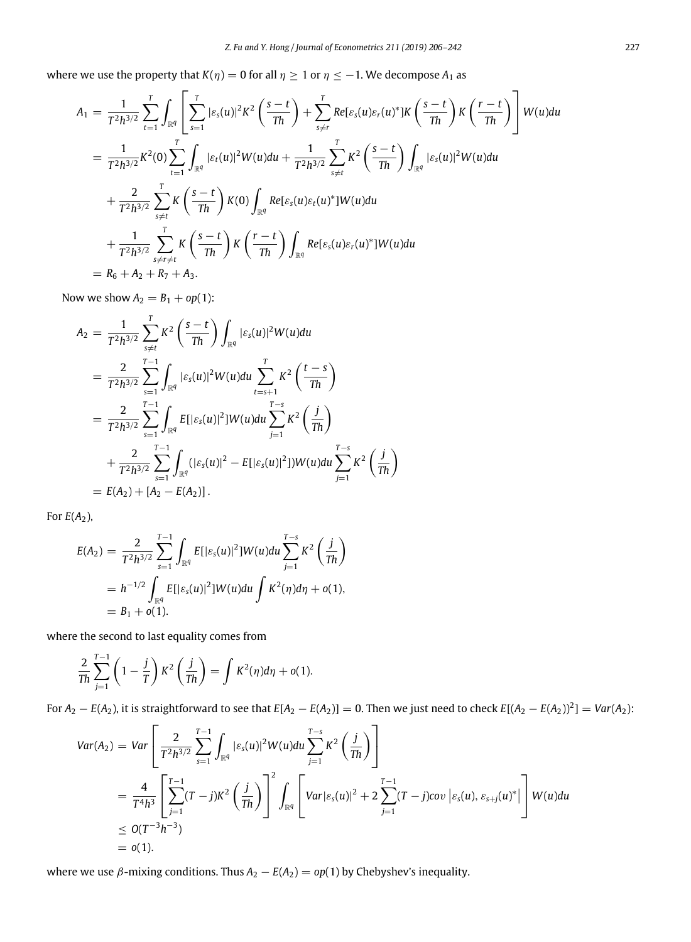where we use the property that  $K(\eta) = 0$  for all  $\eta \ge 1$  or  $\eta \le -1$ . We decompose  $A_1$  as

$$
A_{1} = \frac{1}{T^{2}h^{3/2}} \sum_{t=1}^{T} \int_{\mathbb{R}^{q}} \left[ \sum_{s=1}^{T} |\varepsilon_{s}(u)|^{2} K^{2} \left( \frac{s-t}{Th} \right) + \sum_{s \neq r}^{T} Re[\varepsilon_{s}(u)\varepsilon_{r}(u)^{*}] K \left( \frac{s-t}{Th} \right) K \left( \frac{r-t}{Th} \right) \right] W(u) du
$$
  
\n
$$
= \frac{1}{T^{2}h^{3/2}} K^{2}(0) \sum_{t=1}^{T} \int_{\mathbb{R}^{q}} |\varepsilon_{t}(u)|^{2} W(u) du + \frac{1}{T^{2}h^{3/2}} \sum_{s \neq t}^{T} K^{2} \left( \frac{s-t}{Th} \right) \int_{\mathbb{R}^{q}} |\varepsilon_{s}(u)|^{2} W(u) du
$$
  
\n
$$
+ \frac{2}{T^{2}h^{3/2}} \sum_{s \neq t}^{T} K \left( \frac{s-t}{Th} \right) K(0) \int_{\mathbb{R}^{q}} Re[\varepsilon_{s}(u)\varepsilon_{t}(u)^{*}] W(u) du
$$
  
\n
$$
+ \frac{1}{T^{2}h^{3/2}} \sum_{s \neq r \neq t}^{T} K \left( \frac{s-t}{Th} \right) K \left( \frac{r-t}{Th} \right) \int_{\mathbb{R}^{q}} Re[\varepsilon_{s}(u)\varepsilon_{r}(u)^{*}] W(u) du
$$
  
\n
$$
= R_{6} + A_{2} + R_{7} + A_{3}.
$$

Now we show  $A_2 = B_1 + op(1)$ :

$$
A_2 = \frac{1}{T^2 h^{3/2}} \sum_{s \neq t}^{T} K^2 \left( \frac{s - t}{Th} \right) \int_{\mathbb{R}^q} |\varepsilon_s(u)|^2 W(u) du
$$
  
\n
$$
= \frac{2}{T^2 h^{3/2}} \sum_{s=1}^{T-1} \int_{\mathbb{R}^q} |\varepsilon_s(u)|^2 W(u) du \sum_{t=s+1}^{T} K^2 \left( \frac{t - s}{Th} \right)
$$
  
\n
$$
= \frac{2}{T^2 h^{3/2}} \sum_{s=1}^{T-1} \int_{\mathbb{R}^q} E[|\varepsilon_s(u)|^2] W(u) du \sum_{j=1}^{T-s} K^2 \left( \frac{j}{Th} \right)
$$
  
\n
$$
+ \frac{2}{T^2 h^{3/2}} \sum_{s=1}^{T-1} \int_{\mathbb{R}^q} (|\varepsilon_s(u)|^2 - E[|\varepsilon_s(u)|^2]) W(u) du \sum_{j=1}^{T-s} K^2 \left( \frac{j}{Th} \right)
$$
  
\n
$$
= E(A_2) + [A_2 - E(A_2)].
$$

For  $E(A_2)$ ,

$$
E(A_2) = \frac{2}{T^2 h^{3/2}} \sum_{s=1}^{T-1} \int_{\mathbb{R}^q} E[|\varepsilon_s(u)|^2] W(u) du \sum_{j=1}^{T-s} K^2 \left(\frac{j}{Th}\right)
$$
  
=  $h^{-1/2} \int_{\mathbb{R}^q} E[|\varepsilon_s(u)|^2] W(u) du \int K^2(\eta) d\eta + o(1),$   
=  $B_1 + o(1).$ 

where the second to last equality comes from

$$
\frac{2}{Th}\sum_{j=1}^{T-1}\left(1-\frac{j}{T}\right)K^2\left(\frac{j}{Th}\right)=\int K^2(\eta)d\eta+o(1).
$$

For  $A_2-E(A_2)$ , it is straightforward to see that  $E[A_2-E(A_2)]=0$ . Then we just need to check  $E[(A_2-E(A_2))^2]=Var(A_2)$ :

$$
Var(A_2) = Var \left[ \frac{2}{T^2 h^{3/2}} \sum_{s=1}^{T-1} \int_{\mathbb{R}^q} |\varepsilon_s(u)|^2 W(u) du \sum_{j=1}^{T-s} K^2 \left( \frac{j}{Th} \right) \right]
$$
  
=  $\frac{4}{T^4 h^3} \left[ \sum_{j=1}^{T-1} (T-j) K^2 \left( \frac{j}{Th} \right) \right]^2 \int_{\mathbb{R}^q} \left[ Var |\varepsilon_s(u)|^2 + 2 \sum_{j=1}^{T-1} (T-j) cov |\varepsilon_s(u), \varepsilon_{s+j}(u)^*| \right] W(u) du$   
 $\leq O(T^{-3} h^{-3})$   
=  $o(1).$ 

where we use  $\beta$ -mixing conditions. Thus  $A_2 - E(A_2) = op(1)$  by Chebyshev's inequality.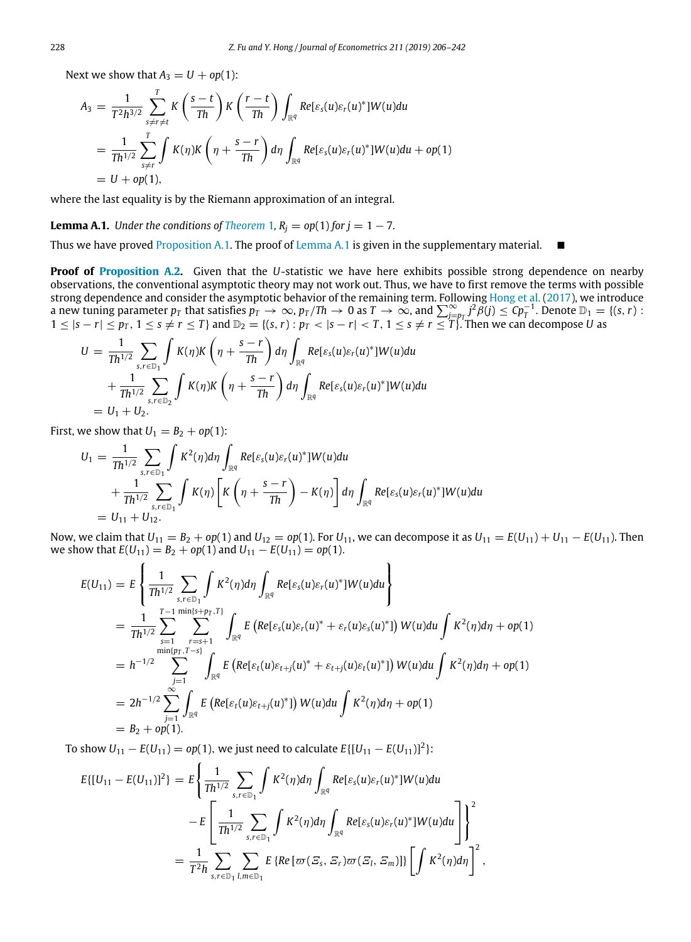Next we show that  $A_3 = U + op(1)$ :

<span id="page-22-0"></span>
$$
A_3 = \frac{1}{T^2 h^{3/2}} \sum_{s \neq r \neq t}^{T} K\left(\frac{s-t}{Th}\right) K\left(\frac{r-t}{Th}\right) \int_{\mathbb{R}^q} Re[\varepsilon_s(u)\varepsilon_r(u)^*] W(u) du
$$
  
= 
$$
\frac{1}{Th^{1/2}} \sum_{s \neq r}^{T} \int K(\eta) K\left(\eta + \frac{s-r}{Th}\right) d\eta \int_{\mathbb{R}^q} Re[\varepsilon_s(u)\varepsilon_r(u)^*] W(u) du + op(1)
$$
  
=  $U + op(1),$ 

where the last equality is by the Riemann approximation of an integral.

**Lemma A.[1](#page-6-3).** *Under the conditions of [Theorem](#page-6-3)* 1*,*  $R_i = op(1)$  *for*  $i = 1 - 7$ *.* 

Thus we have proved [Proposition](#page-19-2) [A.1](#page-22-0). The proof of [Lemma](#page-22-0) A.1 is given in the supplementary material.  $\blacksquare$ 

**Proof of [Proposition](#page-20-0) [A.2](#page-20-0).** Given that the *U*-statistic we have here exhibits possible strong dependence on nearby observations, the conventional asymptotic theory may not work out. Thus, we have to first remove the terms with possible strong dependence and consider the asymptotic behavior of the remaining term. Following [Hong et al.](#page-35-22) [\(2017](#page-35-22)), we introduce<br>a new tuning parameter  $p_T$  that satisfies  $p_T\to\infty$ ,  $p_T/Th\to 0$  as  $T\to\infty$ , and  $\sum_{i=P_T}^{\infty}j^2\beta$  $1 \leq |s-r| \leq p_T, 1 \leq s \neq r \leq T\}$  and  $\mathbb{D}_2 = \{(s,r): p_T < |s-r| < T, 1 \leq s \neq r \leq T\}$ . Then we can decompose U as

$$
U = \frac{1}{Th^{1/2}} \sum_{s,r \in \mathbb{D}_1} \int K(\eta) K\left(\eta + \frac{s-r}{Th}\right) d\eta \int_{\mathbb{R}^q} Re[\varepsilon_s(u)\varepsilon_r(u)^*] W(u) du
$$
  
+ 
$$
\frac{1}{Th^{1/2}} \sum_{s,r \in \mathbb{D}_2} \int K(\eta) K\left(\eta + \frac{s-r}{Th}\right) d\eta \int_{\mathbb{R}^q} Re[\varepsilon_s(u)\varepsilon_r(u)^*] W(u) du
$$
  
= 
$$
U_1 + U_2.
$$

First, we show that  $U_1 = B_2 + op(1)$ :

$$
U_1 = \frac{1}{Th^{1/2}} \sum_{s,r \in \mathbb{D}_1} \int K^2(\eta) d\eta \int_{\mathbb{R}^q} Re[\varepsilon_s(u)\varepsilon_r(u)^*] W(u) du
$$
  
+ 
$$
\frac{1}{Th^{1/2}} \sum_{s,r \in \mathbb{D}_1} \int K(\eta) \left[ K\left(\eta + \frac{s-r}{Th}\right) - K(\eta) \right] d\eta \int_{\mathbb{R}^q} Re[\varepsilon_s(u)\varepsilon_r(u)^*] W(u) du
$$
  
= 
$$
U_{11} + U_{12}.
$$

Now, we claim that  $U_{11} = B_2 + op(1)$  and  $U_{12} = op(1)$ . For  $U_{11}$ , we can decompose it as  $U_{11} = E(U_{11}) + U_{11} - E(U_{11})$ . Then we show that  $E(U_{11}) = B_2 + op(1)$  and  $U_{11} - E(U_{11}) = op(1)$ .

,

$$
E(U_{11}) = E\left\{\frac{1}{Th^{1/2}}\sum_{s,r\in\mathbb{D}_1}\int_{K^2(\eta)d\eta}\int_{\mathbb{R}^q}Re[\varepsilon_s(u)\varepsilon_r(u)^*]W(u)du\right\}
$$
  
\n
$$
= \frac{1}{Th^{1/2}}\sum_{s=1}^{T-1}\sum_{r=s+1}^{\min\{s+p_T,T\}}\int_{\mathbb{R}^q}E\left(Re[\varepsilon_s(u)\varepsilon_r(u)^* + \varepsilon_r(u)\varepsilon_s(u)^*]\right)W(u)du \int_{K^2(\eta)d\eta}K^2(\eta)d\eta + op(1)
$$
  
\n
$$
= h^{-1/2}\sum_{j=1}^{\min\{p_T,T-s\}}\int_{\mathbb{R}^q}E\left(Re[\varepsilon_t(u)\varepsilon_{t+j}(u)^* + \varepsilon_{t+j}(u)\varepsilon_t(u)^*]\right)W(u)du \int_{K^2(\eta)d\eta}K^2(\eta)d\eta + op(1)
$$
  
\n
$$
= 2h^{-1/2}\sum_{j=1}^{\infty}\int_{\mathbb{R}^q}E\left(Re[\varepsilon_t(u)\varepsilon_{t+j}(u)^*] \right)W(u)du \int_{K^2(\eta)d\eta}K^2(\eta)d\eta + op(1)
$$
  
\n
$$
= B_2 + op(1).
$$

To show  $U_{11} - E(U_{11}) = op(1)$ , we just need to calculate  $E\{[U_{11} - E(U_{11})]^2\}$ :

$$
E\{[U_{11}-E(U_{11})]^2\} = E\left\{\frac{1}{Th^{1/2}}\sum_{s,r\in\mathbb{D}_1}\int K^2(\eta)d\eta\int_{\mathbb{R}^q}Re[\varepsilon_s(u)\varepsilon_r(u)^*]W(u)du - E\left[\frac{1}{Th^{1/2}}\sum_{s,r\in\mathbb{D}_1}\int K^2(\eta)d\eta\int_{\mathbb{R}^q}Re[\varepsilon_s(u)\varepsilon_r(u)^*]W(u)du\right]\right\}^2
$$
  

$$
= \frac{1}{T^2h}\sum_{s,r\in\mathbb{D}_1}\sum_{l,m\in\mathbb{D}_1}E\left\{Re[\varpi(\Xi_s,\Xi_r)\varpi(\Xi_l,\Xi_m)]\right\}\left[\int K^2(\eta)d\eta\right]^2
$$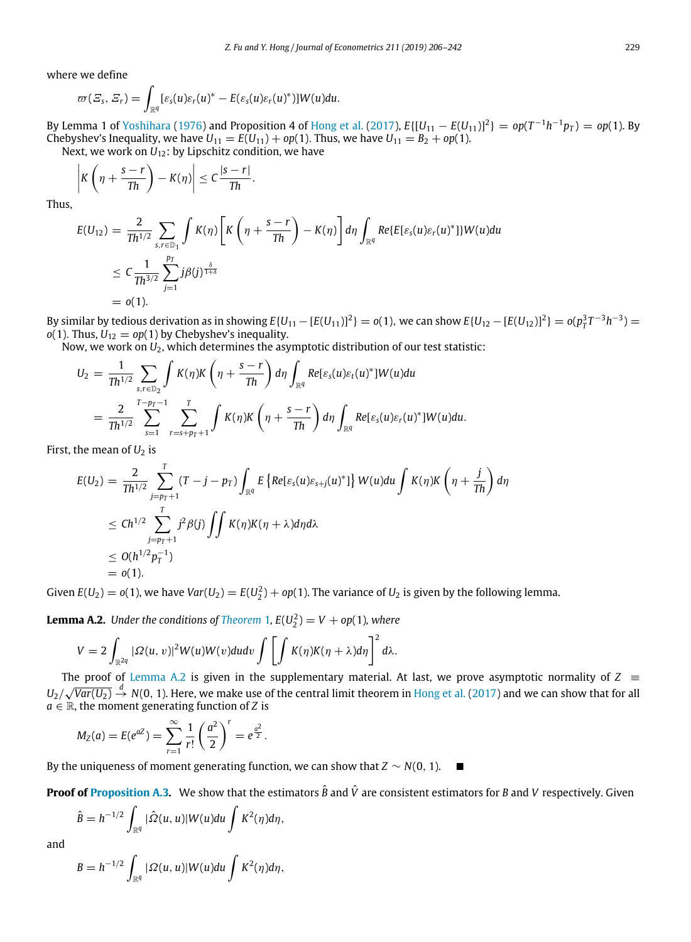where we define

$$
\varpi(\varXi_s,\varXi_r)=\int_{\mathbb{R}^q}[\varepsilon_s(u)\varepsilon_r(u)^* - E(\varepsilon_s(u)\varepsilon_r(u)^*)]W(u)du.
$$

By Lemma 1 of [Yoshihara](#page-36-22) [\(1976](#page-36-22)) and Proposition 4 of [Hong et al.](#page-35-22) ([2017](#page-35-22)),  $E\{[U_{11} - E(U_{11})]^2\} = op(T^{-1}h^{-1}p_T) = op(1)$ . By Chebyshev's Inequality, we have  $U_{11} = E(U_{11}) + op(1)$ . Thus, we have  $U_{11} = B_2 + op(1)$ . Next, we work on  $U_{12}$ : by Lipschitz condition, we have

$$
\left|K\left(\eta+\frac{s-r}{Th}\right)-K(\eta)\right|\leq C\frac{|s-r|}{Th}.
$$

Thus,

$$
E(U_{12}) = \frac{2}{Th^{1/2}} \sum_{s,r \in \mathbb{D}_1} \int K(\eta) \left[ K\left(\eta + \frac{s-r}{Th}\right) - K(\eta) \right] d\eta \int_{\mathbb{R}^q} Re\{E[\varepsilon_s(u)\varepsilon_r(u)^*]\} W(u) du
$$
  

$$
\leq C \frac{1}{Th^{3/2}} \sum_{j=1}^{p_T} j\beta(j)^{\frac{\delta}{1+\delta}}
$$
  
= o(1).

By similar by tedious derivation as in showing  $E\{U_{11}-[E(U_{11})]^2\}=o(1)$ , we can show  $E\{U_{12}-[E(U_{12})]^2\}=o(p_T^3T^{-3}h^{-3})=o(1)$  $o(1)$ . Thus,  $U_{12} = op(1)$  by Chebyshev's inequality.

Now, we work on *U*2, which determines the asymptotic distribution of our test statistic:

$$
U_2 = \frac{1}{Th^{1/2}} \sum_{s,r \in \mathbb{D}_2} \int K(\eta) K\left(\eta + \frac{s-r}{Th}\right) d\eta \int_{\mathbb{R}^q} Re[\varepsilon_s(u)\varepsilon_t(u)^*] W(u) du
$$
  
= 
$$
\frac{2}{Th^{1/2}} \sum_{s=1}^{T-p_T-1} \sum_{r=s+p_T+1}^{T} \int K(\eta) K\left(\eta + \frac{s-r}{Th}\right) d\eta \int_{\mathbb{R}^q} Re[\varepsilon_s(u)\varepsilon_r(u)^*] W(u) du.
$$

First, the mean of  $U_2$  is

$$
E(U_2) = \frac{2}{Th^{1/2}} \sum_{j=p_T+1}^{T} (T-j - p_T) \int_{\mathbb{R}^q} E\left\{Re[\varepsilon_s(u)\varepsilon_{s+j}(u)^*]\right\} W(u) du \int K(\eta)K\left(\eta + \frac{j}{Th}\right) d\eta
$$
  
\n
$$
\leq Ch^{1/2} \sum_{j=p_T+1}^{T} j^2 \beta(j) \int \int K(\eta)K(\eta + \lambda) d\eta d\lambda
$$
  
\n
$$
\leq O(h^{1/2} p_T^{-1})
$$
  
\n
$$
= o(1).
$$

Given  $E(U_2) = o(1)$ , we have  $Var(U_2) = E(U_2^2) + op(1)$ . The variance of  $U_2$  is given by the following lemma.

**Lemma A.2.** Under the conditions of [Theorem](#page-6-3) [1](#page-6-3),  $E(U_2^2) = V + op(1)$ , where

<span id="page-23-0"></span>
$$
V = 2 \int_{\mathbb{R}^{2q}} |\Omega(u, v)|^2 W(u) W(v) du dv \int \left[ \int K(\eta) K(\eta + \lambda) d\eta \right]^2 d\lambda.
$$

The proof of [Lemma](#page-23-0) [A.2](#page-23-0) is given in the supplementary material. At last, we prove asymptotic normality of  $Z \equiv$ *U*2/ √  $\overline{\text{Var}(U_2)}\overset{d}{\to}$  N(0, 1). Here, we make use of the central limit theorem in [Hong et al.](#page-35-22) [\(2017](#page-35-22)) and we can show that for all  $a \in \mathbb{R}$ , the moment generating function of *Z* is

$$
M_Z(a) = E(e^{aZ}) = \sum_{r=1}^{\infty} \frac{1}{r!} \left(\frac{a^2}{2}\right)^r = e^{\frac{a^2}{2}}.
$$

By the uniqueness of moment generating function, we can show that  $Z \sim N(0, 1)$ . ■

**Proof of [Proposition](#page-20-1) [A.3.](#page-20-1)** We show that the estimators  $\hat{B}$  and  $\hat{V}$  are consistent estimators for *B* and *V* respectively. Given

$$
\hat{B}=h^{-1/2}\int_{\mathbb{R}^q}|\hat{\Omega}(u,u)|W(u)du\int K^2(\eta)d\eta,
$$

and

$$
B=h^{-1/2}\int_{\mathbb{R}^q}|\Omega(u,u)|W(u)du\int K^2(\eta)d\eta,
$$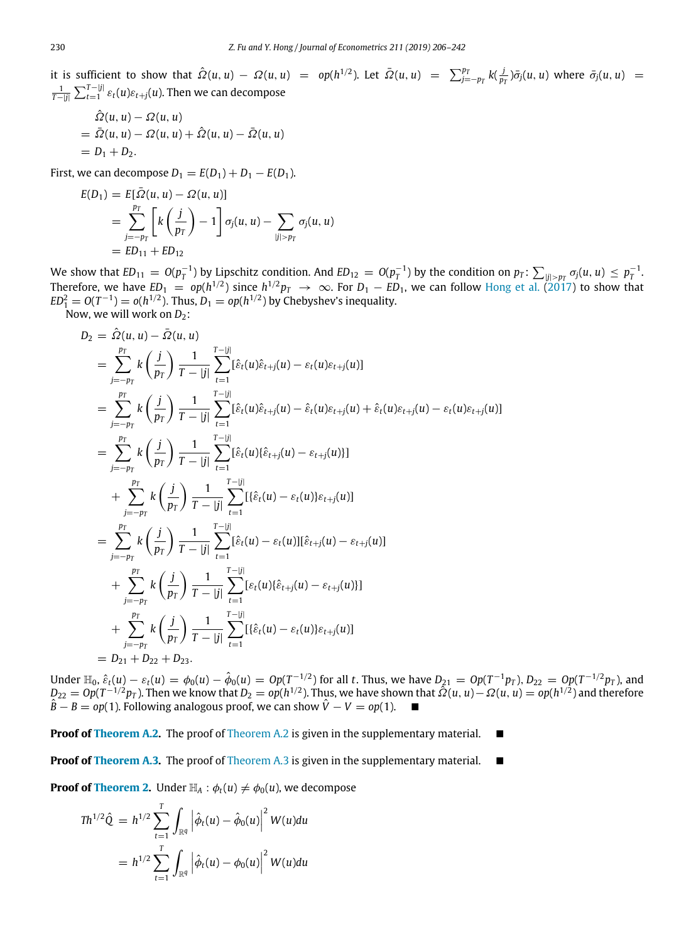it is sufficient to show that  $\hat{\Omega}(u, u) - \Omega(u, u) = op(h^{1/2})$ . Let  $\bar{\Omega}(u, u) = \sum_{j=-p}^{p_T} k(\frac{j}{p_T}) \bar{\sigma}_j(u, u)$  where  $\bar{\sigma}_j(u, u) = \frac{1}{p_T} \sum_{j=-p}^{p_T} k(\frac{j}{p_T}) \bar{\sigma}_j(u, u)$  $\frac{1}{T-|j|} \sum_{t=1}^{T-|j|} \varepsilon_t(u) \varepsilon_{t+j}(u).$  Then we can decompose

$$
\hat{\Omega}(u, u) - \Omega(u, u)
$$
  
=  $\overline{\Omega}(u, u) - \Omega(u, u) + \hat{\Omega}(u, u) - \overline{\Omega}(u, u)$   
=  $D_1 + D_2$ .

*First, we can decompose*  $D_1 = E(D_1) + D_1 - E(D_1)$ .

$$
E(D_1) = E[\overline{\Omega}(u, u) - \Omega(u, u)]
$$
  
= 
$$
\sum_{j=-p_T}^{p_T} \left[ k \left( \frac{j}{p_T} \right) - 1 \right] \sigma_j(u, u) - \sum_{|j| > p_T} \sigma_j(u, u)
$$
  
= 
$$
ED_{11} + ED_{12}
$$

We show that  $ED_{11} = O(p_T^{-1})$  by Lipschitz condition. And  $ED_{12} = O(p_T^{-1})$  by the condition on  $p_T \colon \sum_{|j| > p_T} \sigma_j(u, u) \leq p_T^{-1}$ . Therefore, we have  $ED_1~=~\emph{op}(h^{1/2})$  since  $h^{1/2}p_T~\to~\infty.$  For  $D_1~-~ED_1$ , we can follow [Hong et al.](#page-35-22) ([2017\)](#page-35-22) to show that  $ED_1^2 = O(T^{-1}) = o(h^{1/2})$ . Thus,  $D_1 = op(h^{1/2})$  by Chebyshev's inequality. Now, we will work on *D*<sub>2</sub>:

$$
D_2 = \hat{\Omega}(u, u) - \bar{\Omega}(u, u)
$$
  
\n
$$
= \sum_{j=-p_T}^{p_T} k\left(\frac{j}{p_T}\right) \frac{1}{T - |j|} \sum_{t=1}^{T - |j|} [\hat{\varepsilon}_t(u)\hat{\varepsilon}_{t+j}(u) - \varepsilon_t(u)\varepsilon_{t+j}(u)]
$$
  
\n
$$
= \sum_{j=-p_T}^{p_T} k\left(\frac{j}{p_T}\right) \frac{1}{T - |j|} \sum_{t=1}^{T - |j|} [\hat{\varepsilon}_t(u)\hat{\varepsilon}_{t+j}(u) - \hat{\varepsilon}_t(u)\varepsilon_{t+j}(u) + \hat{\varepsilon}_t(u)\varepsilon_{t+j}(u) - \varepsilon_t(u)\varepsilon_{t+j}(u)]
$$
  
\n
$$
= \sum_{j=-p_T}^{p_T} k\left(\frac{j}{p_T}\right) \frac{1}{T - |j|} \sum_{t=1}^{T - |j|} [\hat{\varepsilon}_t(u)\{\hat{\varepsilon}_{t+j}(u) - \varepsilon_{t+j}(u)\}]
$$
  
\n
$$
+ \sum_{j=-p_T}^{p_T} k\left(\frac{j}{p_T}\right) \frac{1}{T - |j|} \sum_{t=1}^{T - |j|} [\hat{\varepsilon}_t(u) - \varepsilon_t(u)] [\hat{\varepsilon}_{t+j}(u) - \varepsilon_{t+j}(u)]
$$
  
\n
$$
+ \sum_{j=-p_T}^{p_T} k\left(\frac{j}{p_T}\right) \frac{1}{T - |j|} \sum_{t=1}^{T - |j|} [\varepsilon_t(u)\{\hat{\varepsilon}_{t+j}(u) - \varepsilon_{t+j}(u)\}]
$$
  
\n
$$
+ \sum_{j=-p_T}^{p_T} k\left(\frac{j}{p_T}\right) \frac{1}{T - |j|} \sum_{t=1}^{T - |j|} [\varepsilon_t(u)\{\hat{\varepsilon}_{t+j}(u) - \varepsilon_{t+j}(u)\}]
$$
  
\n
$$
= D_{21} + D_{22} + D_{23}.
$$

Under  $\mathbb{H}_0$ ,  $\hat{\varepsilon}_t(u)-\varepsilon_t(u)=\phi_0(u)-\hat{\phi}_0(u)=\emph{Op}(T^{-1/2})$  for all t. Thus, we have  $D_{21}=\emph{Op}(T^{-1}p_T)$ ,  $D_{22}=\emph{Op}(T^{-1/2}p_T)$ , and  $D_{22} = Op(T^{-1/2}p_T)$ . Then we know that  $D_2 = op(h^{1/2})$ . Thus, we have shown that  $\tilde{\Omega}(u, u) - \Omega(u, u) = op(h^{1/2})$  and therefore  $\hat{B} - B = op(1)$ . Following analogous proof, we can show  $\hat{V} - V = op(1)$ .

**Proof of [Theorem](#page-19-3) [A.2.](#page-19-3)** The proof of Theorem [A.2](#page-19-3) is given in the supplementary material.

**Proof of [Theorem](#page-19-1) [A.3.](#page-19-1)** The proof of Theorem [A.3](#page-19-1) is given in the supplementary material. ■

**Proof of [Theorem](#page-6-1) [2](#page-6-1).** Under  $\mathbb{H}_A$  :  $\phi_t(u) \neq \phi_0(u)$ , we decompose

$$
Th^{1/2} \hat{Q} = h^{1/2} \sum_{t=1}^{T} \int_{\mathbb{R}^q} \left| \hat{\phi}_t(u) - \hat{\phi}_0(u) \right|^2 W(u) du
$$
  
=  $h^{1/2} \sum_{t=1}^{T} \int_{\mathbb{R}^q} \left| \hat{\phi}_t(u) - \phi_0(u) \right|^2 W(u) du$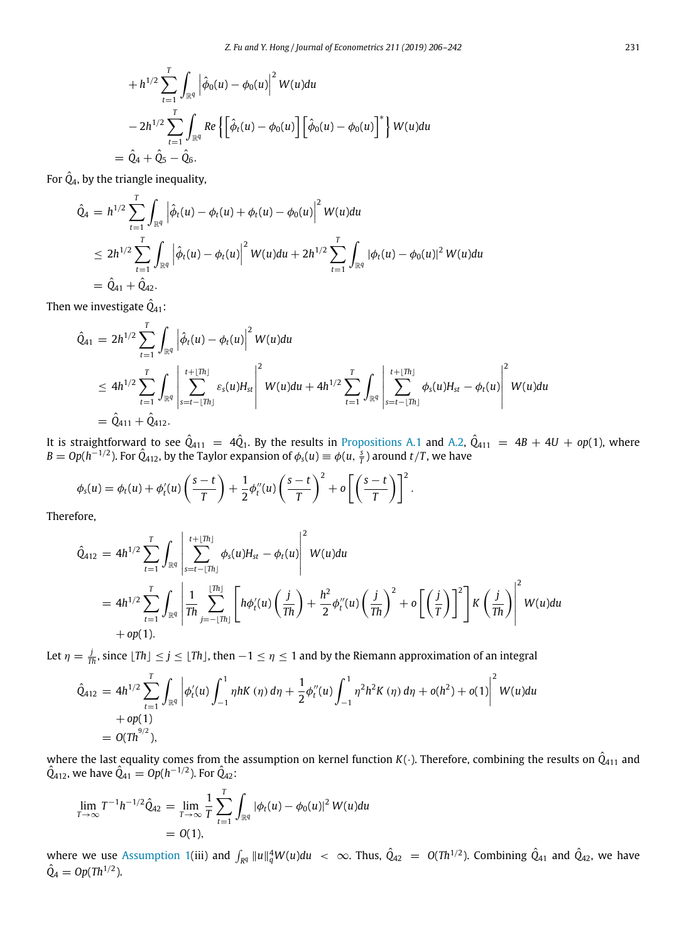$$
+ h^{1/2} \sum_{t=1}^{T} \int_{\mathbb{R}^{q}} \left| \hat{\phi}_{0}(u) - \phi_{0}(u) \right|^{2} W(u) du
$$
  

$$
- 2h^{1/2} \sum_{t=1}^{T} \int_{\mathbb{R}^{q}} Re \left\{ \left[ \hat{\phi}_{t}(u) - \phi_{0}(u) \right] \left[ \hat{\phi}_{0}(u) - \phi_{0}(u) \right]^{*} \right\} W(u) du
$$
  

$$
= \hat{Q}_{4} + \hat{Q}_{5} - \hat{Q}_{6}.
$$

For  $\hat{Q}_4$ , by the triangle inequality,

$$
\hat{Q}_4 = h^{1/2} \sum_{t=1}^T \int_{\mathbb{R}^q} \left| \hat{\phi}_t(u) - \phi_t(u) + \phi_t(u) - \phi_0(u) \right|^2 W(u) du
$$
\n
$$
\leq 2h^{1/2} \sum_{t=1}^T \int_{\mathbb{R}^q} \left| \hat{\phi}_t(u) - \phi_t(u) \right|^2 W(u) du + 2h^{1/2} \sum_{t=1}^T \int_{\mathbb{R}^q} |\phi_t(u) - \phi_0(u)|^2 W(u) du
$$
\n
$$
= \hat{Q}_{41} + \hat{Q}_{42}.
$$

Then we investigate  $\hat{Q}_{\bf 41}$ :

$$
\hat{Q}_{41} = 2h^{1/2} \sum_{t=1}^{T} \int_{\mathbb{R}^q} \left| \hat{\phi}_t(u) - \phi_t(u) \right|^2 W(u) du
$$
\n
$$
\leq 4h^{1/2} \sum_{t=1}^{T} \int_{\mathbb{R}^q} \left| \sum_{s=t-\lfloor Th \rfloor}^{t+\lfloor Th \rfloor} \varepsilon_s(u) H_{st} \right|^2 W(u) du + 4h^{1/2} \sum_{t=1}^{T} \int_{\mathbb{R}^q} \left| \sum_{s=t-\lfloor Th \rfloor}^{t+\lfloor Th \rfloor} \phi_s(u) H_{st} - \phi_t(u) \right|^2 W(u) du
$$
\n
$$
= \hat{Q}_{411} + \hat{Q}_{412}.
$$

It is straightforward to see  $\hat{Q}_{411} = 4\hat{Q}_1$ . By the results in [Propositions](#page-19-2) [A.1](#page-19-2) and [A.2,](#page-20-0)  $\hat{Q}_{411} = 4B + 4U + op(1)$ , where  $B = Op(h^{-1/2})$ . For  $\hat{Q}_{412}$ , by the Taylor expansion of  $\phi_s(u) \equiv \phi(u, \frac{s}{l})$  around *t*/*T*, we have

$$
\phi_s(u) = \phi_t(u) + \phi'_t(u) \left(\frac{s-t}{T}\right) + \frac{1}{2} \phi''_t(u) \left(\frac{s-t}{T}\right)^2 + o\left[\left(\frac{s-t}{T}\right)\right]^2.
$$

Therefore,

$$
\hat{Q}_{412} = 4h^{1/2} \sum_{t=1}^{T} \int_{\mathbb{R}^q} \left| \sum_{s=t-\lfloor Th \rfloor}^{t+\lfloor Th \rfloor} \phi_s(u) H_{st} - \phi_t(u) \right|^2 W(u) du \n= 4h^{1/2} \sum_{t=1}^{T} \int_{\mathbb{R}^q} \left| \frac{1}{Th} \sum_{j=-\lfloor Th \rfloor}^{[Th]} \left[ h\phi_t'(u) \left( \frac{j}{Th} \right) + \frac{h^2}{2} \phi_t''(u) \left( \frac{j}{Th} \right)^2 + o\left[ \left( \frac{j}{T} \right) \right]^2 \right] K \left( \frac{j}{Th} \right) \right|^2 W(u) du \n+ op(1).
$$

Let  $\eta=\frac{j}{\hbar}$ , since  $\lfloor \hbox{T}\hbar\rfloor\leq j\leq \lfloor \hbox{T}\hbar\rfloor$ , then  $-1\leq \eta\leq 1$  and by the Riemann approximation of an integral

$$
\hat{Q}_{412} = 4h^{1/2} \sum_{t=1}^{T} \int_{\mathbb{R}^q} \left| \phi'_t(u) \int_{-1}^1 \eta hK(\eta) d\eta + \frac{1}{2} \phi''_t(u) \int_{-1}^1 \eta^2 h^2 K(\eta) d\eta + o(h^2) + o(1) \right|^2 W(u) du + op(1) = O(Th^{9/2}),
$$

where the last equality comes from the assumption on kernel function *K*(·). Therefore, combining the results on  $\hat{Q}_{411}$  and  $\hat{Q}_{412}$ , we have  $\hat{Q}_{41} = Op(h^{-1/2})$ . For  $\hat{Q}_{42}$ :

$$
\lim_{T \to \infty} T^{-1} h^{-1/2} \hat{Q}_{42} = \lim_{T \to \infty} \frac{1}{T} \sum_{t=1}^{T} \int_{\mathbb{R}^q} |\phi_t(u) - \phi_0(u)|^2 W(u) du
$$
  
= O(1),

where we use [Assumption](#page-5-1) [1](#page-5-1)(iii) and  $\int_{R^q} ||u||_q^4 W(u) du < \infty$ . Thus,  $\hat{Q}_{42} = O(Th^{1/2})$ . Combining  $\hat{Q}_{41}$  and  $\hat{Q}_{42}$ , we have  $\hat{Q}_4 = Op(Th^{1/2}).$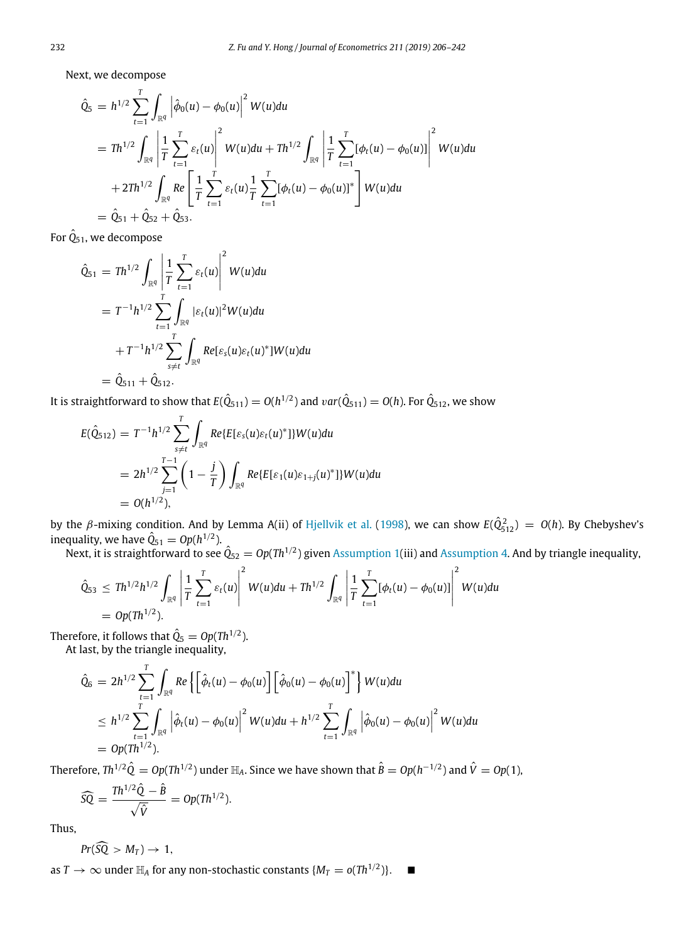Next, we decompose

$$
\begin{split}\n\hat{Q}_{5} &= h^{1/2} \sum_{t=1}^{T} \int_{\mathbb{R}^{q}} \left| \hat{\phi}_{0}(u) - \phi_{0}(u) \right|^{2} W(u) du \\
&= Th^{1/2} \int_{\mathbb{R}^{q}} \left| \frac{1}{T} \sum_{t=1}^{T} \varepsilon_{t}(u) \right|^{2} W(u) du + Th^{1/2} \int_{\mathbb{R}^{q}} \left| \frac{1}{T} \sum_{t=1}^{T} [\phi_{t}(u) - \phi_{0}(u)] \right|^{2} W(u) du \\
&+ 2Th^{1/2} \int_{\mathbb{R}^{q}} Re \left[ \frac{1}{T} \sum_{t=1}^{T} \varepsilon_{t}(u) \frac{1}{T} \sum_{t=1}^{T} [\phi_{t}(u) - \phi_{0}(u)]^{*} \right] W(u) du \\
&= \hat{Q}_{51} + \hat{Q}_{52} + \hat{Q}_{53}.\n\end{split}
$$

For *<sup>Q</sup>*ˆ <sup>51</sup>, we decompose

$$
\hat{Q}_{51} = Th^{1/2} \int_{\mathbb{R}^q} \left| \frac{1}{T} \sum_{t=1}^T \varepsilon_t(u) \right|^2 W(u) du
$$
  
\n
$$
= T^{-1}h^{1/2} \sum_{t=1}^T \int_{\mathbb{R}^q} |\varepsilon_t(u)|^2 W(u) du
$$
  
\n
$$
+ T^{-1}h^{1/2} \sum_{s \neq t}^T \int_{\mathbb{R}^q} Re[\varepsilon_s(u)\varepsilon_t(u)^*] W(u) du
$$
  
\n
$$
= \hat{Q}_{511} + \hat{Q}_{512}.
$$

It is straightforward to show that  $E(\hat{Q}_{511})=O(h^{1/2})$  and  $var(\hat{Q}_{511})=O(h).$  For  $\hat{Q}_{512}$ , we show

$$
E(\hat{Q}_{512}) = T^{-1}h^{1/2} \sum_{s \neq t}^{T} \int_{\mathbb{R}^q} Re\{E[\varepsilon_s(u)\varepsilon_t(u)^*]\}W(u)du
$$
  
=  $2h^{1/2} \sum_{j=1}^{T-1} \left(1 - \frac{j}{T}\right) \int_{\mathbb{R}^q} Re\{E[\varepsilon_1(u)\varepsilon_{1+j}(u)^*]\}W(u)du$   
=  $O(h^{1/2}),$ 

by the  $\beta$ -mixing condition. And by Lemma A(ii) of [Hjellvik et al.](#page-35-33) [\(1998](#page-35-33)), we can show  $E(\hat{Q}^2_{512}) = O(h)$ . By Chebyshev's inequality, we have  $\hat{Q}_{51} = Op(h^{1/2})$  $\hat{Q}_{51} = Op(h^{1/2})$  $\hat{Q}_{51} = Op(h^{1/2})$ .<br>Next, it is straightforward to see  $\hat{Q}_{52} = Op(Th^{1/2})$  given [Assumption](#page-5-4) 1(iii) and Assumption [4.](#page-5-4) And by triangle inequality,

$$
\hat{Q}_{53} \leq Th^{1/2}h^{1/2} \int_{\mathbb{R}^q} \left| \frac{1}{T} \sum_{t=1}^T \varepsilon_t(u) \right|^2 W(u) du + Th^{1/2} \int_{\mathbb{R}^q} \left| \frac{1}{T} \sum_{t=1}^T [\phi_t(u) - \phi_0(u)] \right|^2 W(u) du
$$
\n
$$
= Op(Th^{1/2}).
$$

Therefore, it follows that  $\hat{Q}_5 = Op (Th^{1/2})$ .

At last, by the triangle inequality,

$$
\hat{Q}_6 = 2h^{1/2} \sum_{t=1}^T \int_{\mathbb{R}^q} Re \left\{ \left[ \hat{\phi}_t(u) - \phi_0(u) \right] \left[ \hat{\phi}_0(u) - \phi_0(u) \right]^* \right\} W(u) du
$$
\n
$$
\leq h^{1/2} \sum_{t=1}^T \int_{\mathbb{R}^q} \left| \hat{\phi}_t(u) - \phi_0(u) \right|^2 W(u) du + h^{1/2} \sum_{t=1}^T \int_{\mathbb{R}^q} \left| \hat{\phi}_0(u) - \phi_0(u) \right|^2 W(u) du
$$
\n
$$
= Op(Th^{1/2}).
$$

Therefore,  $Th^{1/2}\hat{Q}=Op(Th^{1/2})$  under  $\mathbb{H}_A$ . Since we have shown that  $\hat{B}=Op(h^{-1/2})$  and  $\hat{V}=Op(1)$ ,

$$
\widehat{SQ} = \frac{Th^{1/2}\hat{Q} - \hat{B}}{\sqrt{\hat{V}}} = Op(Th^{1/2}).
$$

Thus,

$$
Pr(\widehat{SQ} > M_T) \to 1,
$$

as  $T\rightarrow\infty$  under  $\mathbb{H}_A$  for any non-stochastic constants  $\{M_T = o (Th^{1/2})\}$ .  $\quad \blacksquare$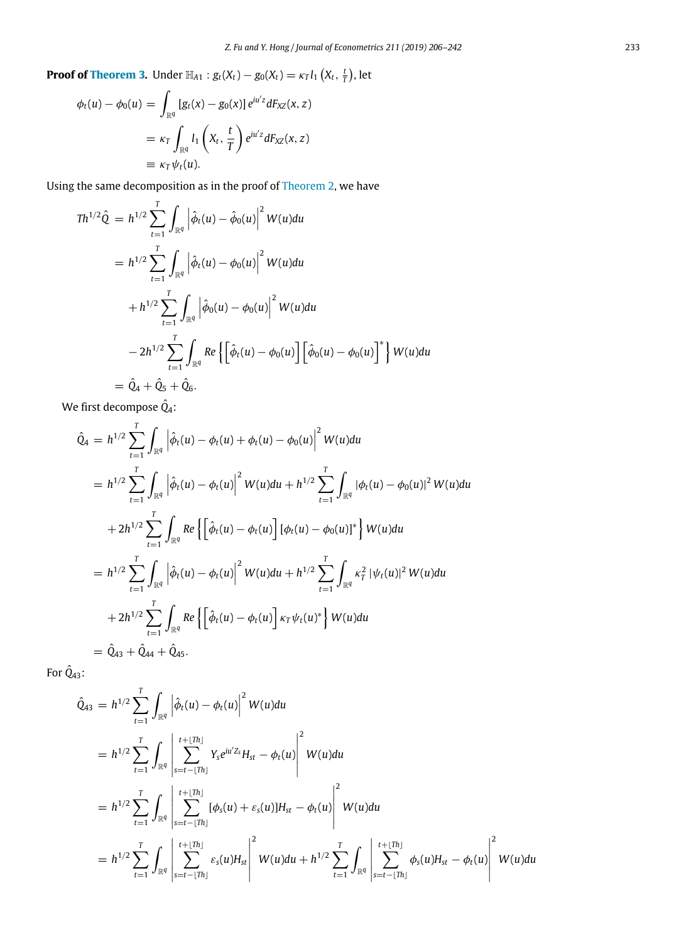**Proof of [Theorem](#page-7-0) [3](#page-7-0).** Under  $\mathbb{H}_{A1}$  :  $g_t(X_t) - g_0(X_t) = \kappa_T l_1(X_t, \frac{t}{T})$ , let

$$
\phi_t(u) - \phi_0(u) = \int_{\mathbb{R}^q} [g_t(x) - g_0(x)] e^{iu'z} dF_{XZ}(x, z)
$$
  

$$
= \kappa_T \int_{\mathbb{R}^q} l_1\left(X_t, \frac{t}{T}\right) e^{iu'z} dF_{XZ}(x, z)
$$
  

$$
\equiv \kappa_T \psi_t(u).
$$

Using the same decomposition as in the proof of [Theorem](#page-6-1) [2](#page-6-1), we have

$$
Th^{1/2} \hat{Q} = h^{1/2} \sum_{t=1}^{T} \int_{\mathbb{R}^q} \left| \hat{\phi}_t(u) - \hat{\phi}_0(u) \right|^2 W(u) du
$$
  
\n
$$
= h^{1/2} \sum_{t=1}^{T} \int_{\mathbb{R}^q} \left| \hat{\phi}_t(u) - \phi_0(u) \right|^2 W(u) du
$$
  
\n
$$
+ h^{1/2} \sum_{t=1}^{T} \int_{\mathbb{R}^q} \left| \hat{\phi}_0(u) - \phi_0(u) \right|^2 W(u) du
$$
  
\n
$$
- 2h^{1/2} \sum_{t=1}^{T} \int_{\mathbb{R}^q} Re \left\{ \left[ \hat{\phi}_t(u) - \phi_0(u) \right] \left[ \hat{\phi}_0(u) - \phi_0(u) \right]^* \right\} W(u) du
$$
  
\n
$$
= \hat{Q}_4 + \hat{Q}_5 + \hat{Q}_6.
$$

We first decompose  $\hat{Q}_4$ :

$$
\hat{Q}_4 = h^{1/2} \sum_{t=1}^T \int_{\mathbb{R}^q} \left| \hat{\phi}_t(u) - \phi_t(u) + \phi_t(u) - \phi_0(u) \right|^2 W(u) du \n= h^{1/2} \sum_{t=1}^T \int_{\mathbb{R}^q} \left| \hat{\phi}_t(u) - \phi_t(u) \right|^2 W(u) du + h^{1/2} \sum_{t=1}^T \int_{\mathbb{R}^q} |\phi_t(u) - \phi_0(u)|^2 W(u) du \n+ 2h^{1/2} \sum_{t=1}^T \int_{\mathbb{R}^q} Re \left\{ \left[ \hat{\phi}_t(u) - \phi_t(u) \right] [\phi_t(u) - \phi_0(u)]^* \right\} W(u) du \n= h^{1/2} \sum_{t=1}^T \int_{\mathbb{R}^q} \left| \hat{\phi}_t(u) - \phi_t(u) \right|^2 W(u) du + h^{1/2} \sum_{t=1}^T \int_{\mathbb{R}^q} \kappa_t^2 |\psi_t(u)|^2 W(u) du \n+ 2h^{1/2} \sum_{t=1}^T \int_{\mathbb{R}^q} Re \left\{ \left[ \hat{\phi}_t(u) - \phi_t(u) \right] \kappa_T \psi_t(u)^* \right\} W(u) du \n= \hat{Q}_{43} + \hat{Q}_{44} + \hat{Q}_{45}.
$$

For *<sup>Q</sup>*ˆ <sup>43</sup>:

$$
\hat{Q}_{43} = h^{1/2} \sum_{t=1}^{T} \int_{\mathbb{R}^q} \left| \hat{\phi}_t(u) - \phi_t(u) \right|^2 W(u) du
$$
\n
$$
= h^{1/2} \sum_{t=1}^{T} \int_{\mathbb{R}^q} \left| \sum_{s=t-\lfloor Th \rfloor}^{t+\lfloor Th \rfloor} Y_s e^{iu^2 s} H_{st} - \phi_t(u) \right|^2 W(u) du
$$
\n
$$
= h^{1/2} \sum_{t=1}^{T} \int_{\mathbb{R}^q} \left| \sum_{s=t-\lfloor Th \rfloor}^{t+\lfloor Th \rfloor} [\phi_s(u) + \varepsilon_s(u)] H_{st} - \phi_t(u) \right|^2 W(u) du
$$
\n
$$
= h^{1/2} \sum_{t=1}^{T} \int_{\mathbb{R}^q} \left| \sum_{s=t-\lfloor Th \rfloor}^{t+\lfloor Th \rfloor} \varepsilon_s(u) H_{st} \right|^2 W(u) du + h^{1/2} \sum_{t=1}^{T} \int_{\mathbb{R}^q} \left| \sum_{s=t-\lfloor Th \rfloor}^{t+\lfloor Th \rfloor} \phi_s(u) H_{st} - \phi_t(u) \right|^2 W(u) du
$$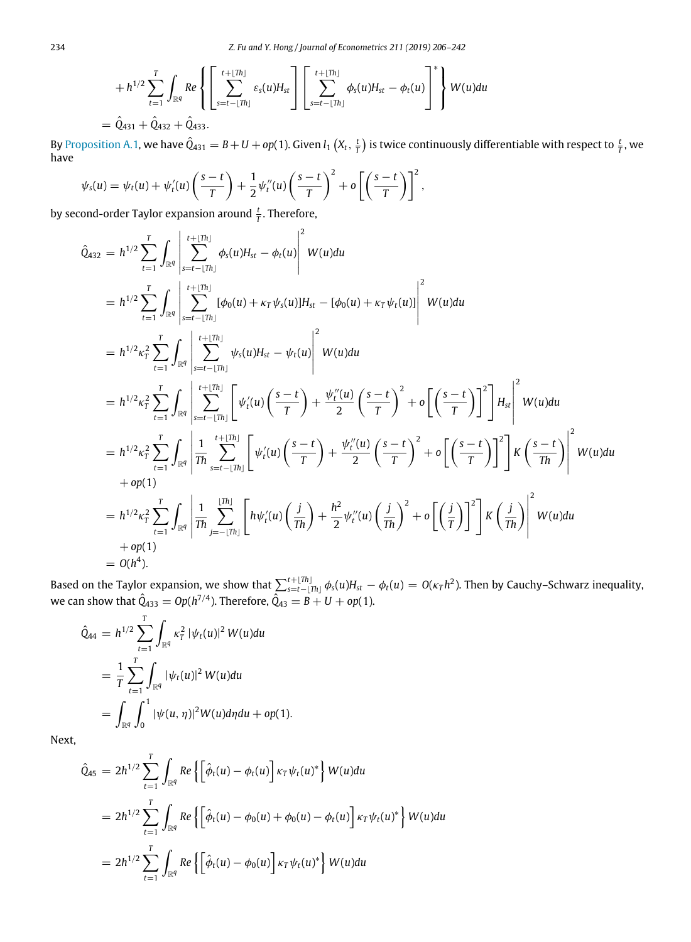234 *Z. Fu and Y. Hong / Journal of Econometrics 211 (2019) 206–242*

$$
+ h^{1/2} \sum_{t=1}^{T} \int_{\mathbb{R}^q} Re \left\{ \left[ \sum_{s=t-\lfloor Th \rfloor}^{t+\lfloor Th \rfloor} \varepsilon_s(u) H_{st} \right] \left[ \sum_{s=t-\lfloor Th \rfloor}^{t+\lfloor Th \rfloor} \phi_s(u) H_{st} - \phi_t(u) \right]^* \right\} W(u) du
$$
  
=  $\hat{Q}_{431} + \hat{Q}_{432} + \hat{Q}_{433}.$ 

By [Proposition](#page-19-2) [A.1](#page-19-2), we have  $\hat{Q}_{431} = B + U + op(1)$ . Given  $l_1\left(X_t, \frac{t}{T}\right)$  is twice continuously differentiable with respect to  $\frac{t}{T}$ , we have

$$
\psi_s(u) = \psi_t(u) + \psi'_t(u) \left(\frac{s-t}{T}\right) + \frac{1}{2} \psi''_t(u) \left(\frac{s-t}{T}\right)^2 + o\left[\left(\frac{s-t}{T}\right)\right]^2,
$$

by second-order Taylor expansion around  $\frac{t}{T}.$  Therefore,

$$
\hat{Q}_{432} = h^{1/2} \sum_{t=1}^{T} \int_{\mathbb{R}^{q}} \left| \sum_{s=t-[Th]}^{t+[Th]} \phi_{s}(u)H_{st} - \phi_{t}(u) \right|^{2} W(u)du
$$
\n
$$
= h^{1/2} \sum_{t=1}^{T} \int_{\mathbb{R}^{q}} \left| \sum_{s=t-[Th]}^{t+[Th]} [\phi_{0}(u) + \kappa_{T} \psi_{s}(u)]H_{st} - [\phi_{0}(u) + \kappa_{T} \psi_{t}(u)] \right|^{2} W(u)du
$$
\n
$$
= h^{1/2} \kappa_{T}^{2} \sum_{t=1}^{T} \int_{\mathbb{R}^{q}} \left| \sum_{s=t-[Th]}^{t+[Th]} \psi_{s}(u)H_{st} - \psi_{t}(u) \right|^{2} W(u)du
$$
\n
$$
= h^{1/2} \kappa_{T}^{2} \sum_{t=1}^{T} \int_{\mathbb{R}^{q}} \left| \sum_{s=t-[Th]}^{t+[Th]} \psi_{t}'(u) \left( \frac{s-t}{T} \right) + \frac{\psi_{t}''(u)}{2} \left( \frac{s-t}{T} \right)^{2} + o \left[ \left( \frac{s-t}{T} \right) \right]^{2} \right] H_{st} \left| \int_{0}^{2} W(u)du
$$
\n
$$
= h^{1/2} \kappa_{T}^{2} \sum_{t=1}^{T} \int_{\mathbb{R}^{q}} \left| \frac{1}{Th} \sum_{s=t-[Th]}^{t+[Th]} \left[ \psi_{t}'(u) \left( \frac{s-t}{T} \right) + \frac{\psi_{t}''(u)}{2} \left( \frac{s-t}{T} \right)^{2} + o \left[ \left( \frac{s-t}{T} \right) \right]^{2} \right] K \left( \frac{s-t}{Th} \right) \right|^{2} W(u)du
$$
\n
$$
+ op(1)
$$
\n
$$
= h^{1/2} \kappa_{T}^{2} \sum_{t=1}^{T} \int_{\mathbb{R}^{q}} \left| \frac{1}{Th} \sum_{j=-[Th]}^{t[Th]} \left[ h\psi_{t}'(u) \left( \frac{j}{Th} \right) + \frac{h^{2}}{2} \psi_{t}''(u) \left( \
$$

Based on the Taylor expansion, we show that  $\sum_{s=t-\lfloor Th\rfloor}^{t+\lfloor Th\rfloor}\phi_s(u)H_{st}-\phi_t(u)=O(\kappa_T h^2).$  Then by Cauchy–Schwarz inequality, we can show that  $\hat{Q}_{433} = Op(h^{7/4})$ . Therefore,  $\hat{Q}_{43} = B + U + op(1)$ .

$$
\hat{Q}_{44} = h^{1/2} \sum_{t=1}^{T} \int_{\mathbb{R}^q} \kappa_T^2 |\psi_t(u)|^2 W(u) du
$$
  
= 
$$
\frac{1}{T} \sum_{t=1}^{T} \int_{\mathbb{R}^q} |\psi_t(u)|^2 W(u) du
$$
  
= 
$$
\int_{\mathbb{R}^q} \int_0^1 |\psi(u, \eta)|^2 W(u) d\eta du + op(1).
$$

Next,

$$
\hat{Q}_{45} = 2h^{1/2} \sum_{t=1}^{T} \int_{\mathbb{R}^{q}} Re \left\{ \left[ \hat{\phi}_{t}(u) - \phi_{t}(u) \right] \kappa_{T} \psi_{t}(u)^{*} \right\} W(u) du
$$
\n
$$
= 2h^{1/2} \sum_{t=1}^{T} \int_{\mathbb{R}^{q}} Re \left\{ \left[ \hat{\phi}_{t}(u) - \phi_{0}(u) + \phi_{0}(u) - \phi_{t}(u) \right] \kappa_{T} \psi_{t}(u)^{*} \right\} W(u) du
$$
\n
$$
= 2h^{1/2} \sum_{t=1}^{T} \int_{\mathbb{R}^{q}} Re \left\{ \left[ \hat{\phi}_{t}(u) - \phi_{0}(u) \right] \kappa_{T} \psi_{t}(u)^{*} \right\} W(u) du
$$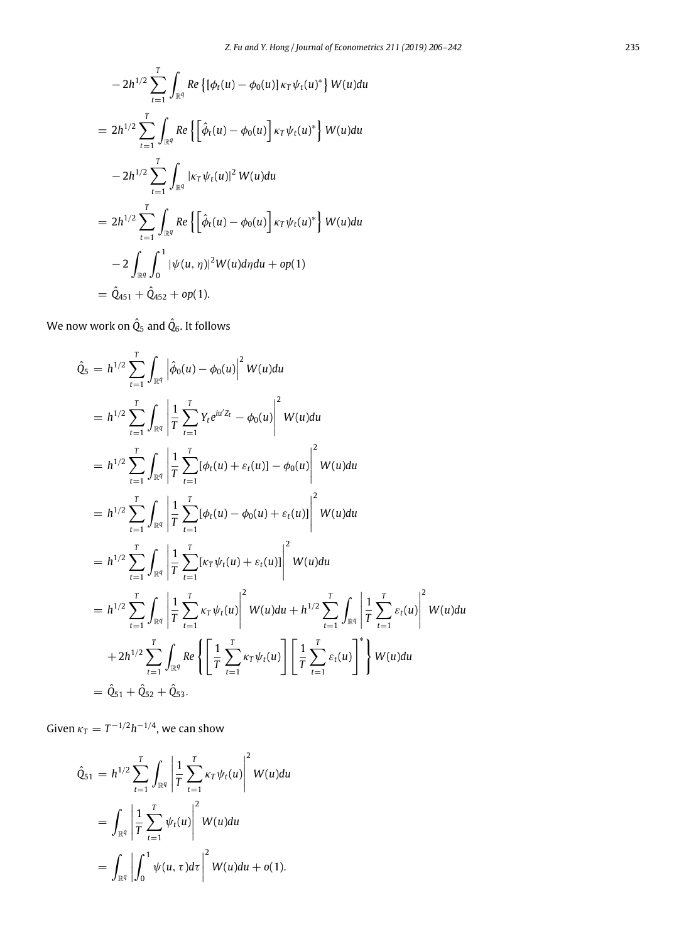$$
-2h^{1/2} \sum_{t=1}^{T} \int_{\mathbb{R}^{q}} Re \left\{ [\phi_{t}(u) - \phi_{0}(u)] \kappa_{T} \psi_{t}(u)^{*} \right\} W(u) du
$$
  
\n
$$
= 2h^{1/2} \sum_{t=1}^{T} \int_{\mathbb{R}^{q}} Re \left\{ \left[ \hat{\phi}_{t}(u) - \phi_{0}(u) \right] \kappa_{T} \psi_{t}(u)^{*} \right\} W(u) du
$$
  
\n
$$
-2h^{1/2} \sum_{t=1}^{T} \int_{\mathbb{R}^{q}} |\kappa_{T} \psi_{t}(u)|^{2} W(u) du
$$
  
\n
$$
= 2h^{1/2} \sum_{t=1}^{T} \int_{\mathbb{R}^{q}} Re \left\{ \left[ \hat{\phi}_{t}(u) - \phi_{0}(u) \right] \kappa_{T} \psi_{t}(u)^{*} \right\} W(u) du
$$
  
\n
$$
-2 \int_{\mathbb{R}^{q}} \int_{0}^{1} |\psi(u, \eta)|^{2} W(u) d\eta du + op(1)
$$
  
\n
$$
= \hat{Q}_{451} + \hat{Q}_{452} + op(1).
$$

We now work on  $\hat{\textbf{Q}}_{5}$  and  $\hat{\textbf{Q}}_{6}$ . It follows

$$
\hat{Q}_{5} = h^{1/2} \sum_{t=1}^{T} \int_{\mathbb{R}^{q}} \left| \hat{\phi}_{0}(u) - \phi_{0}(u) \right|^{2} W(u) du
$$
\n
$$
= h^{1/2} \sum_{t=1}^{T} \int_{\mathbb{R}^{q}} \left| \frac{1}{T} \sum_{t=1}^{T} Y_{t} e^{iu' Z_{t}} - \phi_{0}(u) \right|^{2} W(u) du
$$
\n
$$
= h^{1/2} \sum_{t=1}^{T} \int_{\mathbb{R}^{q}} \left| \frac{1}{T} \sum_{t=1}^{T} [\phi_{t}(u) + \varepsilon_{t}(u)] - \phi_{0}(u) \right|^{2} W(u) du
$$
\n
$$
= h^{1/2} \sum_{t=1}^{T} \int_{\mathbb{R}^{q}} \left| \frac{1}{T} \sum_{t=1}^{T} [\phi_{t}(u) - \phi_{0}(u) + \varepsilon_{t}(u)] \right|^{2} W(u) du
$$
\n
$$
= h^{1/2} \sum_{t=1}^{T} \int_{\mathbb{R}^{q}} \left| \frac{1}{T} \sum_{t=1}^{T} [\kappa_{T} \psi_{t}(u) + \varepsilon_{t}(u)] \right|^{2} W(u) du
$$
\n
$$
= h^{1/2} \sum_{t=1}^{T} \int_{\mathbb{R}^{q}} \left| \frac{1}{T} \sum_{t=1}^{T} \kappa_{T} \psi_{t}(u) \right|^{2} W(u) du + h^{1/2} \sum_{t=1}^{T} \int_{\mathbb{R}^{q}} \left| \frac{1}{T} \sum_{t=1}^{T} \varepsilon_{t}(u) \right|^{2} W(u) du
$$
\n
$$
+ 2h^{1/2} \sum_{t=1}^{T} \int_{\mathbb{R}^{q}} Re \left\{ \left[ \frac{1}{T} \sum_{t=1}^{T} \kappa_{T} \psi_{t}(u) \right] \left[ \frac{1}{T} \sum_{t=1}^{T} \varepsilon_{t}(u) \right]^{*} \right\} W(u) du
$$
\n
$$
= \hat{Q}_{51} + \hat{Q}_{52} + \hat{Q}_{53}.
$$

Given  $\kappa_T = T^{-1/2}h^{-1/4}$ , we can show

$$
\hat{Q}_{51} = h^{1/2} \sum_{t=1}^{T} \int_{\mathbb{R}^q} \left| \frac{1}{T} \sum_{t=1}^{T} \kappa_T \psi_t(u) \right|^2 W(u) du
$$
  
= 
$$
\int_{\mathbb{R}^q} \left| \frac{1}{T} \sum_{t=1}^{T} \psi_t(u) \right|^2 W(u) du
$$
  
= 
$$
\int_{\mathbb{R}^q} \left| \int_0^1 \psi(u, \tau) d\tau \right|^2 W(u) du + o(1).
$$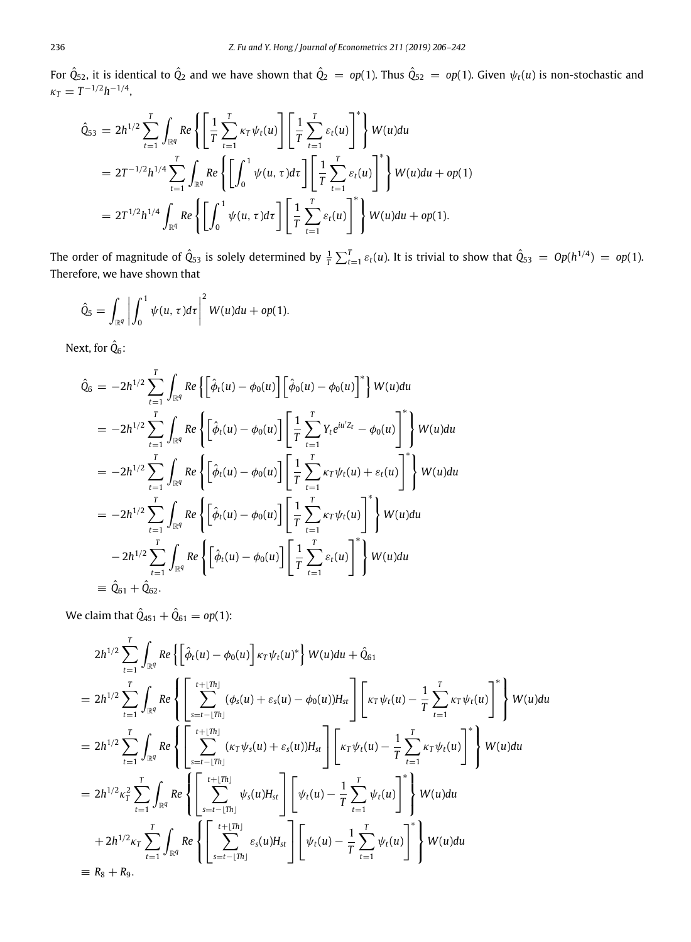For  $\hat{Q}_{52}$ , it is identical to  $\hat{Q}_2$  and we have shown that  $\hat{Q}_2~=~op(1)$ . Thus  $\hat{Q}_{52}~=~op(1)$ . Given  $\psi_t(u)$  is non-stochastic and  $\kappa_T = T^{-1/2}h^{-1/4},$ 

$$
\hat{Q}_{53} = 2h^{1/2} \sum_{t=1}^{T} \int_{\mathbb{R}^q} Re \left\{ \left[ \frac{1}{T} \sum_{t=1}^{T} \kappa_T \psi_t(u) \right] \left[ \frac{1}{T} \sum_{t=1}^{T} \varepsilon_t(u) \right]^* \right\} W(u) du
$$
\n
$$
= 2T^{-1/2} h^{1/4} \sum_{t=1}^{T} \int_{\mathbb{R}^q} Re \left\{ \left[ \int_0^1 \psi(u, \tau) d\tau \right] \left[ \frac{1}{T} \sum_{t=1}^{T} \varepsilon_t(u) \right]^* \right\} W(u) du + op(1)
$$
\n
$$
= 2T^{1/2} h^{1/4} \int_{\mathbb{R}^q} Re \left\{ \left[ \int_0^1 \psi(u, \tau) d\tau \right] \left[ \frac{1}{T} \sum_{t=1}^{T} \varepsilon_t(u) \right]^* \right\} W(u) du + op(1).
$$

The order of magnitude of  $\hat{Q}_{53}$  is solely determined by  $\frac{1}{T}\sum_{t=1}^T\varepsilon_t(u)$ . It is trivial to show that  $\hat{Q}_{53}\ =\ Op(h^{1/4})\ =\ op(1)$ . Therefore, we have shown that

$$
\hat{Q}_5 = \int_{\mathbb{R}^q} \left| \int_0^1 \psi(u, \tau) d\tau \right|^2 W(u) du + op(1).
$$

Next, for  $\hat{Q}_6$ :

$$
\hat{Q}_{6} = -2h^{1/2} \sum_{t=1}^{T} \int_{\mathbb{R}^{q}} Re \left\{ \left[ \hat{\phi}_{t}(u) - \phi_{0}(u) \right] \left[ \hat{\phi}_{0}(u) - \phi_{0}(u) \right]^{*} \right\} W(u) du
$$
\n
$$
= -2h^{1/2} \sum_{t=1}^{T} \int_{\mathbb{R}^{q}} Re \left\{ \left[ \hat{\phi}_{t}(u) - \phi_{0}(u) \right] \left[ \frac{1}{T} \sum_{t=1}^{T} Y_{t} e^{iu^{2} u} - \phi_{0}(u) \right]^{*} \right\} W(u) du
$$
\n
$$
= -2h^{1/2} \sum_{t=1}^{T} \int_{\mathbb{R}^{q}} Re \left\{ \left[ \hat{\phi}_{t}(u) - \phi_{0}(u) \right] \left[ \frac{1}{T} \sum_{t=1}^{T} \kappa_{T} \psi_{t}(u) + \varepsilon_{t}(u) \right]^{*} \right\} W(u) du
$$
\n
$$
= -2h^{1/2} \sum_{t=1}^{T} \int_{\mathbb{R}^{q}} Re \left\{ \left[ \hat{\phi}_{t}(u) - \phi_{0}(u) \right] \left[ \frac{1}{T} \sum_{t=1}^{T} \kappa_{T} \psi_{t}(u) \right]^{*} \right\} W(u) du
$$
\n
$$
-2h^{1/2} \sum_{t=1}^{T} \int_{\mathbb{R}^{q}} Re \left\{ \left[ \hat{\phi}_{t}(u) - \phi_{0}(u) \right] \left[ \frac{1}{T} \sum_{t=1}^{T} \varepsilon_{t}(u) \right]^{*} \right\} W(u) du
$$
\n
$$
\equiv \hat{Q}_{61} + \hat{Q}_{62}.
$$

We claim that  $\hat{Q}_{451} + \hat{Q}_{61} =$   $op(1)$ :

$$
2h^{1/2} \sum_{t=1}^{T} \int_{\mathbb{R}^q} Re \left\{ \left[ \hat{\phi}_t(u) - \phi_0(u) \right] \kappa_T \psi_t(u)^* \right\} W(u) du + \hat{Q}_{61}
$$
  
\n
$$
= 2h^{1/2} \sum_{t=1}^{T} \int_{\mathbb{R}^q} Re \left\{ \left[ \sum_{s=t-\lfloor Th \rfloor}^{t+\lfloor Th \rfloor} (\phi_s(u) + \varepsilon_s(u) - \phi_0(u)) H_{st} \right] \left[ \kappa_T \psi_t(u) - \frac{1}{T} \sum_{t=1}^{T} \kappa_T \psi_t(u) \right]^* \right\} W(u) du
$$
  
\n
$$
= 2h^{1/2} \sum_{t=1}^{T} \int_{\mathbb{R}^q} Re \left\{ \left[ \sum_{s=t-\lfloor Th \rfloor}^{t+\lfloor Th \rfloor} (\kappa_T \psi_s(u) + \varepsilon_s(u)) H_{st} \right] \left[ \kappa_T \psi_t(u) - \frac{1}{T} \sum_{t=1}^{T} \kappa_T \psi_t(u) \right]^* \right\} W(u) du
$$
  
\n
$$
= 2h^{1/2} \kappa_T^2 \sum_{t=1}^{T} \int_{\mathbb{R}^q} Re \left\{ \left[ \sum_{s=t-\lfloor Th \rfloor}^{t+\lfloor Th \rfloor} \psi_s(u) H_{st} \right] \left[ \psi_t(u) - \frac{1}{T} \sum_{t=1}^{T} \psi_t(u) \right]^* \right\} W(u) du
$$
  
\n
$$
+ 2h^{1/2} \kappa_T \sum_{t=1}^{T} \int_{\mathbb{R}^q} Re \left\{ \left[ \sum_{s=t-\lfloor Th \rfloor}^{t+\lfloor Th \rfloor} \varepsilon_s(u) H_{st} \right] \left[ \psi_t(u) - \frac{1}{T} \sum_{t=1}^{T} \psi_t(u) \right]^* \right\} W(u) du
$$
  
\n
$$
\equiv R_8 + R_9.
$$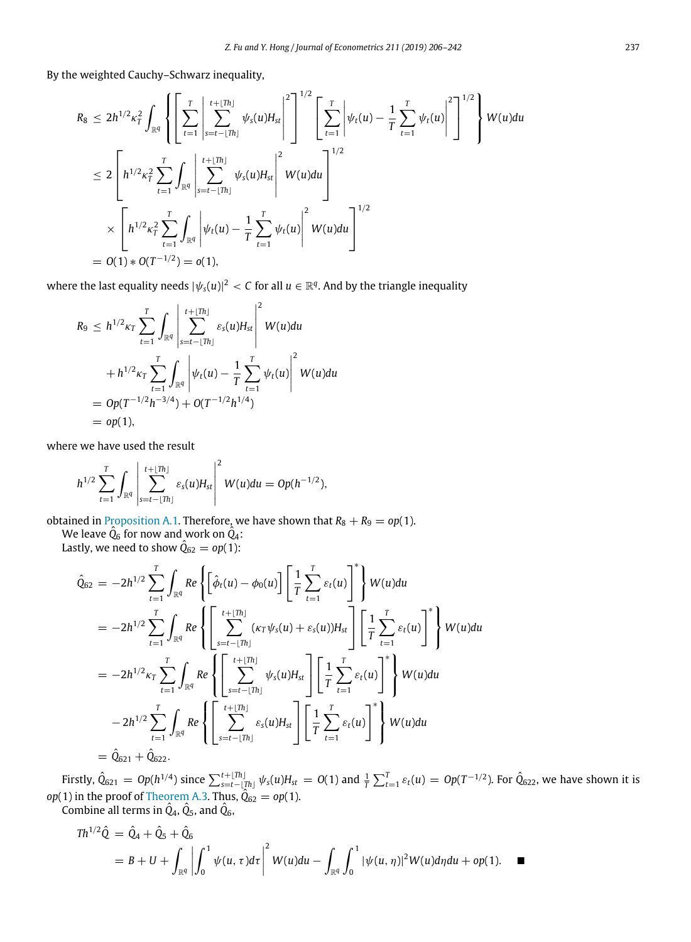By the weighted Cauchy–Schwarz inequality,

$$
R_{8} \leq 2h^{1/2}\kappa_{T}^{2} \int_{\mathbb{R}^{q}} \left\{ \left[ \sum_{t=1}^{T} \left| \sum_{s=t-\lfloor Th \rfloor}^{t+\lfloor Th \rfloor} \psi_{s}(u) H_{st} \right|^{2} \right]^{1/2} \left[ \sum_{t=1}^{T} \left| \psi_{t}(u) - \frac{1}{T} \sum_{t=1}^{T} \psi_{t}(u) \right|^{2} \right]^{1/2} \right\} W(u) du
$$
  

$$
\leq 2 \left[ h^{1/2} \kappa_{T}^{2} \sum_{t=1}^{T} \int_{\mathbb{R}^{q}} \left| \sum_{s=t-\lfloor Th \rfloor}^{t+\lfloor Th \rfloor} \psi_{s}(u) H_{st} \right|^{2} W(u) du \right]^{1/2}
$$
  

$$
\times \left[ h^{1/2} \kappa_{T}^{2} \sum_{t=1}^{T} \int_{\mathbb{R}^{q}} \left| \psi_{t}(u) - \frac{1}{T} \sum_{t=1}^{T} \psi_{t}(u) \right|^{2} W(u) du \right]^{1/2}
$$
  

$$
= O(1) * O(T^{-1/2}) = o(1),
$$

where the last equality needs  $|\psi_s(u)|^2 < C$  for all  $u \in \mathbb{R}^q.$  And by the triangle inequality

$$
R_9 \leq h^{1/2} \kappa_T \sum_{t=1}^T \int_{\mathbb{R}^q} \left| \sum_{s=t-\lfloor Th \rfloor}^{t+\lfloor Th \rfloor} \varepsilon_s(u) H_{st} \right|^2 W(u) du
$$
  
+  $h^{1/2} \kappa_T \sum_{t=1}^T \int_{\mathbb{R}^q} \left| \psi_t(u) - \frac{1}{T} \sum_{t=1}^T \psi_t(u) \right|^2 W(u) du$   
=  $Op(T^{-1/2}h^{-3/4}) + O(T^{-1/2}h^{1/4})$   
=  $op(1),$ 

where we have used the result

$$
h^{1/2} \sum_{t=1}^{T} \int_{\mathbb{R}^q} \left| \sum_{s=t-\lfloor Th \rfloor}^{t+\lfloor Th \rfloor} \varepsilon_s(u) H_{st} \right|^2 W(u) du = Op(h^{-1/2}),
$$

obtained in [Proposition](#page-19-2) [A.1](#page-19-2). Therefore, we have shown that  $R_8 + R_9 = op(1)$ .

We leave  $\hat{Q}_6$  for now and work on  $\hat{Q}_4$ :<br>Lastly, we need to show  $\hat{Q}_{62} = op(1)$ :

$$
\hat{Q}_{62} = -2h^{1/2} \sum_{t=1}^{T} \int_{\mathbb{R}^{q}} Re \left\{ \left[ \hat{\phi}_{t}(u) - \phi_{0}(u) \right] \left[ \frac{1}{T} \sum_{t=1}^{T} \varepsilon_{t}(u) \right]^{*} \right\} W(u) du
$$
\n
$$
= -2h^{1/2} \sum_{t=1}^{T} \int_{\mathbb{R}^{q}} Re \left\{ \left[ \sum_{s=t-\lfloor Th \rfloor}^{t+\lfloor Th \rfloor} (\kappa_{T} \psi_{s}(u) + \varepsilon_{s}(u)) H_{st} \right] \left[ \frac{1}{T} \sum_{t=1}^{T} \varepsilon_{t}(u) \right]^{*} \right\} W(u) du
$$
\n
$$
= -2h^{1/2} \kappa_{T} \sum_{t=1}^{T} \int_{\mathbb{R}^{q}} Re \left\{ \left[ \sum_{s=t-\lfloor Th \rfloor}^{t+\lfloor Th \rfloor} \psi_{s}(u) H_{st} \right] \left[ \frac{1}{T} \sum_{t=1}^{T} \varepsilon_{t}(u) \right]^{*} \right\} W(u) du
$$
\n
$$
-2h^{1/2} \sum_{t=1}^{T} \int_{\mathbb{R}^{q}} Re \left\{ \left[ \sum_{s=t-\lfloor Th \rfloor}^{t+\lfloor Th \rfloor} \varepsilon_{s}(u) H_{st} \right] \left[ \frac{1}{T} \sum_{t=1}^{T} \varepsilon_{t}(u) \right]^{*} \right\} W(u) du
$$
\n
$$
= \hat{Q}_{621} + \hat{Q}_{622}.
$$

Firstly,  $\hat{Q}_{621} = Op(h^{1/4})$  since  $\sum_{s=t-\lfloor T\hbar\rfloor}^{t+\lfloor T\hbar\rfloor}\psi_s(u)H_{st} = O(1)$  and  $\frac{1}{T}\sum_{t=1}^T\varepsilon_t(u) = Op(T^{-1/2})$ . For  $\hat{Q}_{622}$ , we have shown it is  $op(1)$  in the proof of [Theorem](#page-19-1) [A.3.](#page-19-1) Thus,  $\hat{Q}_{62} = op(1)$ .

Combine all terms in *<sup>Q</sup>*ˆ <sup>4</sup>, *<sup>Q</sup>*ˆ <sup>5</sup>, and *<sup>Q</sup>*ˆ 6,

$$
Th^{1/2} \hat{Q} = \hat{Q}_4 + \hat{Q}_5 + \hat{Q}_6
$$
  
=  $B + U + \int_{\mathbb{R}^q} \left| \int_0^1 \psi(u, \tau) d\tau \right|^2 W(u) du - \int_{\mathbb{R}^q} \int_0^1 |\psi(u, \eta)|^2 W(u) d\eta du + op(1).$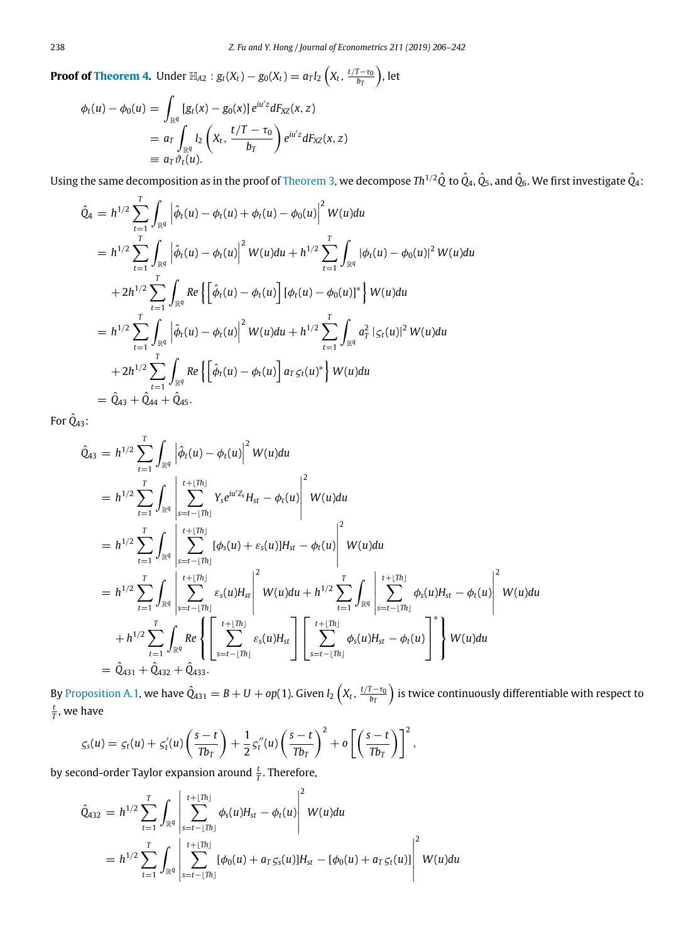**Proof of [Theorem](#page-7-1) [4](#page-7-1).** Under  $\mathbb{H}_{A2}: g_t(X_t) - g_0(X_t) = a_T l_2\left(X_t, \frac{t/T - \tau_0}{b_T}\right)$ , let

$$
\begin{aligned} \phi_t(u) - \phi_0(u) &= \int_{\mathbb{R}^q} \left[ g_t(x) - g_0(x) \right] e^{iu'z} dF_{XZ}(x, z) \\ &= a_T \int_{\mathbb{R}^q} l_2 \left( X_t, \frac{t/T - \tau_0}{b_T} \right) e^{iu'z} dF_{XZ}(x, z) \\ &\equiv a_T \vartheta_t(u). \end{aligned}
$$

Using the same decomposition as in the proof of [Theorem](#page-7-0) [3,](#page-7-0) we decompose  $Th^{1/2}\hat{Q}$  to  $\hat{Q}_4$ ,  $\hat{Q}_5$ , and  $\hat{Q}_6$ . We first investigate  $\hat{Q}_4$ :

$$
\hat{Q}_4 = h^{1/2} \sum_{t=1}^T \int_{\mathbb{R}^q} \left| \hat{\phi}_t(u) - \phi_t(u) + \phi_t(u) - \phi_0(u) \right|^2 W(u) du
$$
\n
$$
= h^{1/2} \sum_{t=1}^T \int_{\mathbb{R}^q} \left| \hat{\phi}_t(u) - \phi_t(u) \right|^2 W(u) du + h^{1/2} \sum_{t=1}^T \int_{\mathbb{R}^q} |\phi_t(u) - \phi_0(u)|^2 W(u) du
$$
\n
$$
+ 2h^{1/2} \sum_{t=1}^T \int_{\mathbb{R}^q} Re \left\{ \left[ \hat{\phi}_t(u) - \phi_t(u) \right] [\phi_t(u) - \phi_0(u)]^* \right\} W(u) du
$$
\n
$$
= h^{1/2} \sum_{t=1}^T \int_{\mathbb{R}^q} \left| \hat{\phi}_t(u) - \phi_t(u) \right|^2 W(u) du + h^{1/2} \sum_{t=1}^T \int_{\mathbb{R}^q} a_T^2 |_{St}(u)|^2 W(u) du
$$
\n
$$
+ 2h^{1/2} \sum_{t=1}^T \int_{\mathbb{R}^q} Re \left\{ \left[ \hat{\phi}_t(u) - \phi_t(u) \right] a_T s_t(u)^* \right\} W(u) du
$$
\n
$$
= \hat{Q}_{43} + \hat{Q}_{44} + \hat{Q}_{45}.
$$

For *<sup>Q</sup>*ˆ <sup>43</sup>:

$$
\hat{Q}_{43} = h^{1/2} \sum_{t=1}^{T} \int_{\mathbb{R}^{q}} \left| \hat{\phi}_{t}(u) - \phi_{t}(u) \right|^{2} W(u) du
$$
\n
$$
= h^{1/2} \sum_{t=1}^{T} \int_{\mathbb{R}^{q}} \left| \sum_{s=t-\lfloor Th \rfloor}^{t+\lfloor Th \rfloor} Y_{s} e^{iu^{2}z_{s}} H_{st} - \phi_{t}(u) \right|^{2} W(u) du
$$
\n
$$
= h^{1/2} \sum_{t=1}^{T} \int_{\mathbb{R}^{q}} \left| \sum_{s=t-\lfloor Th \rfloor}^{t+\lfloor Th \rfloor} [\phi_{s}(u) + \varepsilon_{s}(u)] H_{st} - \phi_{t}(u) \right|^{2} W(u) du
$$
\n
$$
= h^{1/2} \sum_{t=1}^{T} \int_{\mathbb{R}^{q}} \left| \sum_{s=t-\lfloor Th \rfloor}^{t+\lfloor Th \rfloor} \varepsilon_{s}(u) H_{st} \right|^{2} W(u) du + h^{1/2} \sum_{t=1}^{T} \int_{\mathbb{R}^{q}} \left| \sum_{s=t-\lfloor Th \rfloor}^{t+\lfloor Th \rfloor} \phi_{s}(u) H_{st} - \phi_{t}(u) \right|^{2} W(u) du
$$
\n
$$
+ h^{1/2} \sum_{t=1}^{T} \int_{\mathbb{R}^{q}} Re \left\{ \left[ \sum_{s=t-\lfloor Th \rfloor}^{t+\lfloor Th \rfloor} \varepsilon_{s}(u) H_{st} \right] \left[ \sum_{s=t-\lfloor Th \rfloor}^{t+\lfloor Th \rfloor} \phi_{s}(u) H_{st} - \phi_{t}(u) \right]^{*} \right\} W(u) du
$$
\n
$$
= \hat{Q}_{431} + \hat{Q}_{432} + \hat{Q}_{433}.
$$

By [Proposition](#page-19-2) [A.1,](#page-19-2) we have  $\hat{Q}_{431} = B+U+op(1)$ . Given  $l_2\left(X_t,\frac{t/T-\tau_0}{b_T}\right)$  is twice continuously differentiable with respect to  $\frac{t}{T}$ , we have

$$
\varsigma_{s}(u)=\varsigma_{t}(u)+\varsigma_{t}'(u)\left(\frac{s-t}{Tb_{T}}\right)+\frac{1}{2}\varsigma_{t}''(u)\left(\frac{s-t}{Tb_{T}}\right)^{2}+o\left[\left(\frac{s-t}{Tb_{T}}\right)\right]^{2},
$$

by second-order Taylor expansion around  $\frac{t}{T}.$  Therefore,

$$
\hat{Q}_{432} = h^{1/2} \sum_{t=1}^{T} \int_{\mathbb{R}^q} \left| \sum_{s=t-\lfloor Th \rfloor}^{t+\lfloor Th \rfloor} \phi_s(u) H_{st} - \phi_t(u) \right|^2 W(u) du
$$
\n
$$
= h^{1/2} \sum_{t=1}^{T} \int_{\mathbb{R}^q} \left| \sum_{s=t-\lfloor Th \rfloor}^{t+\lfloor Th \rfloor} [\phi_0(u) + a_T \zeta_s(u)] H_{st} - [\phi_0(u) + a_T \zeta_t(u)] \right|^2 W(u) du
$$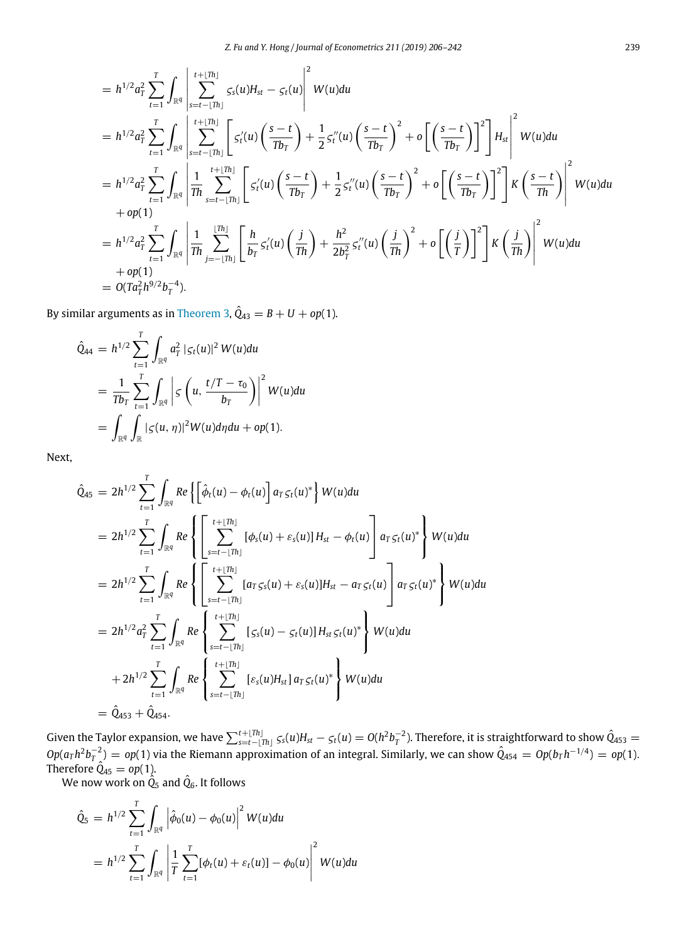$$
= h^{1/2} a_T^2 \sum_{t=1}^T \int_{\mathbb{R}^q} \left| \sum_{s=t-\lfloor Th \rfloor}^{t+\lfloor Th \rfloor} \zeta_s(u) H_{st} - \zeta_t(u) \right|^2 W(u) du
$$
  
\n
$$
= h^{1/2} a_T^2 \sum_{t=1}^T \int_{\mathbb{R}^q} \left| \sum_{s=t-\lfloor Th \rfloor}^{t+\lfloor Th \rfloor} \left[ \zeta_t'(u) \left( \frac{s-t}{Tb_T} \right) + \frac{1}{2} \zeta_t''(u) \left( \frac{s-t}{Tb_T} \right)^2 + o \left[ \left( \frac{s-t}{Tb_T} \right) \right]^2 \right] H_{st} \right|^2 W(u) du
$$
  
\n
$$
= h^{1/2} a_T^2 \sum_{t=1}^T \int_{\mathbb{R}^q} \left| \frac{1}{Th} \sum_{s=t-\lfloor Th \rfloor}^{t+\lfloor Th \rfloor} \left[ \zeta_t'(u) \left( \frac{s-t}{Tb_T} \right) + \frac{1}{2} \zeta_t''(u) \left( \frac{s-t}{Tb_T} \right)^2 + o \left[ \left( \frac{s-t}{Tb_T} \right) \right]^2 \right] K \left( \frac{s-t}{Th} \right) \right|^2 W(u) du
$$
  
\n
$$
+ op(1)
$$
  
\n
$$
= h^{1/2} a_T^2 \sum_{t=1}^T \int_{\mathbb{R}^q} \left| \frac{1}{Th} \sum_{j=-\lfloor Th \rfloor}^{t+\lfloor Th \rfloor} \left[ \frac{h}{b_T} \zeta_t'(u) \left( \frac{j}{Th} \right) + \frac{h^2}{2b_T^2} \zeta_t''(u) \left( \frac{j}{Th} \right)^2 + o \left[ \left( \frac{j}{T} \right) \right]^2 \right] K \left( \frac{j}{Th} \right) \right|^2 W(u) du
$$
  
\n
$$
+ op(1)
$$
  
\n
$$
= O(T a_T^2 h^{9/2} b_T^{-4}).
$$

By similar arguments as in [Theorem](#page-7-0) [3,](#page-7-0)  $\hat{Q}_{\rm{43}}=B+U+op(1)$ .

$$
\hat{Q}_{44} = h^{1/2} \sum_{t=1}^{T} \int_{\mathbb{R}^q} a_T^2 |S_t(u)|^2 W(u) du
$$
  
= 
$$
\frac{1}{Tb_T} \sum_{t=1}^{T} \int_{\mathbb{R}^q} \left| S\left(u, \frac{t/T - \tau_0}{b_T}\right) \right|^2 W(u) du
$$
  
= 
$$
\int_{\mathbb{R}^q} \int_{\mathbb{R}} |S(u, \eta)|^2 W(u) d\eta du + op(1).
$$

Next,

$$
\hat{Q}_{45} = 2h^{1/2} \sum_{t=1}^{T} \int_{\mathbb{R}^{q}} Re \left\{ \left[ \hat{\phi}_{t}(u) - \phi_{t}(u) \right] a_{T} \zeta_{t}(u)^{*} \right\} W(u) du
$$
\n
$$
= 2h^{1/2} \sum_{t=1}^{T} \int_{\mathbb{R}^{q}} Re \left\{ \left[ \sum_{s=t-\lfloor Th \rfloor}^{t+\lfloor Th \rfloor} [\phi_{s}(u) + \varepsilon_{s}(u)] H_{st} - \phi_{t}(u) \right] a_{T} \zeta_{t}(u)^{*} \right\} W(u) du
$$
\n
$$
= 2h^{1/2} \sum_{t=1}^{T} \int_{\mathbb{R}^{q}} Re \left\{ \left[ \sum_{s=t-\lfloor Th \rfloor}^{t+\lfloor Th \rfloor} [a_{T} \zeta_{s}(u) + \varepsilon_{s}(u)] H_{st} - a_{T} \zeta_{t}(u) \right] a_{T} \zeta_{t}(u)^{*} \right\} W(u) du
$$
\n
$$
= 2h^{1/2} a_{T}^{2} \sum_{t=1}^{T} \int_{\mathbb{R}^{q}} Re \left\{ \sum_{s=t-\lfloor Th \rfloor}^{t+\lfloor Th \rfloor} [ \zeta_{s}(u) - \zeta_{t}(u) ] H_{st} \zeta_{t}(u)^{*} \right\} W(u) du
$$
\n
$$
+ 2h^{1/2} \sum_{t=1}^{T} \int_{\mathbb{R}^{q}} Re \left\{ \sum_{s=t-\lfloor Th \rfloor}^{t+\lfloor Th \rfloor} [ \varepsilon_{s}(u) H_{st} ] a_{T} \zeta_{t}(u)^{*} \right\} W(u) du
$$
\n
$$
= \hat{Q}_{453} + \hat{Q}_{454}.
$$

Given the Taylor expansion, we have  $\sum_{s=t-\lfloor Th\rfloor}^{t+\lfloor Th\rfloor} \varsigma_s(u)H_{st}-\varsigma_t(u)=O(h^2b_T^{-2}).$  Therefore, it is straightforward to show  $\hat{Q}_{453}=$  $Op(a_{T}h^{2}b_{T}^{-2}) = op(1)$  via the Riemann approximation of an integral. Similarly, we can show  $\hat{Q}_{454} = Op(b_{T}h^{-1/4}) = op(1)$ . Therefore  $\hat{Q}_{45} = op(1)$ .

We now work on  $\hat{Q}_5$  and  $\hat{Q}_6$ . It follows

$$
\hat{Q}_5 = h^{1/2} \sum_{t=1}^T \int_{\mathbb{R}^q} \left| \hat{\phi}_0(u) - \phi_0(u) \right|^2 W(u) du
$$
  
=  $h^{1/2} \sum_{t=1}^T \int_{\mathbb{R}^q} \left| \frac{1}{T} \sum_{t=1}^T [\phi_t(u) + \varepsilon_t(u)] - \phi_0(u) \right|^2 W(u) du$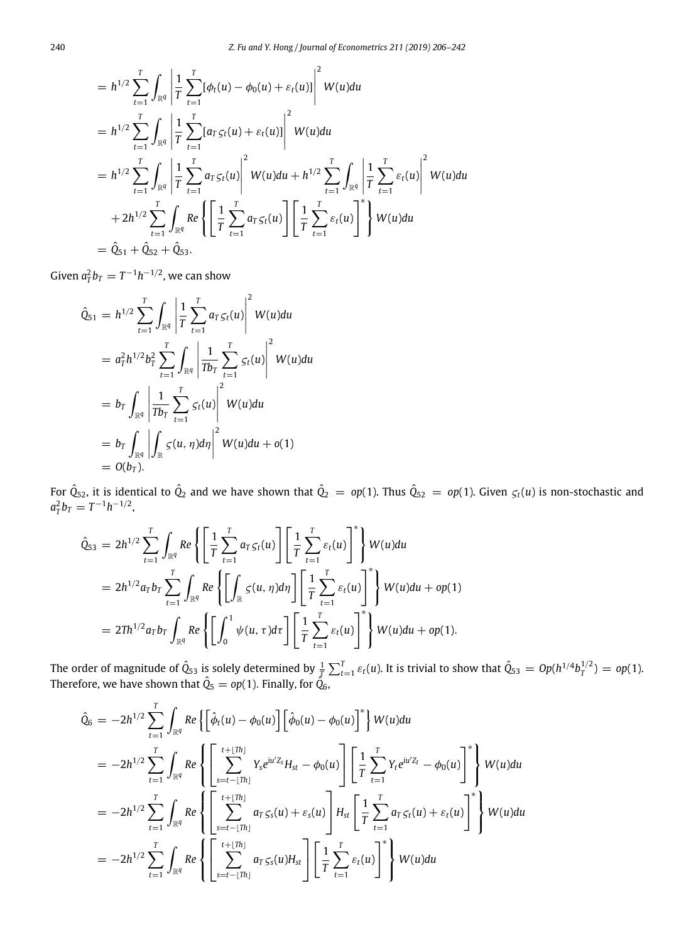$$
= h^{1/2} \sum_{t=1}^{T} \int_{\mathbb{R}^{q}} \left| \frac{1}{T} \sum_{t=1}^{T} [\phi_{t}(u) - \phi_{0}(u) + \varepsilon_{t}(u)] \right|^{2} W(u) du
$$
  
\n
$$
= h^{1/2} \sum_{t=1}^{T} \int_{\mathbb{R}^{q}} \left| \frac{1}{T} \sum_{t=1}^{T} [a_{T} \varsigma_{t}(u) + \varepsilon_{t}(u)] \right|^{2} W(u) du
$$
  
\n
$$
= h^{1/2} \sum_{t=1}^{T} \int_{\mathbb{R}^{q}} \left| \frac{1}{T} \sum_{t=1}^{T} a_{T} \varsigma_{t}(u) \right|^{2} W(u) du + h^{1/2} \sum_{t=1}^{T} \int_{\mathbb{R}^{q}} \left| \frac{1}{T} \sum_{t=1}^{T} \varepsilon_{t}(u) \right|^{2} W(u) du
$$
  
\n
$$
+ 2h^{1/2} \sum_{t=1}^{T} \int_{\mathbb{R}^{q}} Re \left\{ \left[ \frac{1}{T} \sum_{t=1}^{T} a_{T} \varsigma_{t}(u) \right] \left[ \frac{1}{T} \sum_{t=1}^{T} \varepsilon_{t}(u) \right]^{*} \right\} W(u) du
$$
  
\n
$$
= \hat{Q}_{51} + \hat{Q}_{52} + \hat{Q}_{53}.
$$

Given  $a_T^2 b_T = T^{-1} h^{-1/2}$ , we can show

$$
\hat{Q}_{51} = h^{1/2} \sum_{t=1}^{T} \int_{\mathbb{R}^q} \left| \frac{1}{T} \sum_{t=1}^{T} a_{T} \zeta_t(u) \right|^2 W(u) du
$$
\n
$$
= a_T^2 h^{1/2} b_T^2 \sum_{t=1}^{T} \int_{\mathbb{R}^q} \left| \frac{1}{T b_T} \sum_{t=1}^{T} \zeta_t(u) \right|^2 W(u) du
$$
\n
$$
= b_T \int_{\mathbb{R}^q} \left| \frac{1}{T b_T} \sum_{t=1}^{T} \zeta_t(u) \right|^2 W(u) du
$$
\n
$$
= b_T \int_{\mathbb{R}^q} \left| \int_{\mathbb{R}} \zeta(u, \eta) d\eta \right|^2 W(u) du + o(1)
$$
\n
$$
= O(b_T).
$$

For  $\hat{Q}_{52}$ , it is identical to  $\hat{Q}_2$  and we have shown that  $\hat{Q}_2\,=\,$   $op(1)$ . Thus  $\hat{Q}_{52}\,=\,$   $op(1)$ . Given  $\varsigma_t(u)$  is non-stochastic and  $a_T^2 b_T = T^{-1}h^{-1/2}$ ,

$$
\hat{Q}_{53} = 2h^{1/2} \sum_{t=1}^{T} \int_{\mathbb{R}^q} Re \left\{ \left[ \frac{1}{T} \sum_{t=1}^{T} a_T \varsigma_t(u) \right] \left[ \frac{1}{T} \sum_{t=1}^{T} \varepsilon_t(u) \right]^* \right\} W(u) du
$$
\n
$$
= 2h^{1/2} a_T b_T \sum_{t=1}^{T} \int_{\mathbb{R}^q} Re \left\{ \left[ \int_{\mathbb{R}} \varsigma(u, \eta) d\eta \right] \left[ \frac{1}{T} \sum_{t=1}^{T} \varepsilon_t(u) \right]^* \right\} W(u) du + op(1)
$$
\n
$$
= 2Th^{1/2} a_T b_T \int_{\mathbb{R}^q} Re \left\{ \left[ \int_0^1 \psi(u, \tau) d\tau \right] \left[ \frac{1}{T} \sum_{t=1}^{T} \varepsilon_t(u) \right]^* \right\} W(u) du + op(1).
$$

The order of magnitude of  $\hat{Q}_{53}$  is solely determined by  $\frac{1}{T}\sum_{t=1}^T \varepsilon_t(u)$ . It is trivial to show that  $\hat{Q}_{53} = {Op(h^{1/4}b_T^{1/2})} = {op(1)}$ . Therefore, we have shown that  $\hat{Q}_5 = op(1)$ . Finally, for  $\hat{Q}_6$ ,

$$
\hat{Q}_{6} = -2h^{1/2} \sum_{t=1}^{T} \int_{\mathbb{R}^{q}} Re \left\{ \left[ \hat{\phi}_{t}(u) - \phi_{0}(u) \right] \left[ \hat{\phi}_{0}(u) - \phi_{0}(u) \right]^{*} \right\} W(u) du
$$
\n
$$
= -2h^{1/2} \sum_{t=1}^{T} \int_{\mathbb{R}^{q}} Re \left\{ \left[ \sum_{s=t-\lfloor Th \rfloor}^{t+\lfloor Th \rfloor} Y_{s} e^{iu' Z_{s}} H_{st} - \phi_{0}(u) \right] \left[ \frac{1}{T} \sum_{t=1}^{T} Y_{t} e^{iu' Z_{t}} - \phi_{0}(u) \right]^{*} \right\} W(u) du
$$
\n
$$
= -2h^{1/2} \sum_{t=1}^{T} \int_{\mathbb{R}^{q}} Re \left\{ \left[ \sum_{s=t-\lfloor Th \rfloor}^{t+\lfloor Th \rfloor} a_{T} \varsigma_{s}(u) + \varepsilon_{s}(u) \right] H_{st} \left[ \frac{1}{T} \sum_{t=1}^{T} a_{T} \varsigma_{t}(u) + \varepsilon_{t}(u) \right]^{*} \right\} W(u) du
$$
\n
$$
= -2h^{1/2} \sum_{t=1}^{T} \int_{\mathbb{R}^{q}} Re \left\{ \left[ \sum_{s=t-\lfloor Th \rfloor}^{t+\lfloor Th \rfloor} a_{T} \varsigma_{s}(u) H_{st} \right] \left[ \frac{1}{T} \sum_{t=1}^{T} \varepsilon_{t}(u) \right]^{*} \right\} W(u) du
$$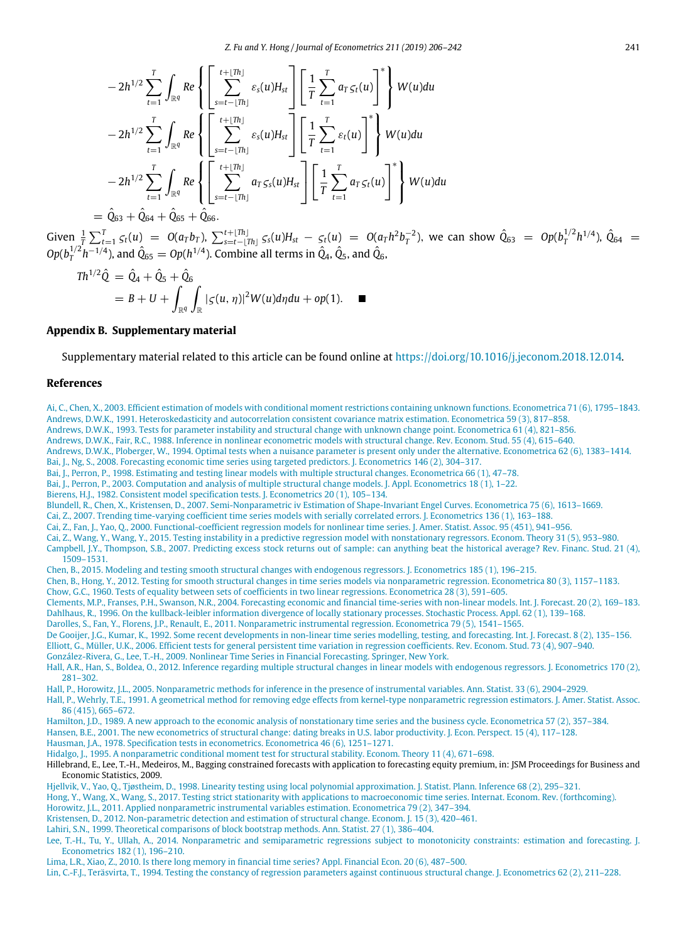$$
-2h^{1/2} \sum_{t=1}^{T} \int_{\mathbb{R}^q} Re \left\{ \left[ \sum_{s=t-\lfloor Th \rfloor}^{t+\lfloor Th \rfloor} \varepsilon_s(u) H_{st} \right] \left[ \frac{1}{T} \sum_{t=1}^{T} a_{T} \varsigma_t(u) \right]^* \right\} W(u) du -2h^{1/2} \sum_{t=1}^{T} \int_{\mathbb{R}^q} Re \left\{ \left[ \sum_{s=t-\lfloor Th \rfloor}^{t+\lfloor Th \rfloor} \varepsilon_s(u) H_{st} \right] \left[ \frac{1}{T} \sum_{t=1}^{T} \varepsilon_t(u) \right]^* \right\} W(u) du -2h^{1/2} \sum_{t=1}^{T} \int_{\mathbb{R}^q} Re \left\{ \left[ \sum_{s=t-\lfloor Th \rfloor}^{t+\lfloor Th \rfloor} a_{T} \varsigma_s(u) H_{st} \right] \left[ \frac{1}{T} \sum_{t=1}^{T} a_{T} \varsigma_t(u) \right]^* \right\} W(u) du = \hat{Q}_{63} + \hat{Q}_{64} + \hat{Q}_{65} + \hat{Q}_{66}.
$$

Given  $\frac{1}{T} \sum_{t=1}^{T} \zeta_t(u) = O(a_T b_T)$ ,  $\sum_{s=t-\lfloor Th \rfloor}^{t+\lfloor Th \rfloor} \zeta_s(u)H_{st} - \zeta_t(u) = O(a_T h^2 b_T^{-2})$ , we can show  $\hat{Q}_{63} = Op(b_T^{1/2} h^{1/4})$ ,  $\hat{Q}_{64} =$  $Op(b_T^{1/2}h^{-1/4})$ , and  $\hat{Q}_{65} = Op(h^{1/4})$ . Combine all terms in  $\hat{Q}_4$ ,  $\hat{Q}_5$ , and  $\hat{Q}_6$ ,

$$
Th^{1/2} \hat{Q} = \hat{Q}_4 + \hat{Q}_5 + \hat{Q}_6
$$
  
=  $B + U + \int_{\mathbb{R}^q} \int_{\mathbb{R}} |\varsigma(u, \eta)|^2 W(u) d\eta du + op(1).$ 

## **Appendix B. Supplementary material**

Supplementary material related to this article can be found online at [https://doi.org/10.1016/j.jeconom.2018.12.014.](https://doi.org/10.1016/j.jeconom.2018.12.014)

#### **References**

<span id="page-35-38"></span><span id="page-35-37"></span><span id="page-35-36"></span><span id="page-35-35"></span><span id="page-35-34"></span><span id="page-35-33"></span><span id="page-35-32"></span><span id="page-35-31"></span><span id="page-35-30"></span><span id="page-35-29"></span><span id="page-35-28"></span><span id="page-35-27"></span><span id="page-35-26"></span><span id="page-35-25"></span><span id="page-35-24"></span><span id="page-35-23"></span><span id="page-35-22"></span><span id="page-35-21"></span><span id="page-35-20"></span><span id="page-35-19"></span><span id="page-35-18"></span><span id="page-35-17"></span><span id="page-35-16"></span><span id="page-35-15"></span><span id="page-35-14"></span><span id="page-35-13"></span><span id="page-35-12"></span><span id="page-35-11"></span><span id="page-35-10"></span><span id="page-35-9"></span><span id="page-35-8"></span><span id="page-35-7"></span><span id="page-35-6"></span><span id="page-35-5"></span><span id="page-35-4"></span><span id="page-35-3"></span><span id="page-35-2"></span><span id="page-35-1"></span><span id="page-35-0"></span>[Ai, C., Chen, X., 2003. Efficient estimation of models with conditional moment restrictions containing unknown functions. Econometrica 71 \(6\), 1795–1843.](http://refhub.elsevier.com/S0304-4076(18)30247-1/sb1) [Andrews, D.W.K., 1991. Heteroskedasticity and autocorrelation consistent covariance matrix estimation. Econometrica 59 \(3\), 817–858.](http://refhub.elsevier.com/S0304-4076(18)30247-1/sb2) [Andrews, D.W.K., 1993. Tests for parameter instability and structural change with unknown change point. Econometrica 61 \(4\), 821–856.](http://refhub.elsevier.com/S0304-4076(18)30247-1/sb3) [Andrews, D.W.K., Fair, R.C., 1988. Inference in nonlinear econometric models with structural change. Rev. Econom. Stud. 55 \(4\), 615–640.](http://refhub.elsevier.com/S0304-4076(18)30247-1/sb4) [Andrews, D.W.K., Ploberger, W., 1994. Optimal tests when a nuisance parameter is present only under the alternative. Econometrica 62 \(6\), 1383–1414.](http://refhub.elsevier.com/S0304-4076(18)30247-1/sb5) [Bai, J., Ng, S., 2008. Forecasting economic time series using targeted predictors. J. Econometrics 146 \(2\), 304–317.](http://refhub.elsevier.com/S0304-4076(18)30247-1/sb6) [Bai, J., Perron, P., 1998. Estimating and testing linear models with multiple structural changes. Econometrica 66 \(1\), 47–78.](http://refhub.elsevier.com/S0304-4076(18)30247-1/sb7) [Bai, J., Perron, P., 2003. Computation and analysis of multiple structural change models. J. Appl. Econometrics 18 \(1\), 1–22.](http://refhub.elsevier.com/S0304-4076(18)30247-1/sb8) [Bierens, H.J., 1982. Consistent model specification tests. J. Econometrics 20 \(1\), 105–134.](http://refhub.elsevier.com/S0304-4076(18)30247-1/sb9) [Blundell, R., Chen, X., Kristensen, D., 2007. Semi-Nonparametric iv Estimation of Shape-Invariant Engel Curves. Econometrica 75 \(6\), 1613–1669.](http://refhub.elsevier.com/S0304-4076(18)30247-1/sb10) [Cai, Z., 2007. Trending time-varying coefficient time series models with serially correlated errors. J. Econometrics 136 \(1\), 163–188.](http://refhub.elsevier.com/S0304-4076(18)30247-1/sb11) [Cai, Z., Fan, J., Yao, Q., 2000. Functional-coefficient regression models for nonlinear time series. J. Amer. Statist. Assoc. 95 \(451\), 941–956.](http://refhub.elsevier.com/S0304-4076(18)30247-1/sb12) [Cai, Z., Wang, Y., Wang, Y., 2015. Testing instability in a predictive regression model with nonstationary regressors. Econom. Theory 31 \(5\), 953–980.](http://refhub.elsevier.com/S0304-4076(18)30247-1/sb13) [Campbell, J.Y., Thompson, S.B., 2007. Predicting excess stock returns out of sample: can anything beat the historical average? Rev. Financ. Stud. 21 \(4\),](http://refhub.elsevier.com/S0304-4076(18)30247-1/sb14) [1509–1531.](http://refhub.elsevier.com/S0304-4076(18)30247-1/sb14) [Chen, B., 2015. Modeling and testing smooth structural changes with endogenous regressors. J. Econometrics 185 \(1\), 196–215.](http://refhub.elsevier.com/S0304-4076(18)30247-1/sb15) [Chen, B., Hong, Y., 2012. Testing for smooth structural changes in time series models via nonparametric regression. Econometrica 80 \(3\), 1157–1183.](http://refhub.elsevier.com/S0304-4076(18)30247-1/sb16) [Chow, G.C., 1960. Tests of equality between sets of coefficients in two linear regressions. Econometrica 28 \(3\), 591–605.](http://refhub.elsevier.com/S0304-4076(18)30247-1/sb17) [Clements, M.P., Franses, P.H., Swanson, N.R., 2004. Forecasting economic and financial time-series with non-linear models. Int. J. Forecast. 20 \(2\), 169–183.](http://refhub.elsevier.com/S0304-4076(18)30247-1/sb18) [Dahlhaus, R., 1996. On the kullback-leibler information divergence of locally stationary processes. Stochastic Process. Appl. 62 \(1\), 139–168.](http://refhub.elsevier.com/S0304-4076(18)30247-1/sb19) [Darolles, S., Fan, Y., Florens, J.P., Renault, E., 2011. Nonparametric instrumental regression. Econometrica 79 \(5\), 1541–1565.](http://refhub.elsevier.com/S0304-4076(18)30247-1/sb20) [De Gooijer, J.G., Kumar, K., 1992. Some recent developments in non-linear time series modelling, testing, and forecasting. Int. J. Forecast. 8 \(2\), 135–156.](http://refhub.elsevier.com/S0304-4076(18)30247-1/sb21) [Elliott, G., Müller, U.K., 2006. Efficient tests for general persistent time variation in regression coefficients. Rev. Econom. Stud. 73 \(4\), 907–940.](http://refhub.elsevier.com/S0304-4076(18)30247-1/sb22) [González-Rivera, G., Lee, T.-H., 2009. Nonlinear Time Series in Financial Forecasting. Springer, New York.](http://refhub.elsevier.com/S0304-4076(18)30247-1/sb23) [Hall, A.R., Han, S., Boldea, O., 2012. Inference regarding multiple structural changes in linear models with endogenous regressors. J. Econometrics 170 \(2\),](http://refhub.elsevier.com/S0304-4076(18)30247-1/sb24) [281–302.](http://refhub.elsevier.com/S0304-4076(18)30247-1/sb24) [Hall, P., Horowitz, J.L., 2005. Nonparametric methods for inference in the presence of instrumental variables. Ann. Statist. 33 \(6\), 2904–2929.](http://refhub.elsevier.com/S0304-4076(18)30247-1/sb25) [Hall, P., Wehrly, T.E., 1991. A geometrical method for removing edge effects from kernel-type nonparametric regression estimators. J. Amer. Statist. Assoc.](http://refhub.elsevier.com/S0304-4076(18)30247-1/sb26) [86 \(415\), 665–672.](http://refhub.elsevier.com/S0304-4076(18)30247-1/sb26) [Hamilton, J.D., 1989. A new approach to the economic analysis of nonstationary time series and the business cycle. Econometrica 57 \(2\), 357–384.](http://refhub.elsevier.com/S0304-4076(18)30247-1/sb27) [Hansen, B.E., 2001. The new econometrics of structural change: dating breaks in U.S. labor productivity. J. Econ. Perspect. 15 \(4\), 117–128.](http://refhub.elsevier.com/S0304-4076(18)30247-1/sb28) [Hausman, J.A., 1978. Specification tests in econometrics. Econometrica 46 \(6\), 1251–1271.](http://refhub.elsevier.com/S0304-4076(18)30247-1/sb29) [Hidalgo, J., 1995. A nonparametric conditional moment test for structural stability. Econom. Theory 11 \(4\), 671–698.](http://refhub.elsevier.com/S0304-4076(18)30247-1/sb30) Hillebrand, E., Lee, T.-H., Medeiros, M., Bagging constrained forecasts with application to forecasting equity premium, in: JSM Proceedings for Business and Economic Statistics, 2009. [Hjellvik, V., Yao, Q., Tjøstheim, D., 1998. Linearity testing using local polynomial approximation. J. Statist. Plann. Inference 68 \(2\), 295–321.](http://refhub.elsevier.com/S0304-4076(18)30247-1/sb32) [Hong, Y., Wang, X., Wang, S., 2017. Testing strict stationarity with applications to macroeconomic time series. Internat. Econom. Rev. \(forthcoming\).](http://refhub.elsevier.com/S0304-4076(18)30247-1/sb33) [Horowitz, J.L., 2011. Applied nonparametric instrumental variables estimation. Econometrica 79 \(2\), 347–394.](http://refhub.elsevier.com/S0304-4076(18)30247-1/sb34) [Kristensen, D., 2012. Non-parametric detection and estimation of structural change. Econom. J. 15 \(3\), 420–461.](http://refhub.elsevier.com/S0304-4076(18)30247-1/sb35) [Lahiri, S.N., 1999. Theoretical comparisons of block bootstrap methods. Ann. Statist. 27 \(1\), 386–404.](http://refhub.elsevier.com/S0304-4076(18)30247-1/sb36) [Lee, T.-H., Tu, Y., Ullah, A., 2014. Nonparametric and semiparametric regressions subject to monotonicity constraints: estimation and forecasting. J.](http://refhub.elsevier.com/S0304-4076(18)30247-1/sb37) [Econometrics 182 \(1\), 196–210.](http://refhub.elsevier.com/S0304-4076(18)30247-1/sb37) [Lima, L.R., Xiao, Z., 2010. Is there long memory in financial time series? Appl. Financial Econ. 20 \(6\), 487–500.](http://refhub.elsevier.com/S0304-4076(18)30247-1/sb38) [Lin, C.-F.J., Teräsvirta, T., 1994. Testing the constancy of regression parameters against continuous structural change. J. Econometrics 62 \(2\), 211–228.](http://refhub.elsevier.com/S0304-4076(18)30247-1/sb39)